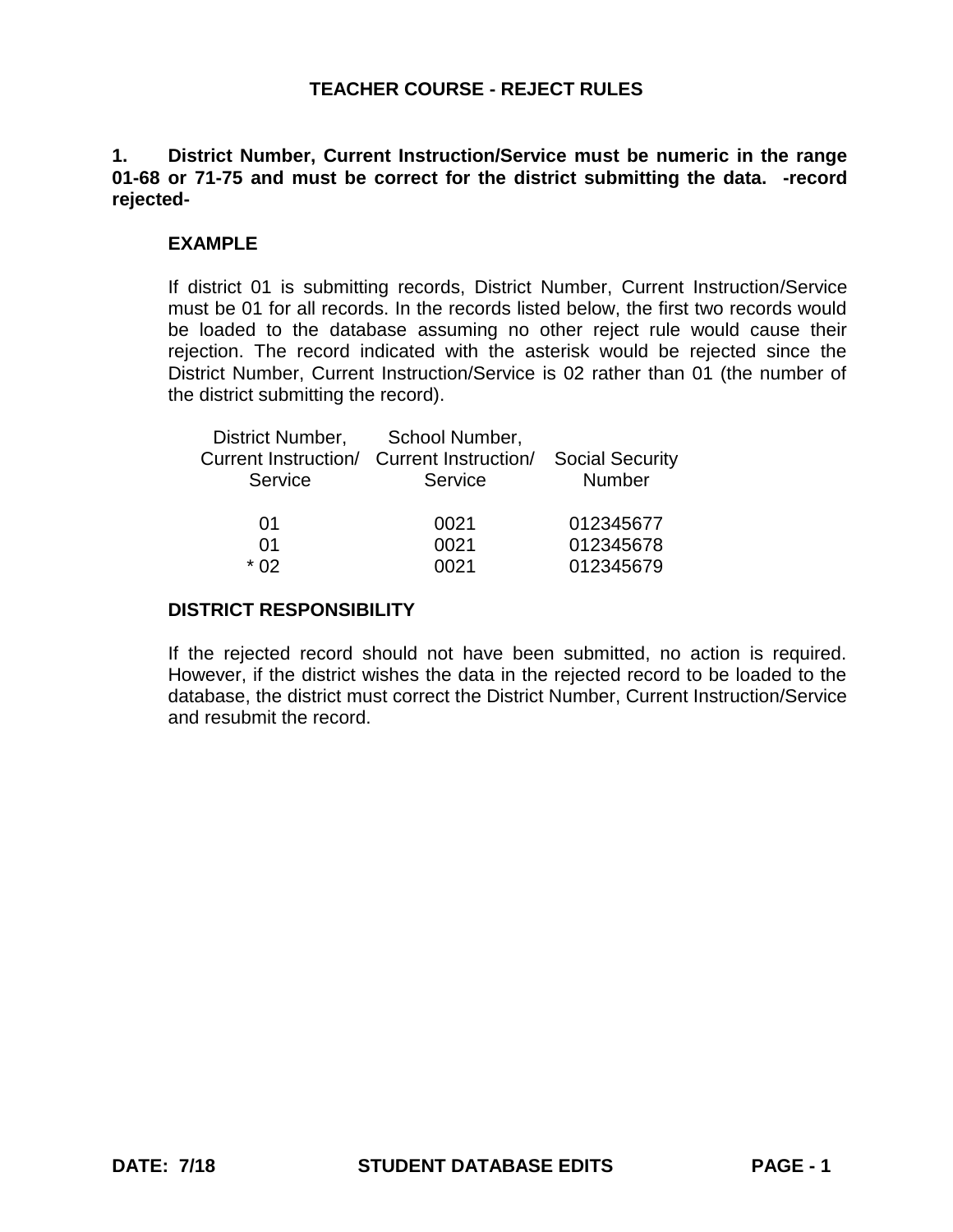# **1. District Number, Current Instruction/Service must be numeric in the range 01-68 or 71-75 and must be correct for the district submitting the data. -record rejected-**

# **EXAMPLE**

If district 01 is submitting records, District Number, Current Instruction/Service must be 01 for all records. In the records listed below, the first two records would be loaded to the database assuming no other reject rule would cause their rejection. The record indicated with the asterisk would be rejected since the District Number, Current Instruction/Service is 02 rather than 01 (the number of the district submitting the record).

| District Number, | School Number,                            |                        |
|------------------|-------------------------------------------|------------------------|
|                  | Current Instruction/ Current Instruction/ | <b>Social Security</b> |
| Service          | Service                                   | Number                 |
|                  |                                           |                        |
| 01               | 0021                                      | 012345677              |
| 01               | 0021                                      | 012345678              |
| * በ2             | NN 21                                     | 012345679              |

# **DISTRICT RESPONSIBILITY**

If the rejected record should not have been submitted, no action is required. However, if the district wishes the data in the rejected record to be loaded to the database, the district must correct the District Number, Current Instruction/Service and resubmit the record.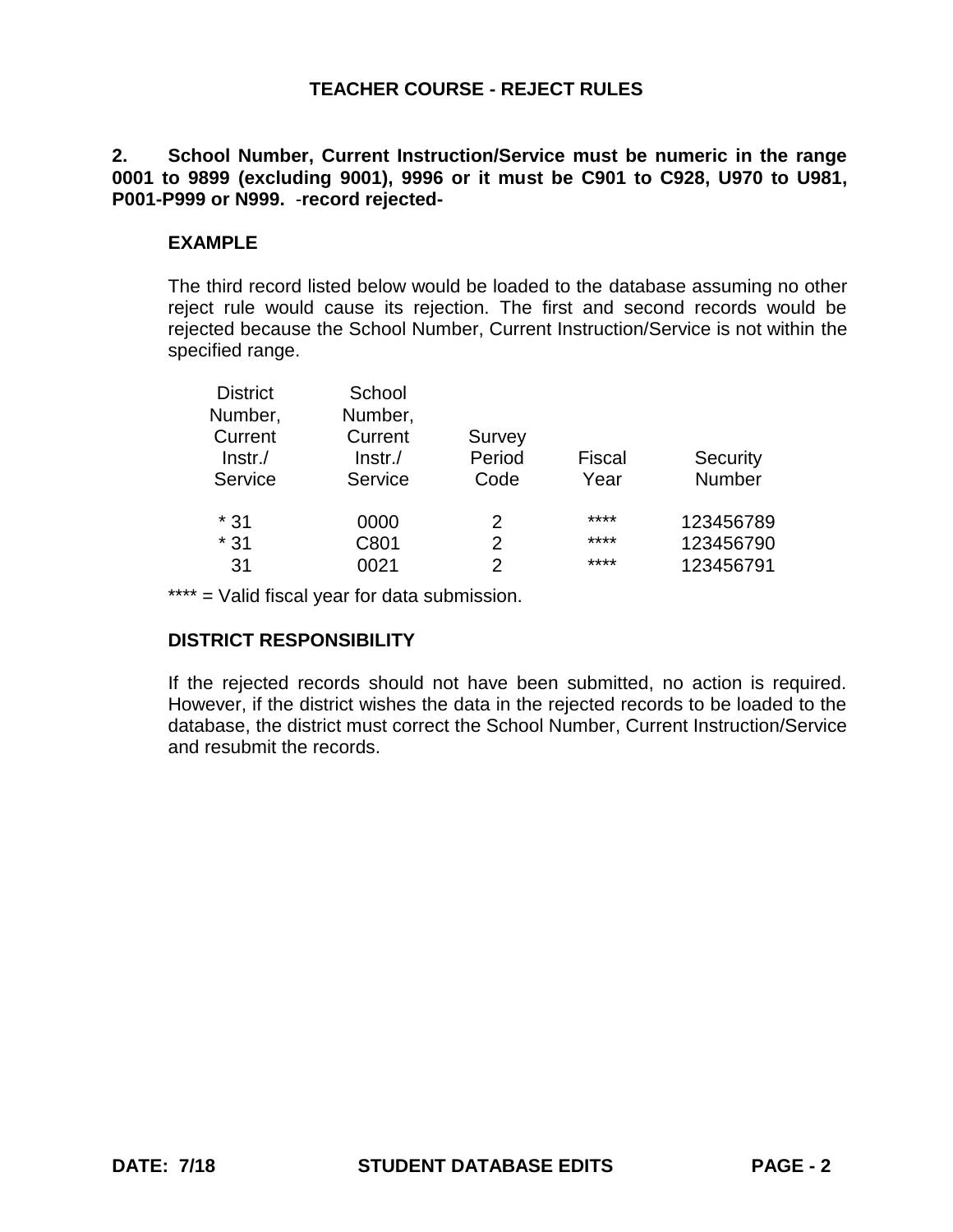**2. School Number, Current Instruction/Service must be numeric in the range 0001 to 9899 (excluding 9001), 9996 or it must be C901 to C928, U970 to U981, P001-P999 or N999.** -**record rejected-**

# **EXAMPLE**

The third record listed below would be loaded to the database assuming no other reject rule would cause its rejection. The first and second records would be rejected because the School Number, Current Instruction/Service is not within the specified range.

| School     |               |        |           |
|------------|---------------|--------|-----------|
| Number,    |               |        |           |
| Current    | Survey        |        |           |
| $Instr$ ./ | Period        | Fiscal | Security  |
| Service    | Code          | Year   | Number    |
| 0000       | 2             | ****   | 123456789 |
| C801       | 2             | ****   | 123456790 |
| 0021       | $\mathcal{P}$ | ****   | 123456791 |
|            |               |        |           |

\*\*\*\* = Valid fiscal year for data submission.

# **DISTRICT RESPONSIBILITY**

If the rejected records should not have been submitted, no action is required. However, if the district wishes the data in the rejected records to be loaded to the database, the district must correct the School Number, Current Instruction/Service and resubmit the records.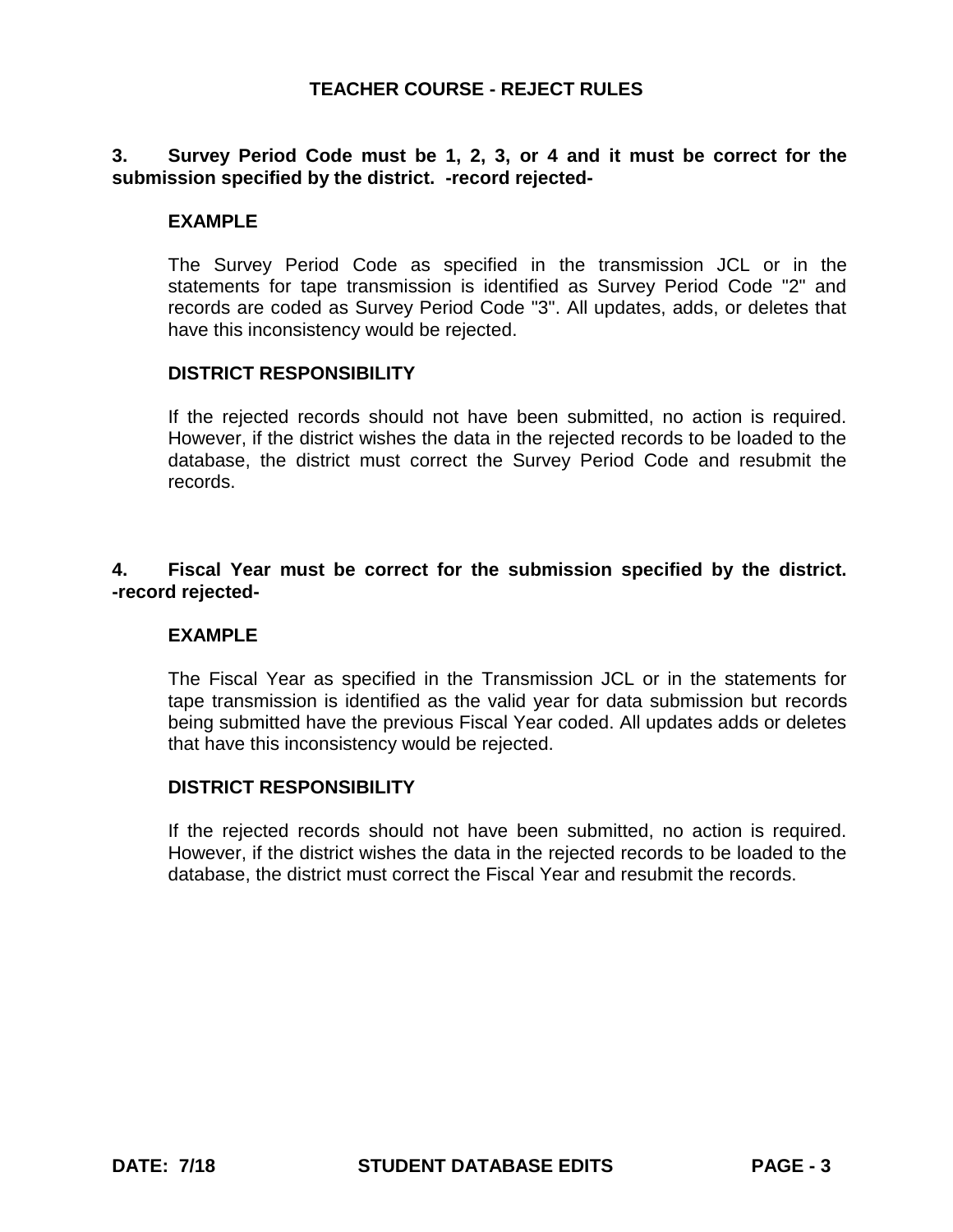# **3. Survey Period Code must be 1, 2, 3, or 4 and it must be correct for the submission specified by the district. -record rejected-**

### **EXAMPLE**

The Survey Period Code as specified in the transmission JCL or in the statements for tape transmission is identified as Survey Period Code "2" and records are coded as Survey Period Code "3". All updates, adds, or deletes that have this inconsistency would be rejected.

#### **DISTRICT RESPONSIBILITY**

If the rejected records should not have been submitted, no action is required. However, if the district wishes the data in the rejected records to be loaded to the database, the district must correct the Survey Period Code and resubmit the records.

### **4. Fiscal Year must be correct for the submission specified by the district. -record rejected-**

# **EXAMPLE**

The Fiscal Year as specified in the Transmission JCL or in the statements for tape transmission is identified as the valid year for data submission but records being submitted have the previous Fiscal Year coded. All updates adds or deletes that have this inconsistency would be rejected.

#### **DISTRICT RESPONSIBILITY**

If the rejected records should not have been submitted, no action is required. However, if the district wishes the data in the rejected records to be loaded to the database, the district must correct the Fiscal Year and resubmit the records.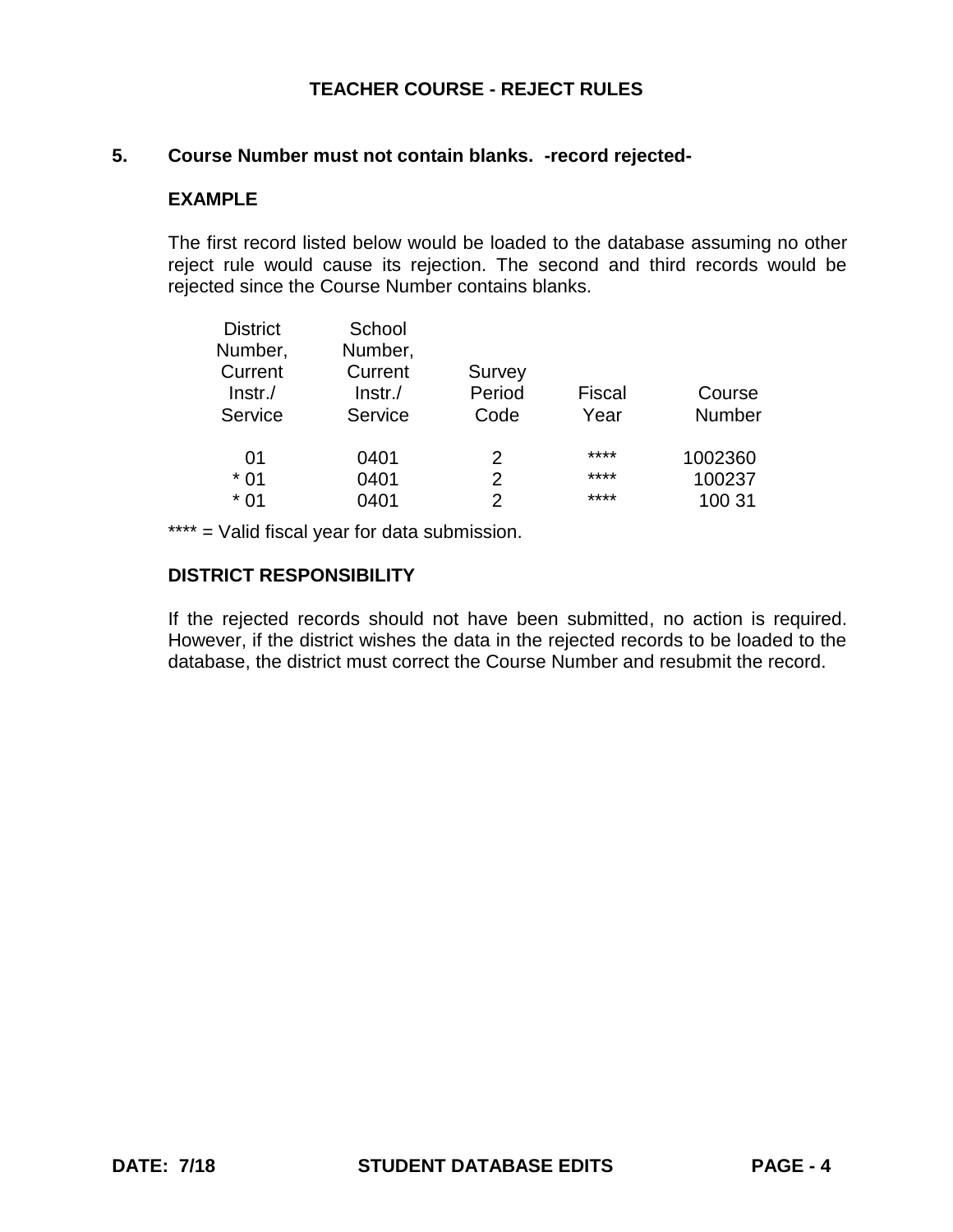#### **5. Course Number must not contain blanks. -record rejected-**

#### **EXAMPLE**

The first record listed below would be loaded to the database assuming no other reject rule would cause its rejection. The second and third records would be rejected since the Course Number contains blanks.

| <b>District</b> | School     |                |        |               |
|-----------------|------------|----------------|--------|---------------|
| Number,         | Number,    |                |        |               |
| Current         | Current    | Survey         |        |               |
| $ lnstr./$      | $ Instr./$ | Period         | Fiscal | Course        |
| Service         | Service    | Code           | Year   | <b>Number</b> |
| 01              | 0401       | 2              | ****   | 1002360       |
| $*01$           | 0401       | $\overline{2}$ | ****   | 100237        |
| $*01$           | 0401       | 2              | ****   | 100 31        |
|                 |            |                |        |               |

\*\*\*\* = Valid fiscal year for data submission.

# **DISTRICT RESPONSIBILITY**

If the rejected records should not have been submitted, no action is required. However, if the district wishes the data in the rejected records to be loaded to the database, the district must correct the Course Number and resubmit the record.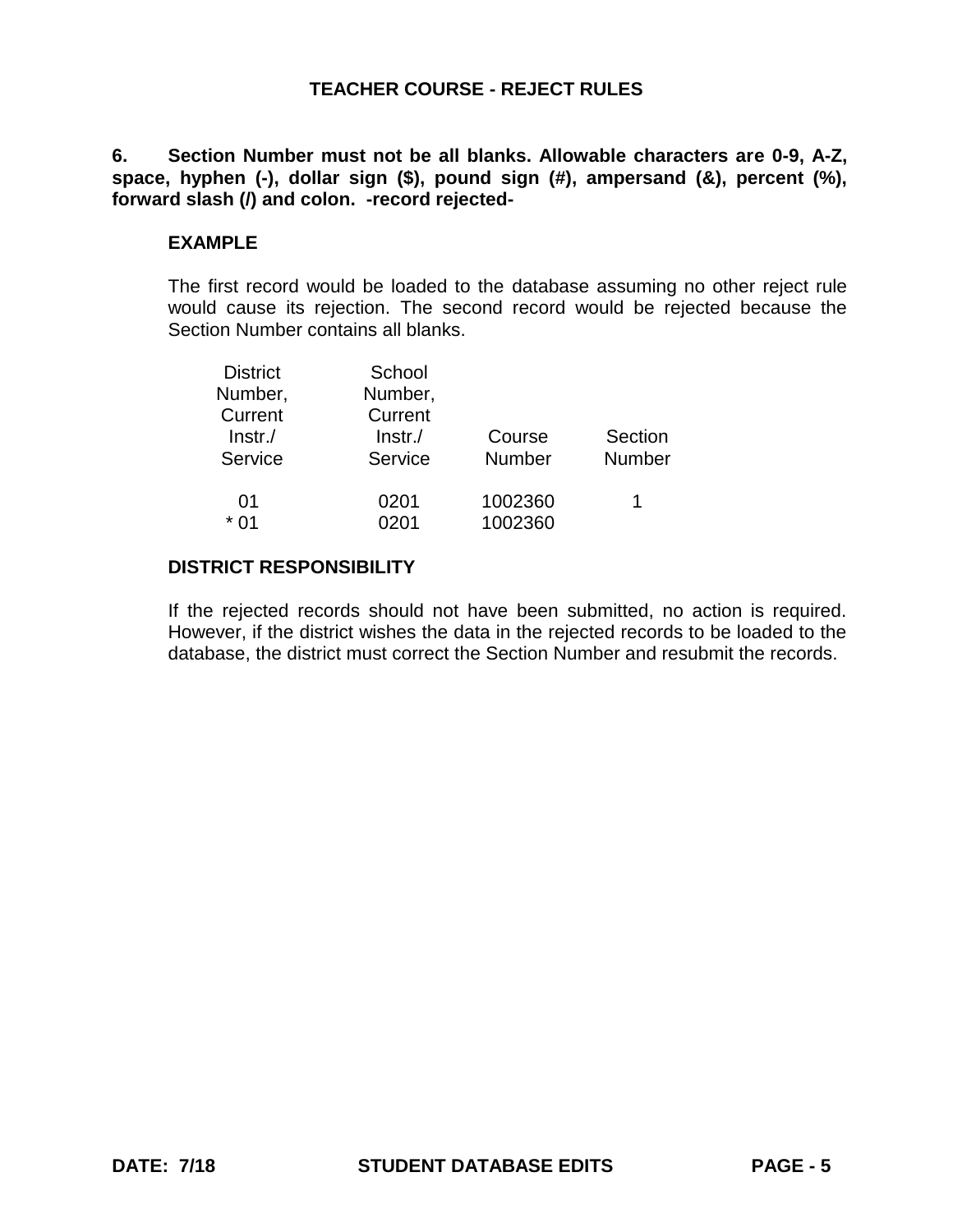**6. Section Number must not be all blanks. Allowable characters are 0-9, A-Z, space, hyphen (-), dollar sign (\$), pound sign (#), ampersand (&), percent (%), forward slash (/) and colon. -record rejected-**

# **EXAMPLE**

The first record would be loaded to the database assuming no other reject rule would cause its rejection. The second record would be rejected because the Section Number contains all blanks.

| <b>District</b> | School  |               |         |
|-----------------|---------|---------------|---------|
| Number,         | Number, |               |         |
| Current         | Current |               |         |
| $ lnstr./$      | Instr.  | Course        | Section |
| Service         | Service | <b>Number</b> | Number  |
|                 |         |               |         |
| 01              | 0201    | 1002360       |         |
| * በ1            | 0201    | 1002360       |         |

# **DISTRICT RESPONSIBILITY**

If the rejected records should not have been submitted, no action is required. However, if the district wishes the data in the rejected records to be loaded to the database, the district must correct the Section Number and resubmit the records.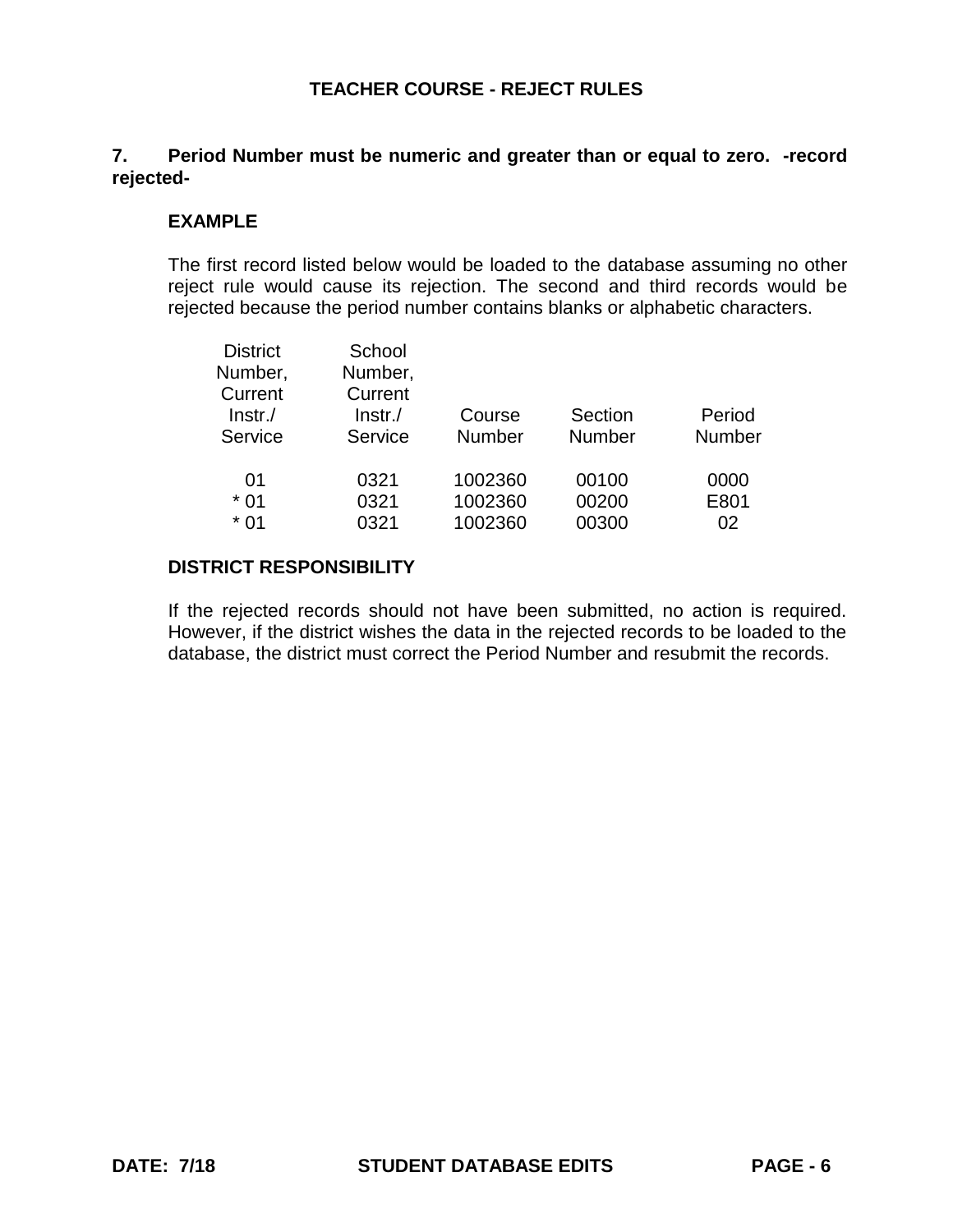# **7. Period Number must be numeric and greater than or equal to zero. -record rejected-**

### **EXAMPLE**

The first record listed below would be loaded to the database assuming no other reject rule would cause its rejection. The second and third records would be rejected because the period number contains blanks or alphabetic characters.

| <b>District</b> | School     |               |               |               |
|-----------------|------------|---------------|---------------|---------------|
| Number,         | Number,    |               |               |               |
| Current         | Current    |               |               |               |
| $ lnstr./$      | $Instr$ ./ | Course        | Section       | Period        |
| Service         | Service    | <b>Number</b> | <b>Number</b> | <b>Number</b> |
| 01              | 0321       | 1002360       | 00100         | 0000          |
| $*01$           | 0321       | 1002360       | 00200         | E801          |
| $*01$           | 0321       | 1002360       | 00300         | 02            |
|                 |            |               |               |               |

# **DISTRICT RESPONSIBILITY**

If the rejected records should not have been submitted, no action is required. However, if the district wishes the data in the rejected records to be loaded to the database, the district must correct the Period Number and resubmit the records.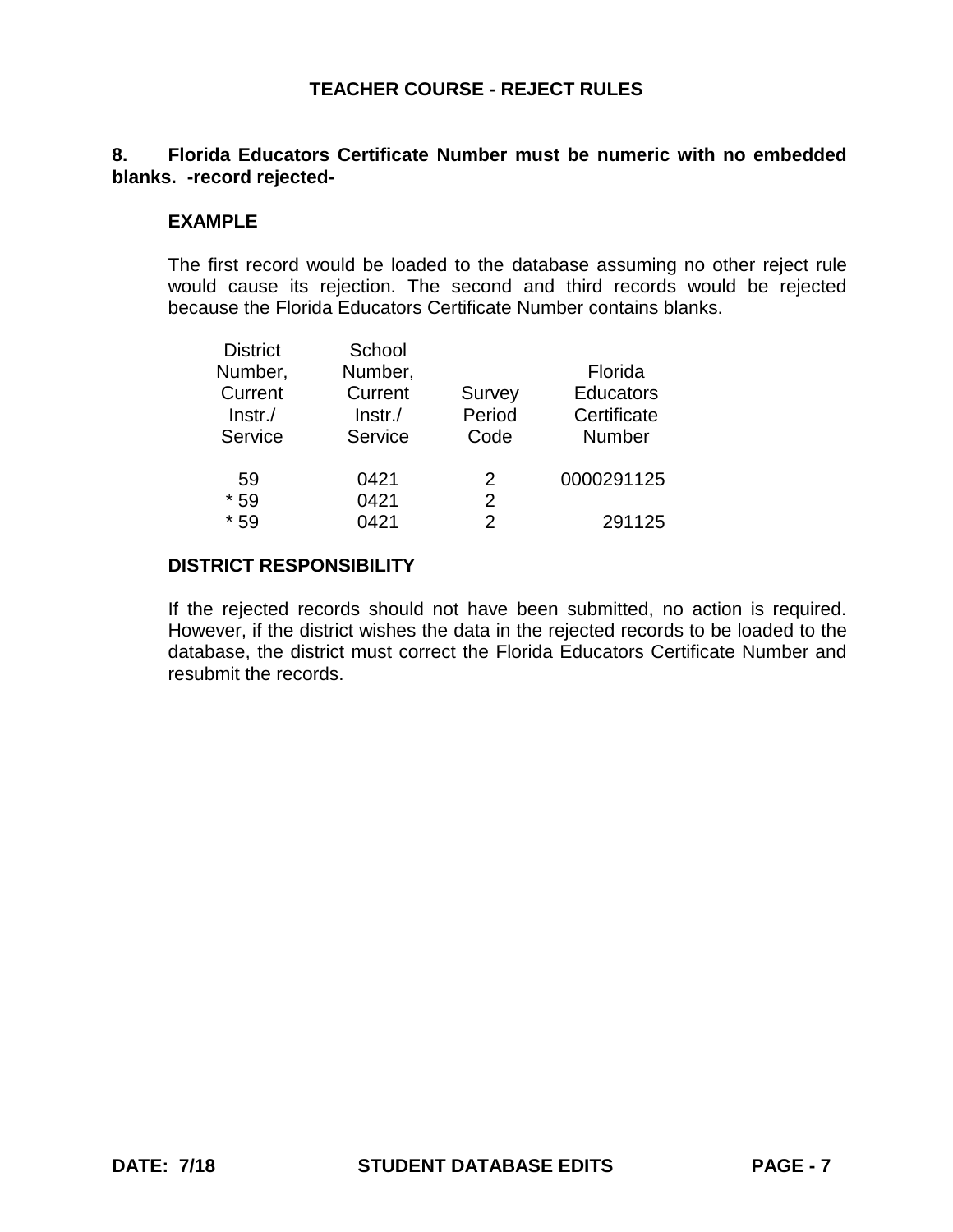# **8. Florida Educators Certificate Number must be numeric with no embedded blanks. -record rejected-**

#### **EXAMPLE**

The first record would be loaded to the database assuming no other reject rule would cause its rejection. The second and third records would be rejected because the Florida Educators Certificate Number contains blanks.

| <b>District</b> | School  |                |                  |
|-----------------|---------|----------------|------------------|
| Number,         | Number, |                | Florida          |
| Current         | Current | Survey         | <b>Educators</b> |
| $ lnstr./$      | Instr./ | Period         | Certificate      |
| Service         | Service | Code           | <b>Number</b>    |
| 59              | 0421    | 2              | 0000291125       |
| $*59$           | 0421    | $\overline{2}$ |                  |
| $*59$           | 0421    | 2              | 291125           |

# **DISTRICT RESPONSIBILITY**

If the rejected records should not have been submitted, no action is required. However, if the district wishes the data in the rejected records to be loaded to the database, the district must correct the Florida Educators Certificate Number and resubmit the records.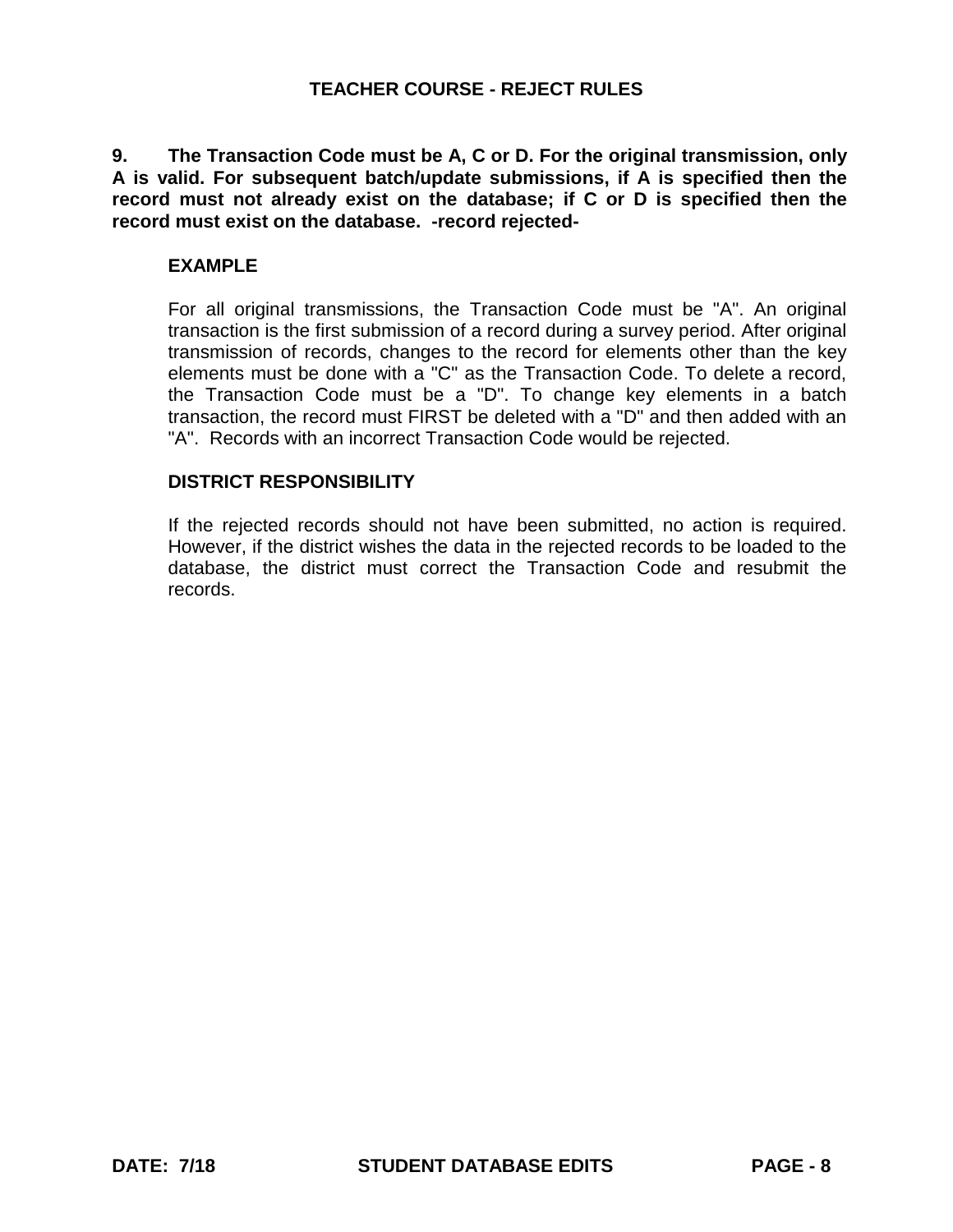**9. The Transaction Code must be A, C or D. For the original transmission, only A is valid. For subsequent batch/update submissions, if A is specified then the record must not already exist on the database; if C or D is specified then the record must exist on the database. -record rejected-**

# **EXAMPLE**

For all original transmissions, the Transaction Code must be "A". An original transaction is the first submission of a record during a survey period. After original transmission of records, changes to the record for elements other than the key elements must be done with a "C" as the Transaction Code. To delete a record, the Transaction Code must be a "D". To change key elements in a batch transaction, the record must FIRST be deleted with a "D" and then added with an "A". Records with an incorrect Transaction Code would be rejected.

# **DISTRICT RESPONSIBILITY**

If the rejected records should not have been submitted, no action is required. However, if the district wishes the data in the rejected records to be loaded to the database, the district must correct the Transaction Code and resubmit the records.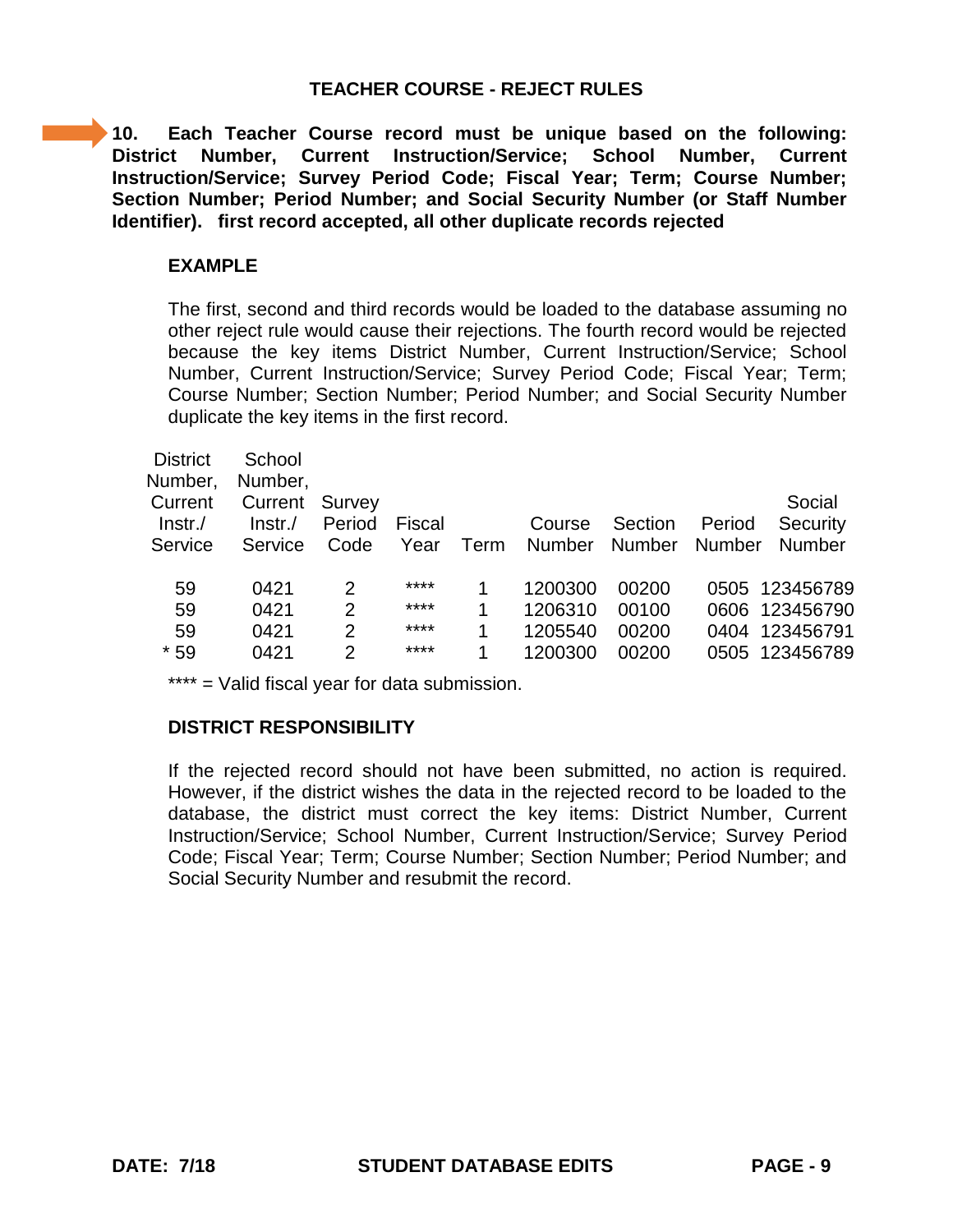**10. Each Teacher Course record must be unique based on the following: District Number, Current Instruction/Service; School Number, Current Instruction/Service; Survey Period Code; Fiscal Year; Term; Course Number; Section Number; Period Number; and Social Security Number (or Staff Number Identifier). first record accepted, all other duplicate records rejected**

### **EXAMPLE**

The first, second and third records would be loaded to the database assuming no other reject rule would cause their rejections. The fourth record would be rejected because the key items District Number, Current Instruction/Service; School Number, Current Instruction/Service; Survey Period Code; Fiscal Year; Term; Course Number; Section Number; Period Number; and Social Security Number duplicate the key items in the first record.

| <b>District</b><br>Number, | School<br>Number, |                |               |      |               |         |               |                |
|----------------------------|-------------------|----------------|---------------|------|---------------|---------|---------------|----------------|
| Current                    | Current           | Survey         |               |      |               |         |               | Social         |
| $Instr$ ./                 | $Instr$ ./        | Period         | <b>Fiscal</b> |      | Course        | Section | Period        | Security       |
| Service                    | Service           | Code           | Year          | Term | <b>Number</b> | Number  | <b>Number</b> | <b>Number</b>  |
|                            |                   |                |               |      |               |         |               |                |
| 59                         | 0421              | 2              | ****          |      | 1200300       | 00200   |               | 0505 123456789 |
| 59                         | 0421              | $\overline{2}$ | ****          |      | 1206310       | 00100   |               | 0606 123456790 |
| 59                         | 0421              | $\overline{2}$ | ****          | 1    | 1205540       | 00200   |               | 0404 123456791 |
| $*59$                      | 0421              | 2              | ****          | 1    | 1200300       | 00200   |               | 0505 123456789 |
|                            |                   |                |               |      |               |         |               |                |

\*\*\*\* = Valid fiscal year for data submission.

# **DISTRICT RESPONSIBILITY**

If the rejected record should not have been submitted, no action is required. However, if the district wishes the data in the rejected record to be loaded to the database, the district must correct the key items: District Number, Current Instruction/Service; School Number, Current Instruction/Service; Survey Period Code; Fiscal Year; Term; Course Number; Section Number; Period Number; and Social Security Number and resubmit the record.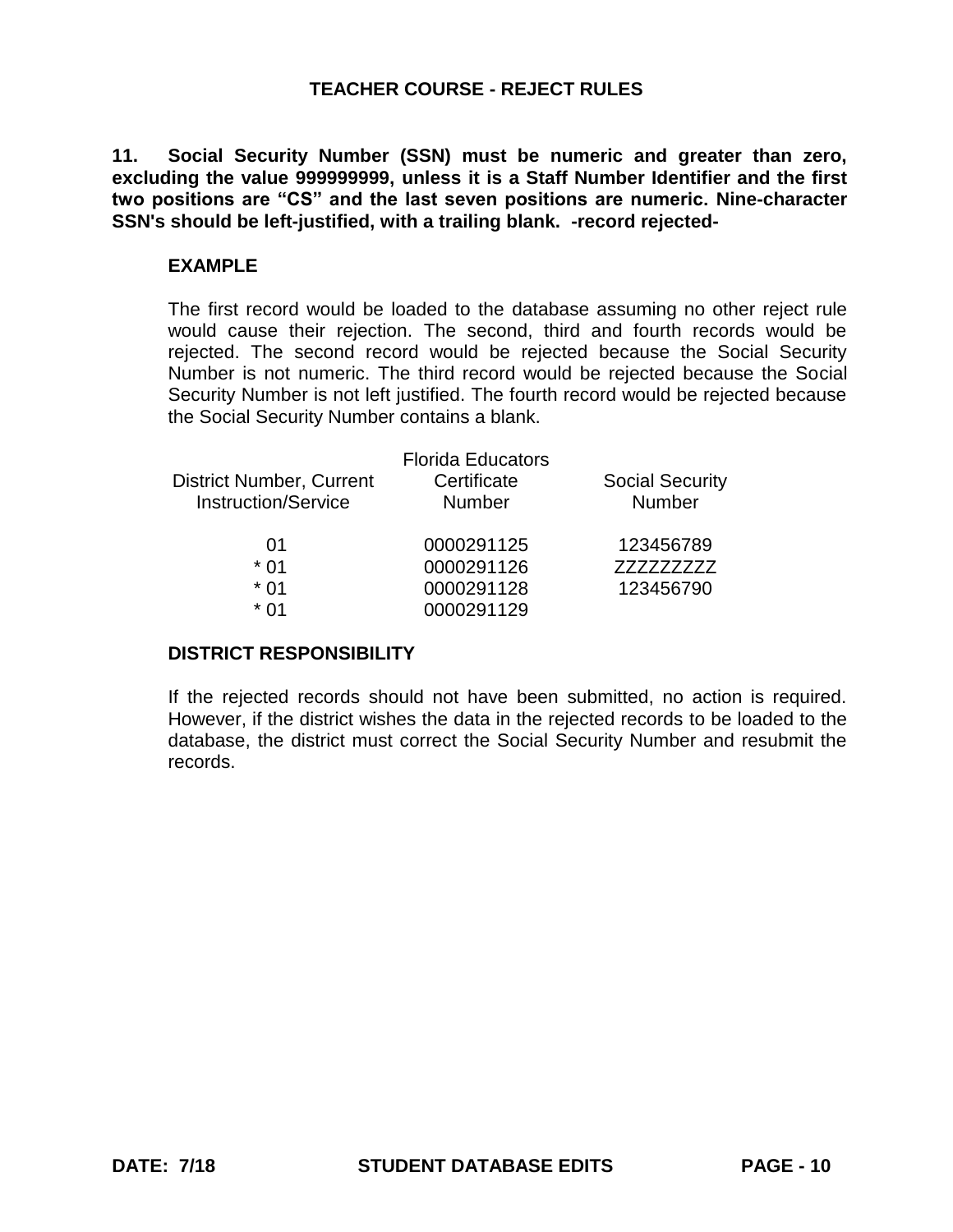**11. Social Security Number (SSN) must be numeric and greater than zero, excluding the value 999999999, unless it is a Staff Number Identifier and the first two positions are "CS" and the last seven positions are numeric. Nine-character SSN's should be left-justified, with a trailing blank. -record rejected-**

#### **EXAMPLE**

The first record would be loaded to the database assuming no other reject rule would cause their rejection. The second, third and fourth records would be rejected. The second record would be rejected because the Social Security Number is not numeric. The third record would be rejected because the Social Security Number is not left justified. The fourth record would be rejected because the Social Security Number contains a blank.

| <b>Florida Educators</b> |                        |
|--------------------------|------------------------|
| Certificate              | <b>Social Security</b> |
| <b>Number</b>            | <b>Number</b>          |
| 0000291125               | 123456789              |
| 0000291126               | 777777777              |
| 0000291128               | 123456790              |
| 0000291129               |                        |
|                          |                        |

#### **DISTRICT RESPONSIBILITY**

If the rejected records should not have been submitted, no action is required. However, if the district wishes the data in the rejected records to be loaded to the database, the district must correct the Social Security Number and resubmit the records.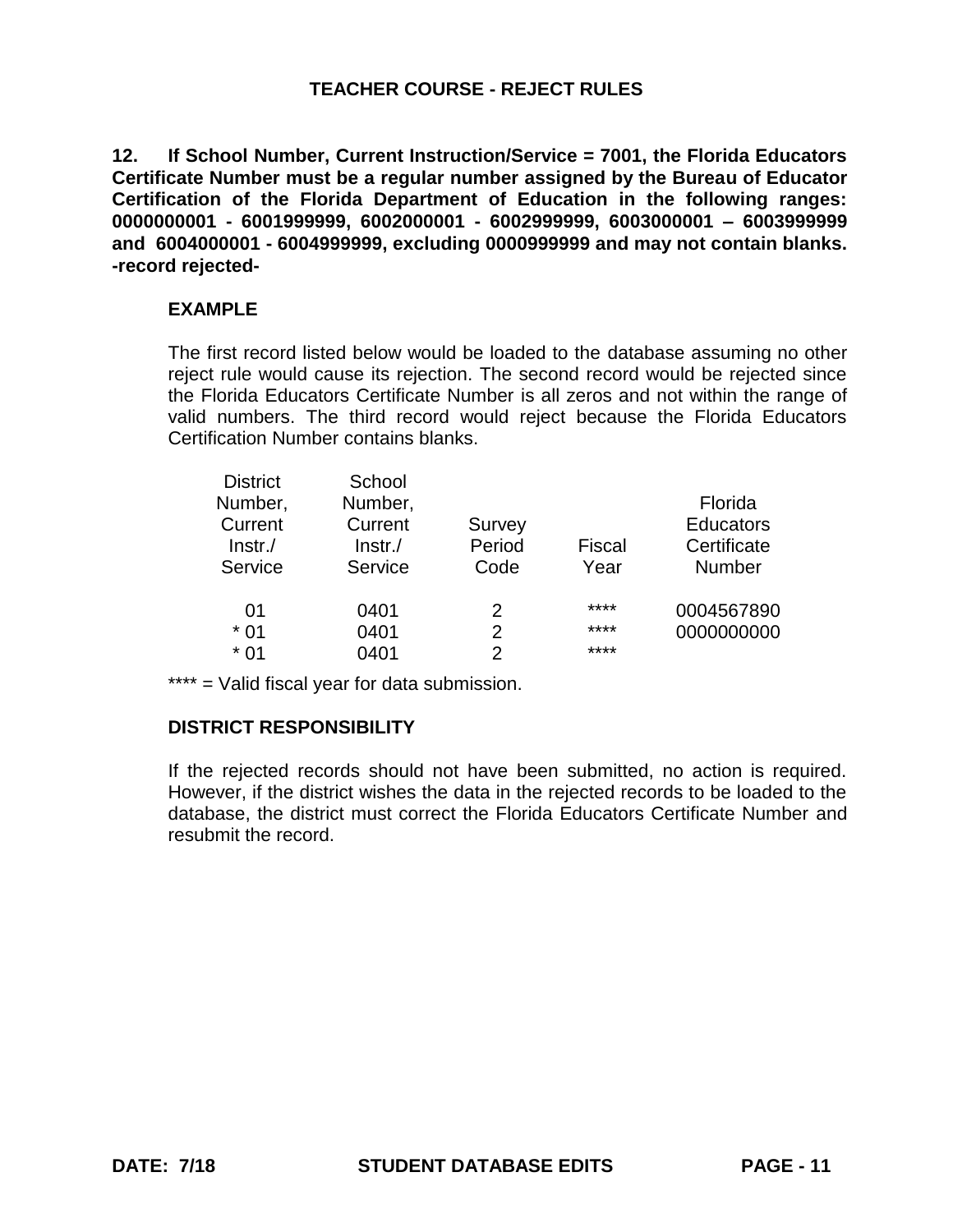**12. If School Number, Current Instruction/Service = 7001, the Florida Educators Certificate Number must be a regular number assigned by the Bureau of Educator Certification of the Florida Department of Education in the following ranges: 0000000001 - 6001999999, 6002000001 - 6002999999, 6003000001 – 6003999999 and 6004000001 - 6004999999, excluding 0000999999 and may not contain blanks. -record rejected-**

# **EXAMPLE**

The first record listed below would be loaded to the database assuming no other reject rule would cause its rejection. The second record would be rejected since the Florida Educators Certificate Number is all zeros and not within the range of valid numbers. The third record would reject because the Florida Educators Certification Number contains blanks.

| <b>District</b><br>Number,<br>Current<br>$ lnstr./$ | School<br>Number,<br>Current<br>$Instr$ ./ | Survey<br>Period | <b>Fiscal</b> | Florida<br><b>Educators</b><br>Certificate |
|-----------------------------------------------------|--------------------------------------------|------------------|---------------|--------------------------------------------|
| Service                                             | Service                                    | Code             | Year          | <b>Number</b>                              |
| 01                                                  | 0401                                       | 2                | ****          | 0004567890                                 |
|                                                     |                                            |                  |               |                                            |
| $*01$                                               | 0401                                       | 2                | ****          | 0000000000                                 |
| $*01$                                               | 0401                                       | $\mathcal{P}$    | ****          |                                            |

\*\*\*\* = Valid fiscal year for data submission.

# **DISTRICT RESPONSIBILITY**

If the rejected records should not have been submitted, no action is required. However, if the district wishes the data in the rejected records to be loaded to the database, the district must correct the Florida Educators Certificate Number and resubmit the record.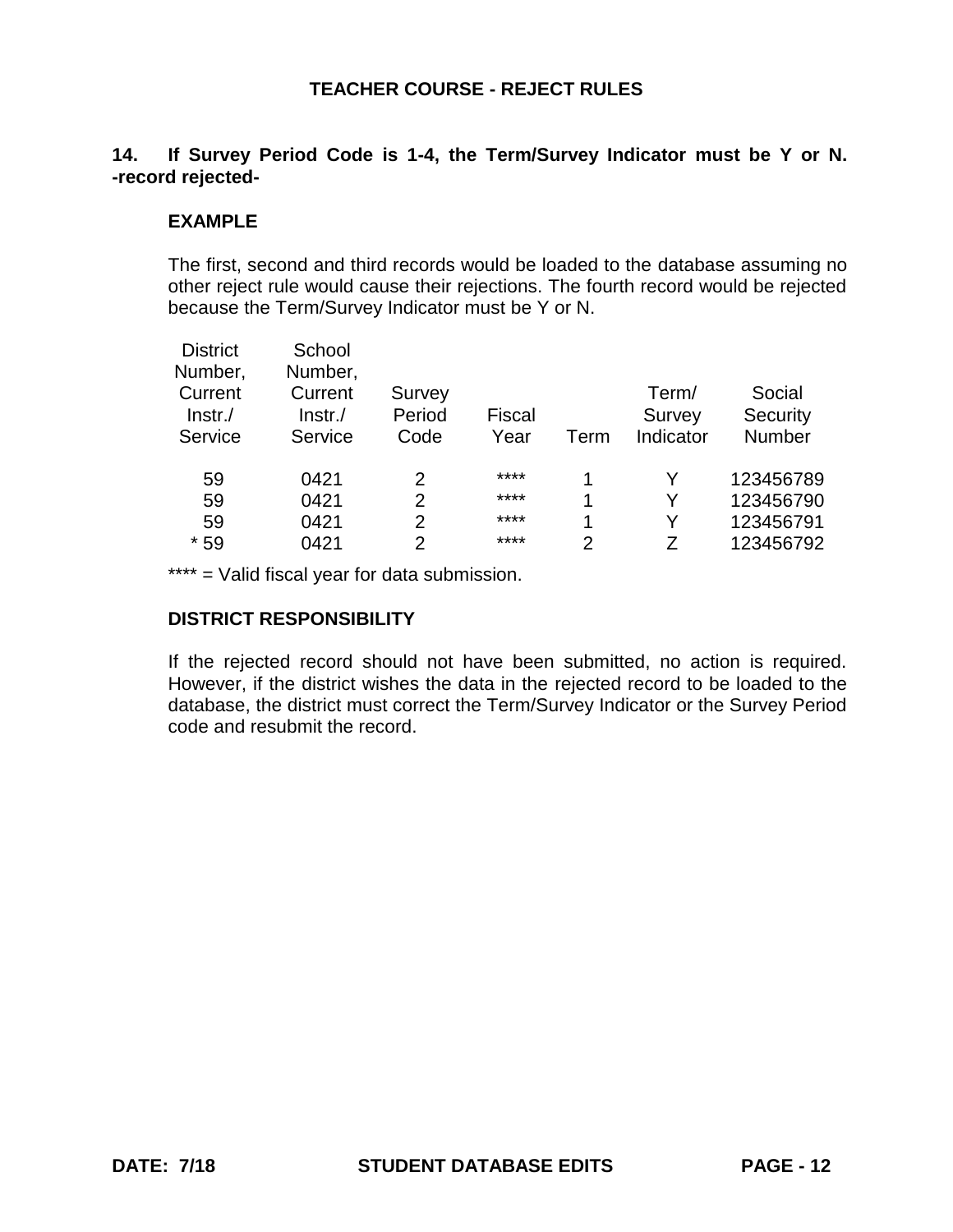# **14. If Survey Period Code is 1-4, the Term/Survey Indicator must be Y or N. -record rejected-**

## **EXAMPLE**

The first, second and third records would be loaded to the database assuming no other reject rule would cause their rejections. The fourth record would be rejected because the Term/Survey Indicator must be Y or N.

| <b>District</b>    | School             |                  |               |      |           |           |
|--------------------|--------------------|------------------|---------------|------|-----------|-----------|
| Number,<br>Current | Number,<br>Current |                  |               |      | Term/     | Social    |
| $ lnstr./$         | $Instr$ ./         | Survey<br>Period | <b>Fiscal</b> |      | Survey    | Security  |
| Service            | Service            | Code             | Year          | Term | Indicator | Number    |
| 59                 | 0421               | 2                | ****          | 1    | v         | 123456789 |
| 59                 | 0421               | 2                | ****          | 1    | Y         | 123456790 |
| 59                 | 0421               | 2                | ****          | 1    | v         | 123456791 |
| $*59$              | 0421               | $\overline{2}$   | ****          | 2    |           | 123456792 |

\*\*\*\* = Valid fiscal year for data submission.

#### **DISTRICT RESPONSIBILITY**

If the rejected record should not have been submitted, no action is required. However, if the district wishes the data in the rejected record to be loaded to the database, the district must correct the Term/Survey Indicator or the Survey Period code and resubmit the record.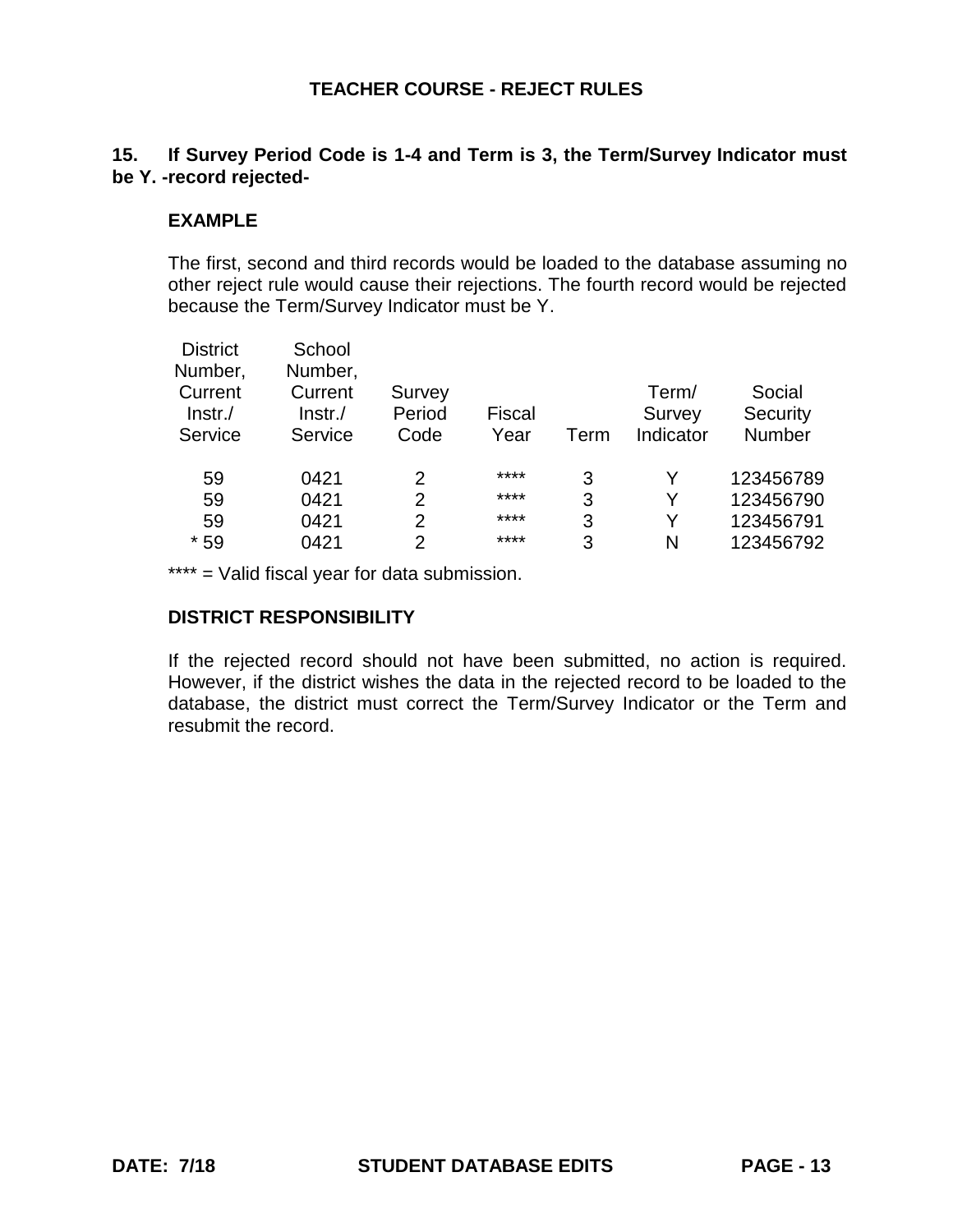# **15. If Survey Period Code is 1-4 and Term is 3, the Term/Survey Indicator must be Y. -record rejected-**

### **EXAMPLE**

The first, second and third records would be loaded to the database assuming no other reject rule would cause their rejections. The fourth record would be rejected because the Term/Survey Indicator must be Y.

| Social    |
|-----------|
| Security  |
| Number    |
| 123456789 |
| 123456790 |
| 123456791 |
| 123456792 |
|           |

\*\*\*\* = Valid fiscal year for data submission.

#### **DISTRICT RESPONSIBILITY**

If the rejected record should not have been submitted, no action is required. However, if the district wishes the data in the rejected record to be loaded to the database, the district must correct the Term/Survey Indicator or the Term and resubmit the record.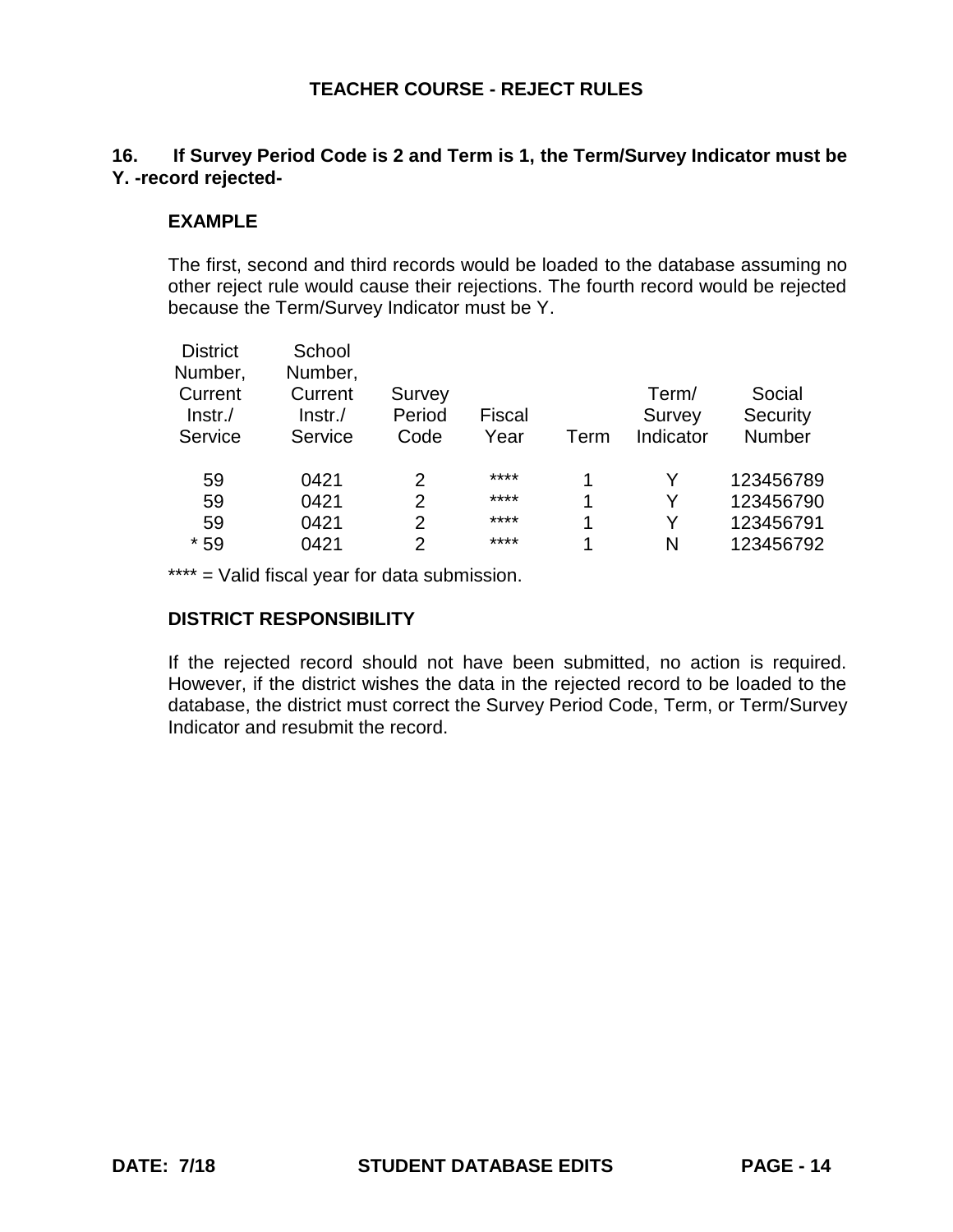# **16. If Survey Period Code is 2 and Term is 1, the Term/Survey Indicator must be Y. -record rejected-**

### **EXAMPLE**

The first, second and third records would be loaded to the database assuming no other reject rule would cause their rejections. The fourth record would be rejected because the Term/Survey Indicator must be Y.

| <b>District</b><br>Number,       | School<br>Number,             |                          |                       |      |                              |                              |
|----------------------------------|-------------------------------|--------------------------|-----------------------|------|------------------------------|------------------------------|
| Current<br>$ lnstr./$<br>Service | Current<br>lnstr./<br>Service | Survey<br>Period<br>Code | <b>Fiscal</b><br>Year | Term | Term/<br>Survey<br>Indicator | Social<br>Security<br>Number |
| 59                               | 0421                          | 2                        | ****                  | 1    | v                            | 123456789                    |
| 59                               | 0421                          | $\overline{2}$           | ****                  | 1    | Y                            | 123456790                    |
| 59                               | 0421                          | $\overline{2}$           | ****                  | 1    | Y                            | 123456791                    |
| $*59$                            | 0421                          | 2                        | ****                  | 4    | N                            | 123456792                    |

\*\*\*\* = Valid fiscal year for data submission.

## **DISTRICT RESPONSIBILITY**

If the rejected record should not have been submitted, no action is required. However, if the district wishes the data in the rejected record to be loaded to the database, the district must correct the Survey Period Code, Term, or Term/Survey Indicator and resubmit the record.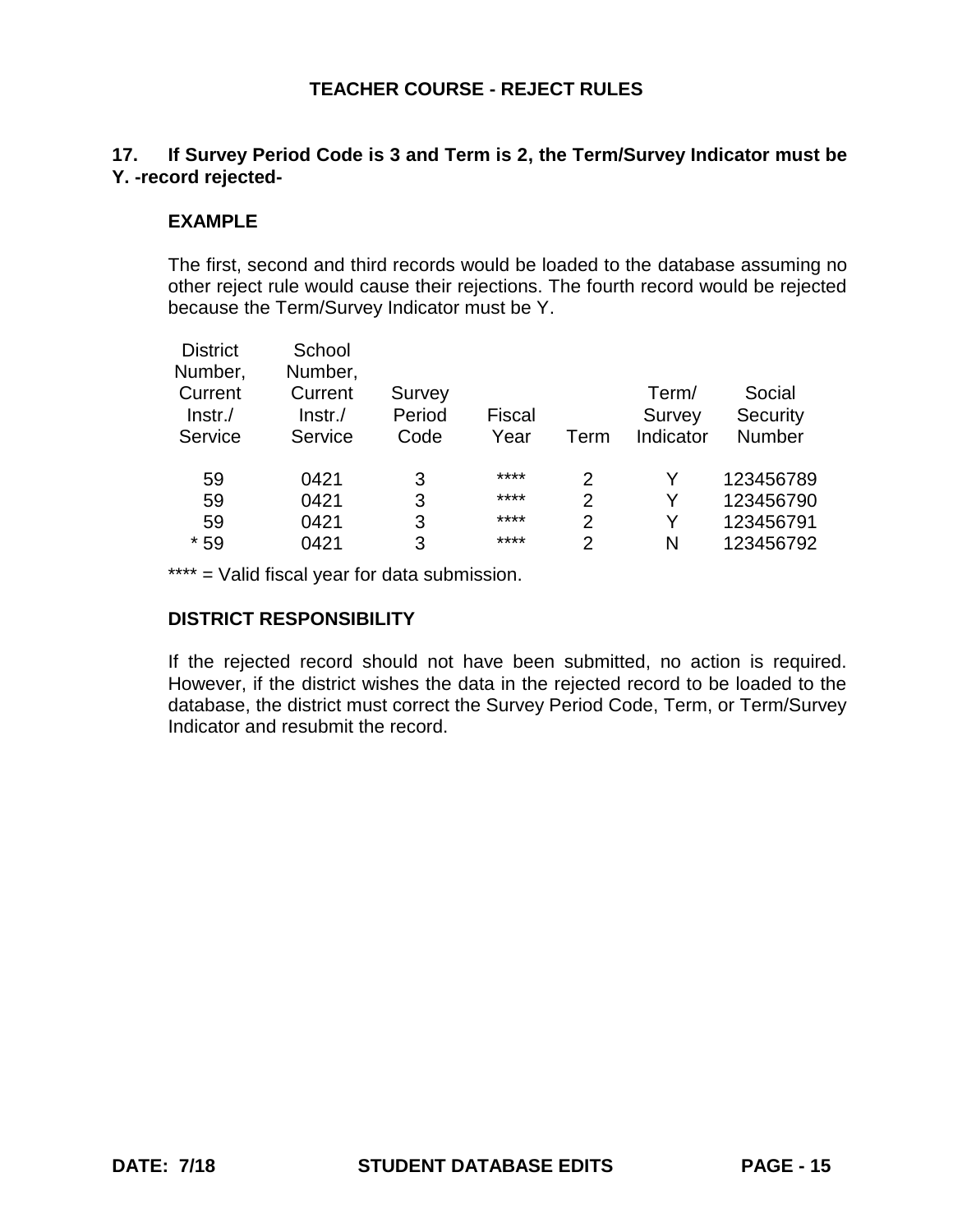# **17. If Survey Period Code is 3 and Term is 2, the Term/Survey Indicator must be Y. -record rejected-**

## **EXAMPLE**

The first, second and third records would be loaded to the database assuming no other reject rule would cause their rejections. The fourth record would be rejected because the Term/Survey Indicator must be Y.

| <b>District</b><br>Number,       | School<br>Number,                |                          |                |                |                              |                                     |
|----------------------------------|----------------------------------|--------------------------|----------------|----------------|------------------------------|-------------------------------------|
| Current<br>$ lnstr./$<br>Service | Current<br>$Instr$ ./<br>Service | Survey<br>Period<br>Code | Fiscal<br>Year | Term           | Term/<br>Survey<br>Indicator | Social<br>Security<br><b>Number</b> |
|                                  |                                  |                          | ****           |                |                              |                                     |
| 59                               | 0421                             | 3                        |                | 2              | Y                            | 123456789                           |
| 59                               | 0421                             | 3                        | ****           | $\overline{2}$ | Y                            | 123456790                           |
| 59                               | 0421                             | 3                        | ****           | $\overline{2}$ | Y                            | 123456791                           |
| $*59$                            | 0421                             | 3                        | ****           | $\overline{2}$ | N                            | 123456792                           |

\*\*\*\* = Valid fiscal year for data submission.

#### **DISTRICT RESPONSIBILITY**

If the rejected record should not have been submitted, no action is required. However, if the district wishes the data in the rejected record to be loaded to the database, the district must correct the Survey Period Code, Term, or Term/Survey Indicator and resubmit the record.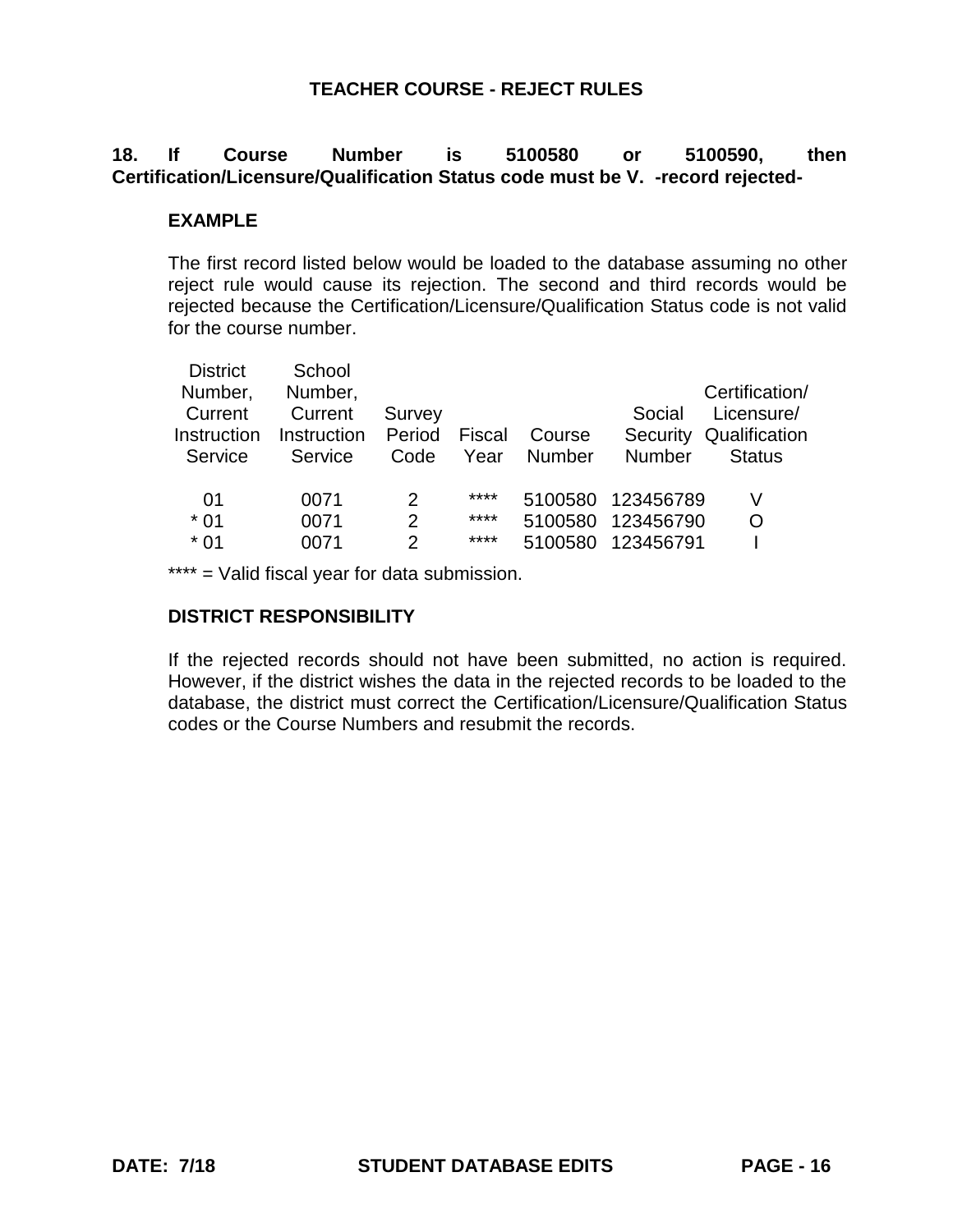# **18. If Course Number is 5100580 or 5100590, then Certification/Licensure/Qualification Status code must be V. -record rejected-**

### **EXAMPLE**

The first record listed below would be loaded to the database assuming no other reject rule would cause its rejection. The second and third records would be rejected because the Certification/Licensure/Qualification Status code is not valid for the course number.

| <b>District</b> | School      |                |        |         |               |                |
|-----------------|-------------|----------------|--------|---------|---------------|----------------|
| Number,         | Number,     |                |        |         |               | Certification/ |
| Current         | Current     | Survey         |        |         | Social        | Licensure/     |
| Instruction     | Instruction | Period         | Fiscal | Course  | Security      | Qualification  |
| Service         | Service     | Code           | Year   | Number  | <b>Number</b> | <b>Status</b>  |
|                 |             |                |        |         |               |                |
| 01              | 0071        | 2              | ****   | 5100580 | 123456789     |                |
| $*01$           | 0071        | $\overline{2}$ | ****   | 5100580 | 123456790     | O              |
| $*01$           | 0071        | $\mathcal{P}$  | ****   | 5100580 | 123456791     |                |
|                 |             |                |        |         |               |                |

\*\*\*\* = Valid fiscal year for data submission.

#### **DISTRICT RESPONSIBILITY**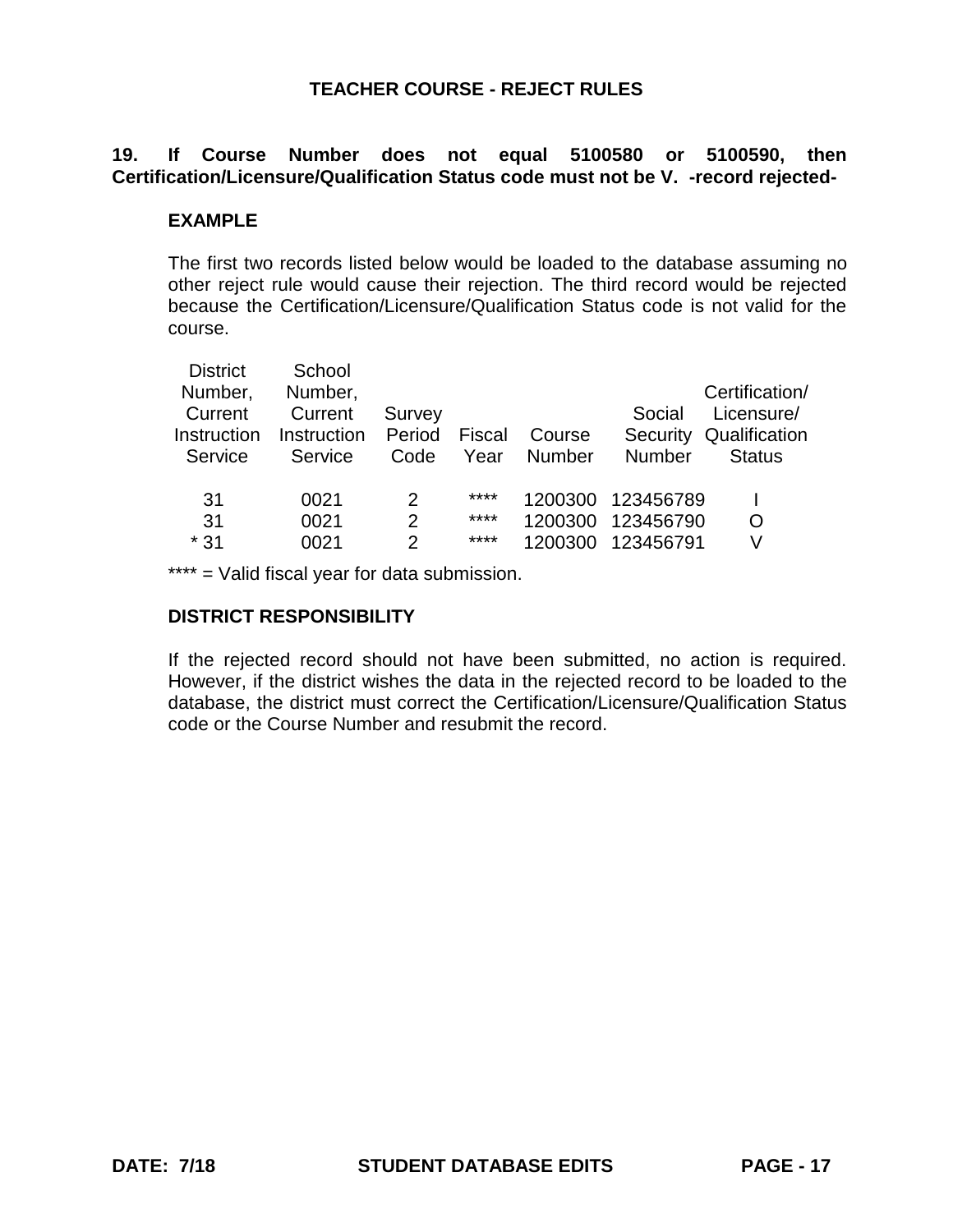# **19. If Course Number does not equal 5100580 or 5100590, then Certification/Licensure/Qualification Status code must not be V. -record rejected-**

# **EXAMPLE**

The first two records listed below would be loaded to the database assuming no other reject rule would cause their rejection. The third record would be rejected because the Certification/Licensure/Qualification Status code is not valid for the course.

| <b>District</b> | School      |               |        |               |               |                |
|-----------------|-------------|---------------|--------|---------------|---------------|----------------|
| Number,         | Number,     |               |        |               |               | Certification/ |
| Current         | Current     | Survey        |        |               | Social        | Licensure/     |
| Instruction     | Instruction | Period        | Fiscal | Course        | Security      | Qualification  |
| Service         | Service     | Code          | Year   | <b>Number</b> | <b>Number</b> | <b>Status</b>  |
| 31              | 0021        | $\mathcal{P}$ | ****   | 1200300       | 123456789     |                |
|                 |             |               |        |               |               |                |
| 31              | 0021        | 2             | ****   | 1200300       | 123456790     | O              |
| $*31$           | 0021        | 2             | ****   | 1200300       | 123456791     | V              |

\*\*\*\* = Valid fiscal year for data submission.

# **DISTRICT RESPONSIBILITY**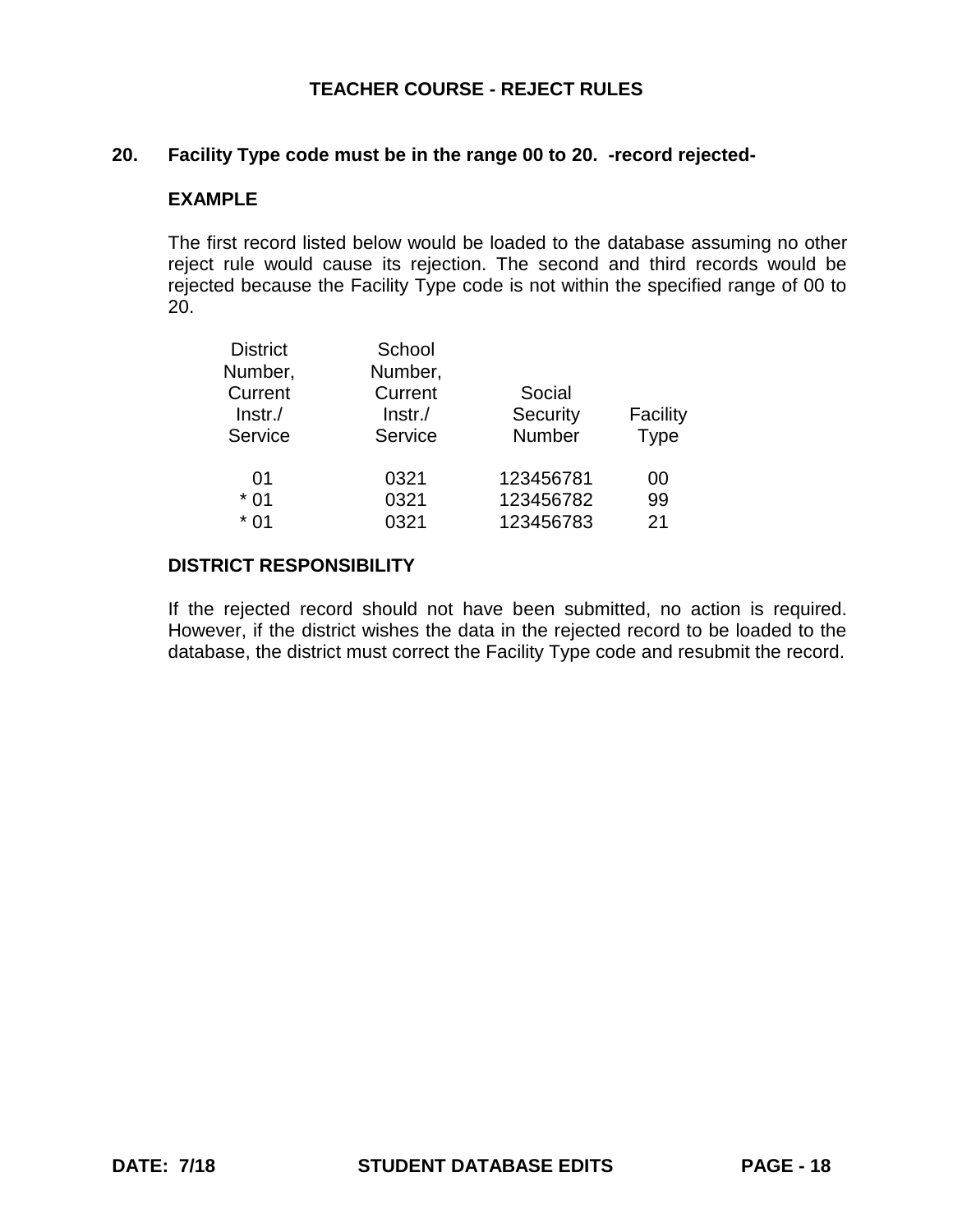### **20. Facility Type code must be in the range 00 to 20. -record rejected-**

#### **EXAMPLE**

The first record listed below would be loaded to the database assuming no other reject rule would cause its rejection. The second and third records would be rejected because the Facility Type code is not within the specified range of 00 to 20.

| <b>District</b><br>Number,<br>Current<br>$ Instr./$<br>Service | School<br>Number,<br>Current<br>Instr.<br>Service | Social<br>Security<br>Number | Facility<br><b>Type</b> |
|----------------------------------------------------------------|---------------------------------------------------|------------------------------|-------------------------|
| 01                                                             | 0321                                              | 123456781                    | 00                      |
| $*01$                                                          | 0321                                              | 123456782                    | 99                      |
| $*01$                                                          | 0321                                              | 123456783                    | 21                      |

# **DISTRICT RESPONSIBILITY**

If the rejected record should not have been submitted, no action is required. However, if the district wishes the data in the rejected record to be loaded to the database, the district must correct the Facility Type code and resubmit the record.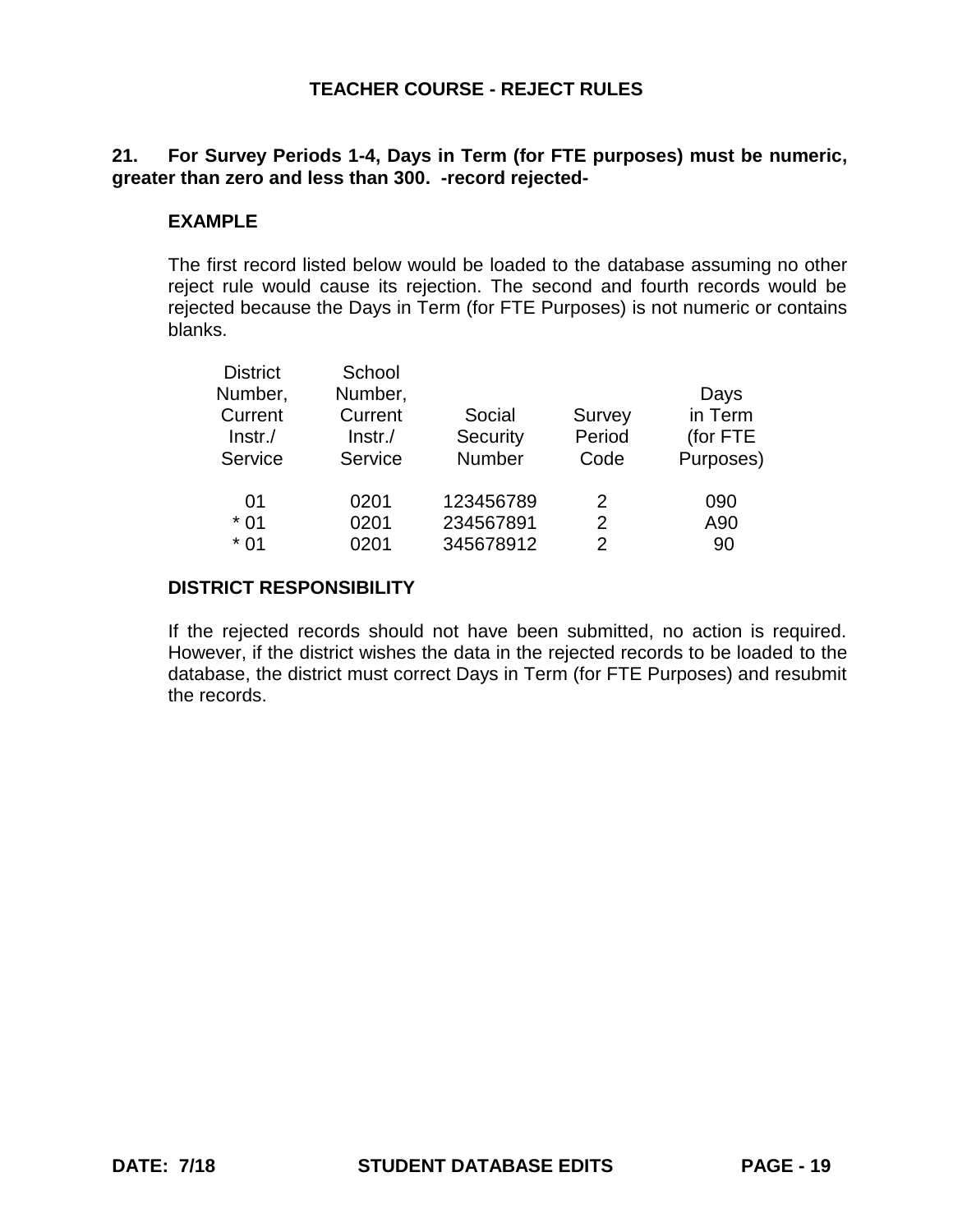# **21. For Survey Periods 1-4, Days in Term (for FTE purposes) must be numeric, greater than zero and less than 300. -record rejected-**

# **EXAMPLE**

The first record listed below would be loaded to the database assuming no other reject rule would cause its rejection. The second and fourth records would be rejected because the Days in Term (for FTE Purposes) is not numeric or contains blanks.

| <b>District</b><br>School                      |           |
|------------------------------------------------|-----------|
| Number,<br>Number,                             | Days      |
| Current<br>Current<br>Social<br><b>Survey</b>  | in Term   |
| Period<br>Security<br>$ Instr./$<br>$Instr$ ./ | (for FTE  |
| Number<br>Service<br>Service<br>Code           | Purposes) |
| 123456789<br>01<br>0201<br>2                   | 090       |
| 234567891<br>0201<br>$*01$<br>2                | A90       |
| 345678912<br>$*01$<br>0201<br>2                | 90        |

### **DISTRICT RESPONSIBILITY**

If the rejected records should not have been submitted, no action is required. However, if the district wishes the data in the rejected records to be loaded to the database, the district must correct Days in Term (for FTE Purposes) and resubmit the records.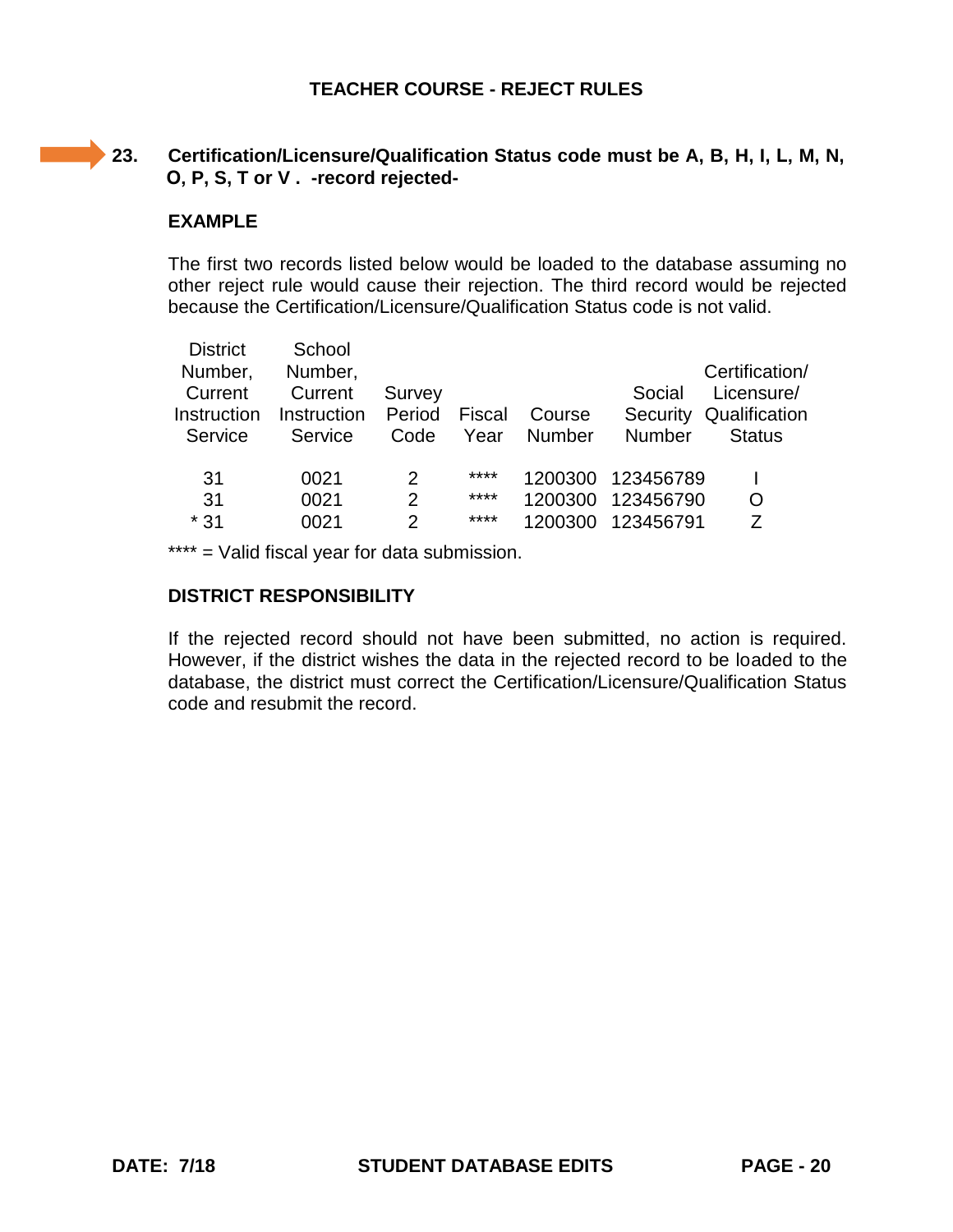# **23. Certification/Licensure/Qualification Status code must be A, B, H, I, L, M, N, O, P, S, T or V . -record rejected-**

### **EXAMPLE**

 $\mathcal{L}^{\text{max}}_{\text{max}}$ 

The first two records listed below would be loaded to the database assuming no other reject rule would cause their rejection. The third record would be rejected because the Certification/Licensure/Qualification Status code is not valid.

| <b>District</b> | School      |                |        |         |               |                |
|-----------------|-------------|----------------|--------|---------|---------------|----------------|
| Number,         | Number,     |                |        |         |               | Certification/ |
| Current         | Current     | Survey         |        |         | Social        | Licensure/     |
| Instruction     | Instruction | Period         | Fiscal | Course  | Security      | Qualification  |
| Service         | Service     | Code           | Year   | Number  | <b>Number</b> | <b>Status</b>  |
|                 |             |                |        |         |               |                |
| 31              | 0021        | 2              | ****   | 1200300 | 123456789     |                |
| 31              | 0021        | $\overline{2}$ | ****   | 1200300 | 123456790     | O              |
| $*31$           | 0021        | 2              | ****   | 1200300 | 123456791     | 7              |
|                 |             |                |        |         |               |                |

\*\*\*\* = Valid fiscal year for data submission.

### **DISTRICT RESPONSIBILITY**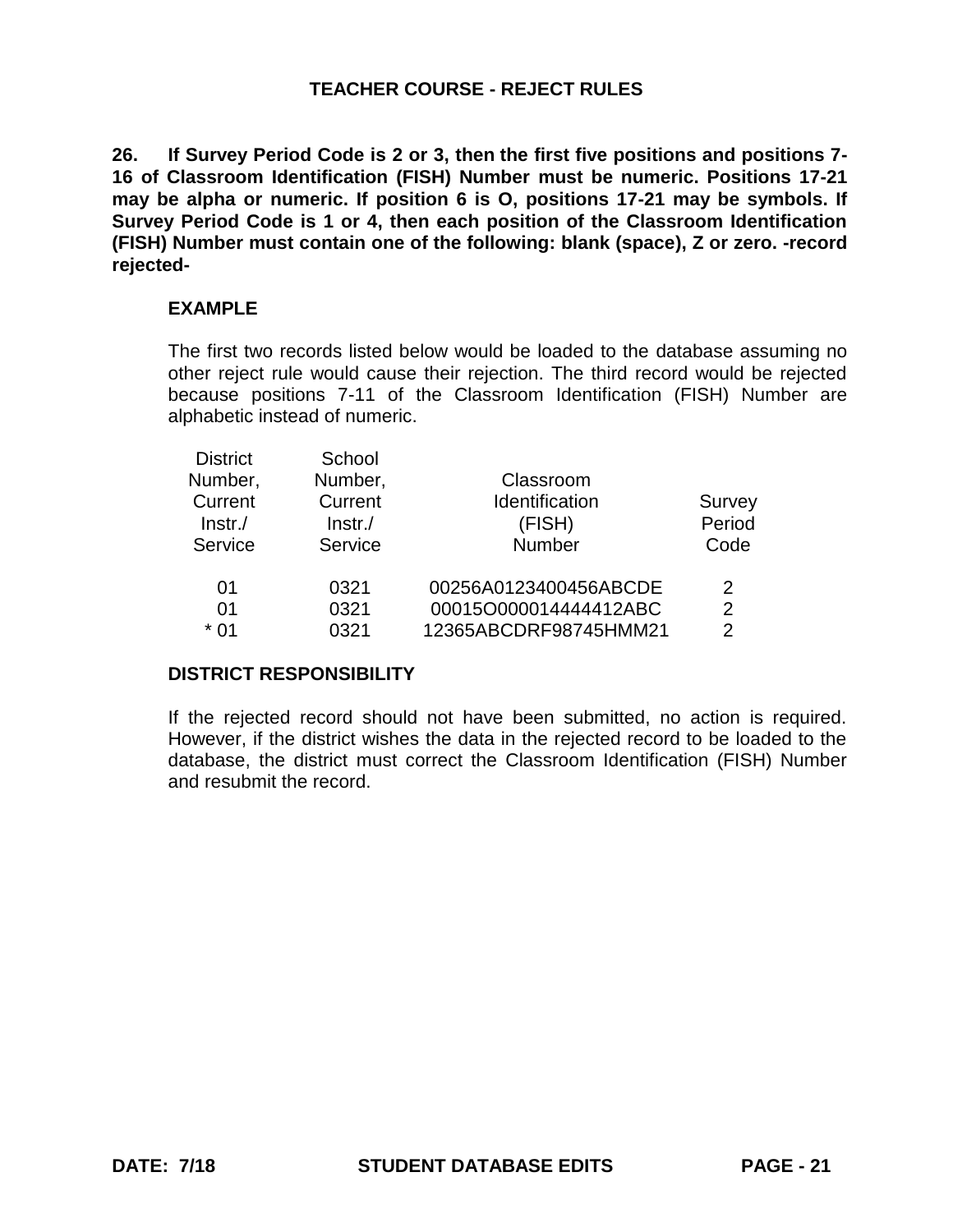**26. If Survey Period Code is 2 or 3, then the first five positions and positions 7- 16 of Classroom Identification (FISH) Number must be numeric. Positions 17-21 may be alpha or numeric. If position 6 is O, positions 17-21 may be symbols. If Survey Period Code is 1 or 4, then each position of the Classroom Identification (FISH) Number must contain one of the following: blank (space), Z or zero. -record rejected-**

# **EXAMPLE**

The first two records listed below would be loaded to the database assuming no other reject rule would cause their rejection. The third record would be rejected because positions 7-11 of the Classroom Identification (FISH) Number are alphabetic instead of numeric.

| <b>District</b> | School  |                       |                |
|-----------------|---------|-----------------------|----------------|
| Number,         | Number, | Classroom             |                |
| Current         | Current | Identification        | Survey         |
| $ lnstr./$      | Instr.  | (FISH)                | Period         |
| Service         | Service | Number                | Code           |
| 01              | 0321    | 00256A0123400456ABCDE | 2              |
| 01              | 0321    | 00015O000014444412ABC | $\overline{2}$ |
| $*01$           | 0321    | 12365ABCDRF98745HMM21 | $\mathcal{P}$  |

# **DISTRICT RESPONSIBILITY**

If the rejected record should not have been submitted, no action is required. However, if the district wishes the data in the rejected record to be loaded to the database, the district must correct the Classroom Identification (FISH) Number and resubmit the record.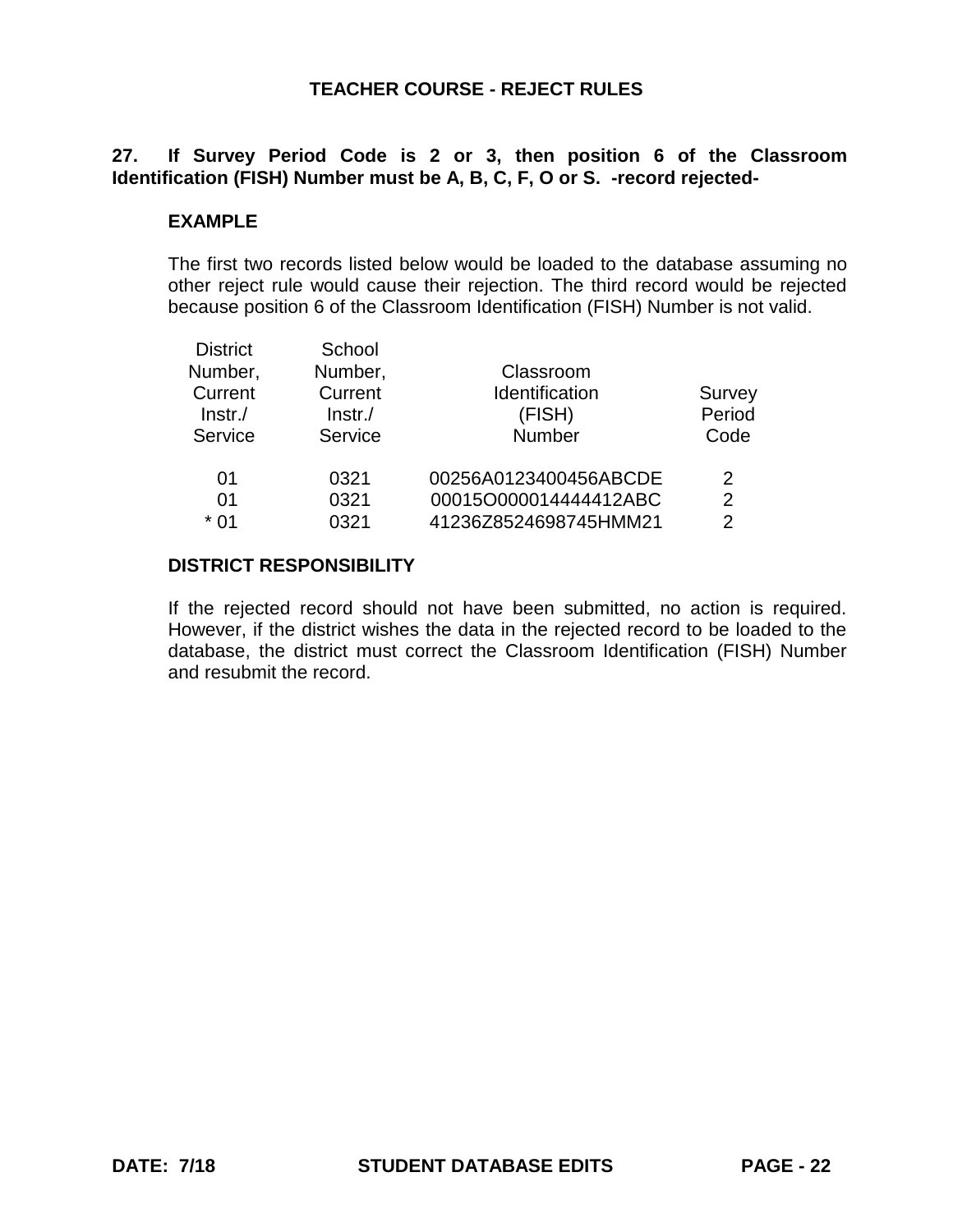# **27. If Survey Period Code is 2 or 3, then position 6 of the Classroom Identification (FISH) Number must be A, B, C, F, O or S. -record rejected-**

# **EXAMPLE**

The first two records listed below would be loaded to the database assuming no other reject rule would cause their rejection. The third record would be rejected because position 6 of the Classroom Identification (FISH) Number is not valid.

| <b>District</b> | School     |                       |               |
|-----------------|------------|-----------------------|---------------|
| Number,         | Number,    | Classroom             |               |
| Current         | Current    | Identification        | Survey        |
| $ lnstr./$      | $ Instr./$ | (FISH)                | Period        |
| Service         | Service    | Number                | Code          |
| 01              | 0321       | 00256A0123400456ABCDE | $\mathcal{P}$ |
| 01              | 0321       | 00015O000014444412ABC | 2             |
| $*01$           | 0321       | 41236Z8524698745HMM21 | $\mathcal{P}$ |
|                 |            |                       |               |

# **DISTRICT RESPONSIBILITY**

If the rejected record should not have been submitted, no action is required. However, if the district wishes the data in the rejected record to be loaded to the database, the district must correct the Classroom Identification (FISH) Number and resubmit the record.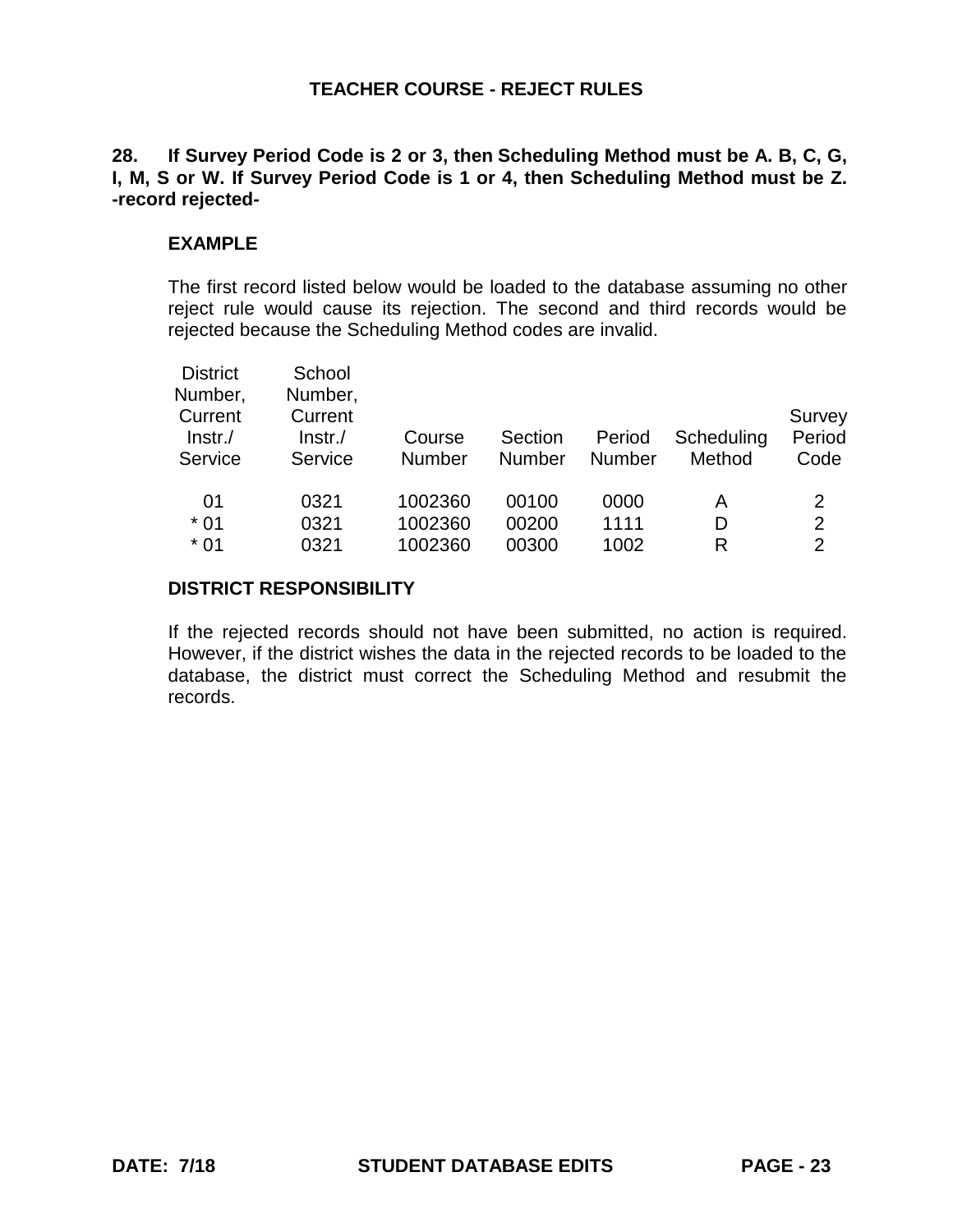# **28. If Survey Period Code is 2 or 3, then Scheduling Method must be A. B, C, G, I, M, S or W. If Survey Period Code is 1 or 4, then Scheduling Method must be Z. -record rejected-**

### **EXAMPLE**

The first record listed below would be loaded to the database assuming no other reject rule would cause its rejection. The second and third records would be rejected because the Scheduling Method codes are invalid.

| <b>District</b><br>Number,<br>Current<br>$ lnstr./$<br>Service | School<br>Number,<br>Current<br>$ lnstr./$<br>Service | Course<br><b>Number</b> | Section<br>Number | Period<br><b>Number</b> | Scheduling<br>Method | Survey<br>Period<br>Code |
|----------------------------------------------------------------|-------------------------------------------------------|-------------------------|-------------------|-------------------------|----------------------|--------------------------|
| 01                                                             | 0321                                                  | 1002360                 | 00100             | 0000                    | Α                    | 2                        |
| $*01$                                                          | 0321                                                  | 1002360                 | 00200             | 1111                    | D                    | $\overline{2}$           |
| $*01$                                                          | 0321                                                  | 1002360                 | 00300             | 1002                    | R                    | $\overline{2}$           |

#### **DISTRICT RESPONSIBILITY**

If the rejected records should not have been submitted, no action is required. However, if the district wishes the data in the rejected records to be loaded to the database, the district must correct the Scheduling Method and resubmit the records.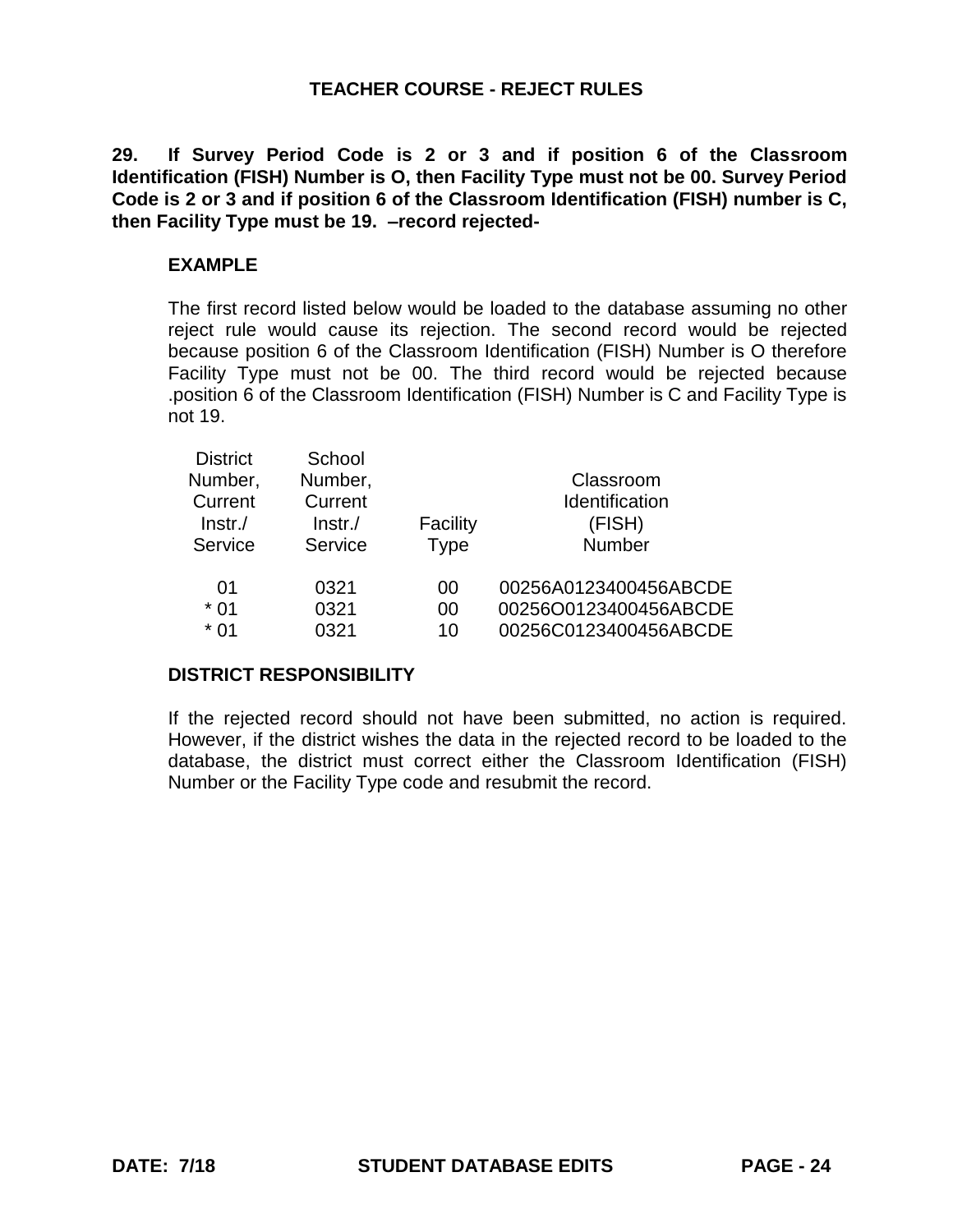**29. If Survey Period Code is 2 or 3 and if position 6 of the Classroom Identification (FISH) Number is O, then Facility Type must not be 00. Survey Period Code is 2 or 3 and if position 6 of the Classroom Identification (FISH) number is C, then Facility Type must be 19. –record rejected-**

# **EXAMPLE**

The first record listed below would be loaded to the database assuming no other reject rule would cause its rejection. The second record would be rejected because position 6 of the Classroom Identification (FISH) Number is O therefore Facility Type must not be 00. The third record would be rejected because .position 6 of the Classroom Identification (FISH) Number is C and Facility Type is not 19.

| <b>District</b> | School     |             |                       |
|-----------------|------------|-------------|-----------------------|
| Number,         | Number,    |             | Classroom             |
| Current         | Current    |             | Identification        |
| $Instr$ ./      | $Instr$ ./ | Facility    | (FISH)                |
| Service         | Service    | <b>Type</b> | Number                |
| 01              | 0321       | 00          | 00256A0123400456ABCDE |
| $*01$           | 0321       | 00          | 00256O0123400456ABCDE |
| $*01$           | 0321       | 10          | 00256C0123400456ABCDE |

# **DISTRICT RESPONSIBILITY**

If the rejected record should not have been submitted, no action is required. However, if the district wishes the data in the rejected record to be loaded to the database, the district must correct either the Classroom Identification (FISH) Number or the Facility Type code and resubmit the record.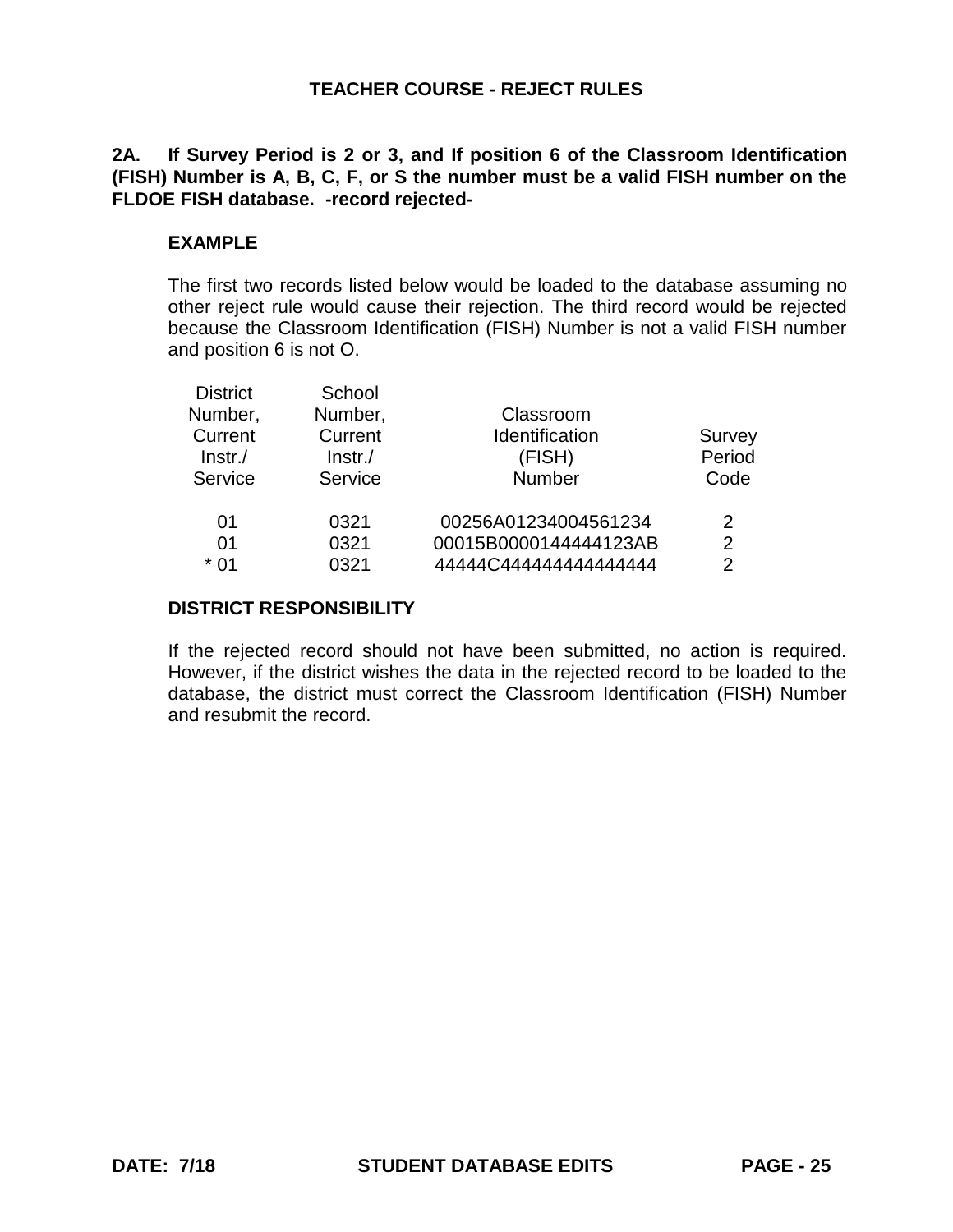**2A. If Survey Period is 2 or 3, and If position 6 of the Classroom Identification (FISH) Number is A, B, C, F, or S the number must be a valid FISH number on the FLDOE FISH database. -record rejected-**

# **EXAMPLE**

The first two records listed below would be loaded to the database assuming no other reject rule would cause their rejection. The third record would be rejected because the Classroom Identification (FISH) Number is not a valid FISH number and position 6 is not O.

| <b>District</b> | School  |                       |               |
|-----------------|---------|-----------------------|---------------|
| Number,         | Number, | Classroom             |               |
| Current         | Current | Identification        | Survey        |
| $ lnstr./$      | Instr.  | (FISH)                | Period        |
| Service         | Service | Number                | Code          |
| 01              | 0321    | 00256A01234004561234  | 2             |
| 01              | 0321    | 00015B0000144444123AB | 2             |
| * 01            | 0321    |                       | $\mathcal{P}$ |
|                 |         |                       |               |

## **DISTRICT RESPONSIBILITY**

If the rejected record should not have been submitted, no action is required. However, if the district wishes the data in the rejected record to be loaded to the database, the district must correct the Classroom Identification (FISH) Number and resubmit the record.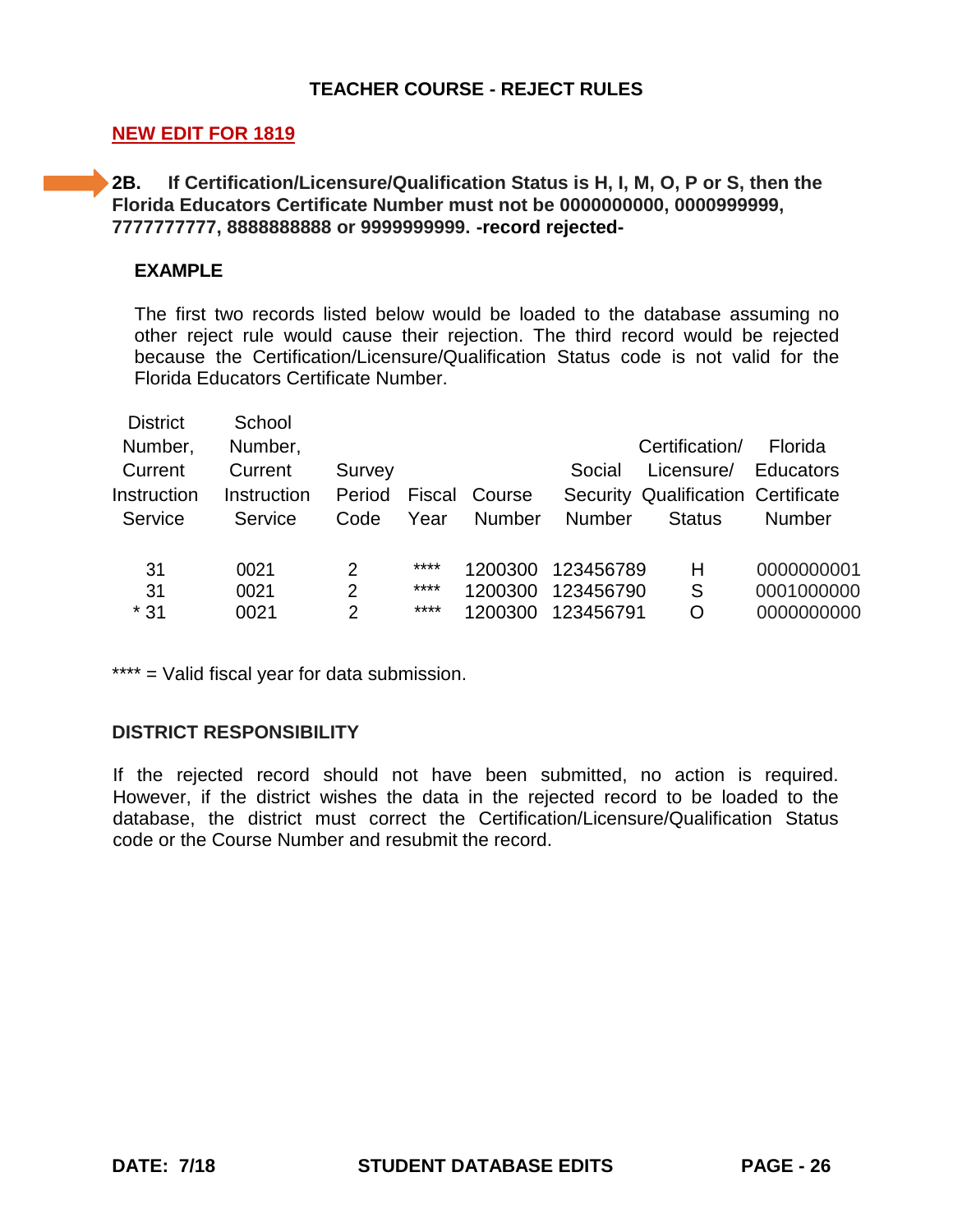# **NEW EDIT FOR 1819**

**2B. If Certification/Licensure/Qualification Status is H, I, M, O, P or S, then the Florida Educators Certificate Number must not be 0000000000, 0000999999, 7777777777, 8888888888 or 9999999999. -record rejected-**

### **EXAMPLE**

The first two records listed below would be loaded to the database assuming no other reject rule would cause their rejection. The third record would be rejected because the Certification/Licensure/Qualification Status code is not valid for the Florida Educators Certificate Number.

| <b>District</b><br>Number, | School<br>Number,      |                  |        |         |               | Certification/                                   | Florida    |
|----------------------------|------------------------|------------------|--------|---------|---------------|--------------------------------------------------|------------|
| Current<br>Instruction     | Current<br>Instruction | Survey<br>Period | Fiscal | Course  | Social        | Licensure/<br>Security Qualification Certificate | Educators  |
| Service                    | Service                | Code             | Year   | Number  | <b>Number</b> | <b>Status</b>                                    | Number     |
| 31                         | 0021                   | 2                | ****   | 1200300 | 123456789     | Н                                                | 0000000001 |
| 31                         | 0021                   | $\overline{2}$   | ****   | 1200300 | 123456790     | S                                                | 0001000000 |
| $*31$                      | 0021                   | 2                | ****   | 1200300 | 123456791     | O                                                | 0000000000 |

\*\*\*\* = Valid fiscal year for data submission.

# **DISTRICT RESPONSIBILITY**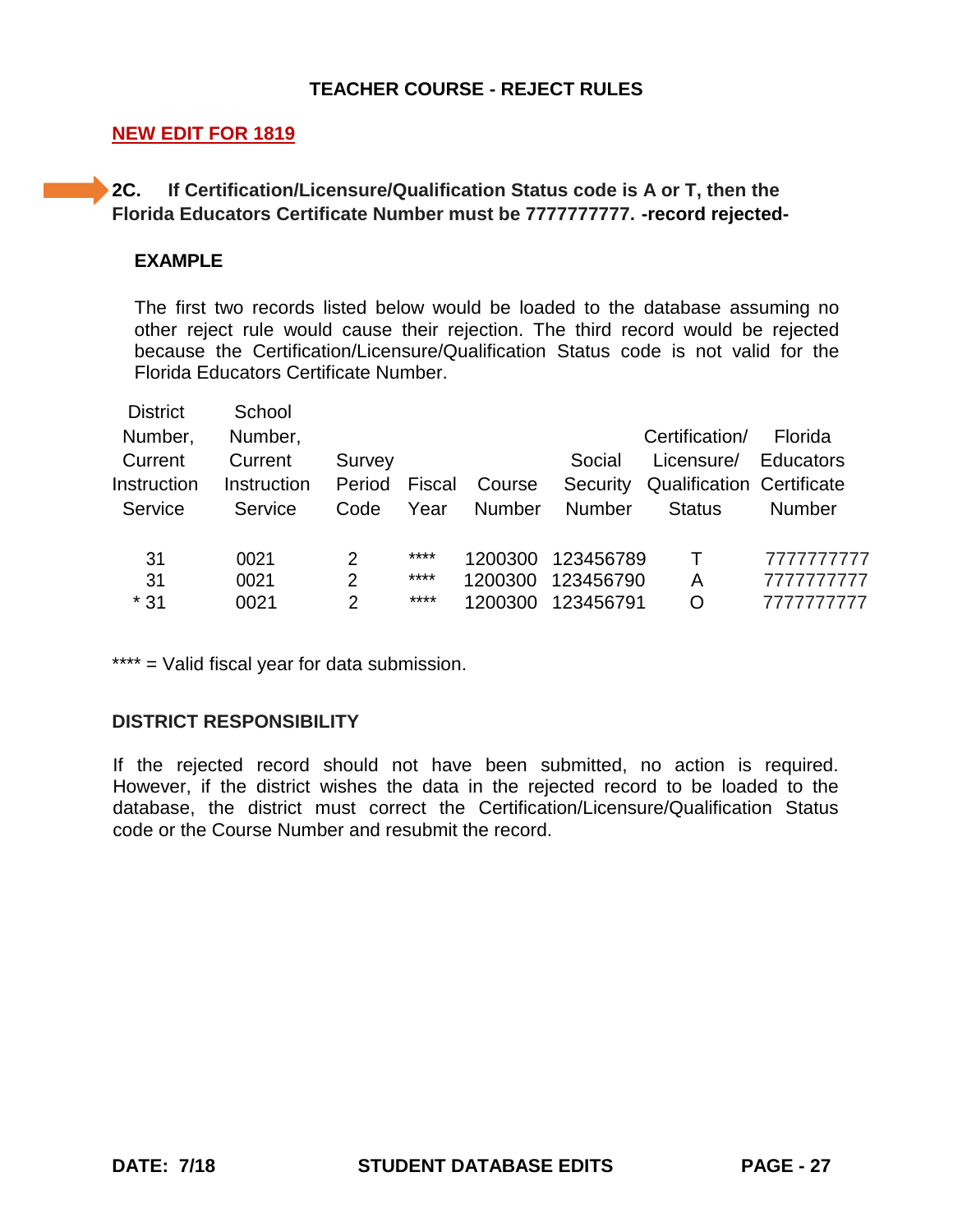# **NEW EDIT FOR 1819**

# **2C. If Certification/Licensure/Qualification Status code is A or T, then the Florida Educators Certificate Number must be 7777777777. -record rejected-**

### **EXAMPLE**

The first two records listed below would be loaded to the database assuming no other reject rule would cause their rejection. The third record would be rejected because the Certification/Licensure/Qualification Status code is not valid for the Florida Educators Certificate Number.

| <b>District</b> | School      |                |        |               |               |                                  |                  |
|-----------------|-------------|----------------|--------|---------------|---------------|----------------------------------|------------------|
| Number,         | Number,     |                |        |               |               | Certification/                   | Florida          |
| Current         | Current     | Survey         |        |               | Social        | Licensure/                       | <b>Educators</b> |
| Instruction     | Instruction | Period         | Fiscal | Course        | Security      | <b>Qualification Certificate</b> |                  |
| Service         | Service     | Code           | Year   | <b>Number</b> | <b>Number</b> | <b>Status</b>                    | Number           |
| 31              | 0021        | 2              | ****   | 1200300       | 123456789     | $\top$                           | 7777777777       |
| 31              | 0021        | $\overline{2}$ | ****   | 1200300       | 123456790     | A                                | 7777777777       |
| $*31$           | 0021        | $\mathcal{P}$  | ****   | 1200300       | 123456791     | O                                | 7777777777       |
|                 |             |                |        |               |               |                                  |                  |

\*\*\*\* = Valid fiscal year for data submission.

# **DISTRICT RESPONSIBILITY**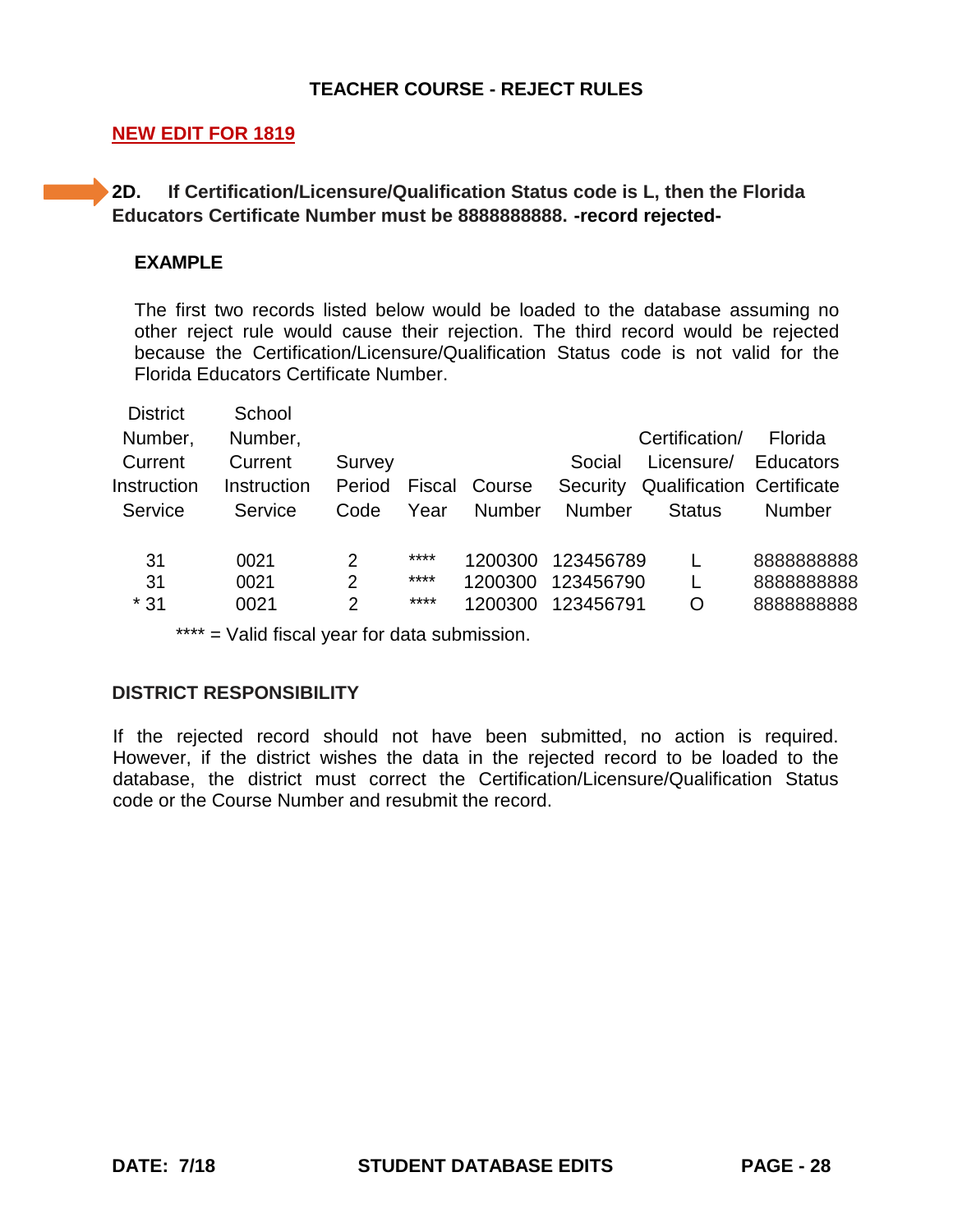# **NEW EDIT FOR 1819**

**2D. If Certification/Licensure/Qualification Status code is L, then the Florida Educators Certificate Number must be 8888888888. -record rejected-**

## **EXAMPLE**

The first two records listed below would be loaded to the database assuming no other reject rule would cause their rejection. The third record would be rejected because the Certification/Licensure/Qualification Status code is not valid for the Florida Educators Certificate Number.

| <b>District</b> | School             |                |        |         |               |                                  |                  |
|-----------------|--------------------|----------------|--------|---------|---------------|----------------------------------|------------------|
| Number,         | Number,            |                |        |         |               | Certification/                   | Florida          |
| Current         | Current            | Survey         |        |         | Social        | Licensure/                       | <b>Educators</b> |
| Instruction     | <b>Instruction</b> | Period         | Fiscal | Course  | Security      | <b>Qualification Certificate</b> |                  |
| Service         | Service            | Code           | Year   | Number  | <b>Number</b> | <b>Status</b>                    | Number           |
| 31              | 0021               | 2              | ****   | 1200300 | 123456789     |                                  | 888888888        |
| 31              | 0021               | $\overline{2}$ | ****   | 1200300 | 123456790     | L                                | 888888888        |
| $*31$           | 0021               | $\overline{2}$ | ****   | 1200300 | 123456791     | O                                | 888888888        |
|                 |                    |                |        |         |               |                                  |                  |

\*\*\*\* = Valid fiscal year for data submission.

#### **DISTRICT RESPONSIBILITY**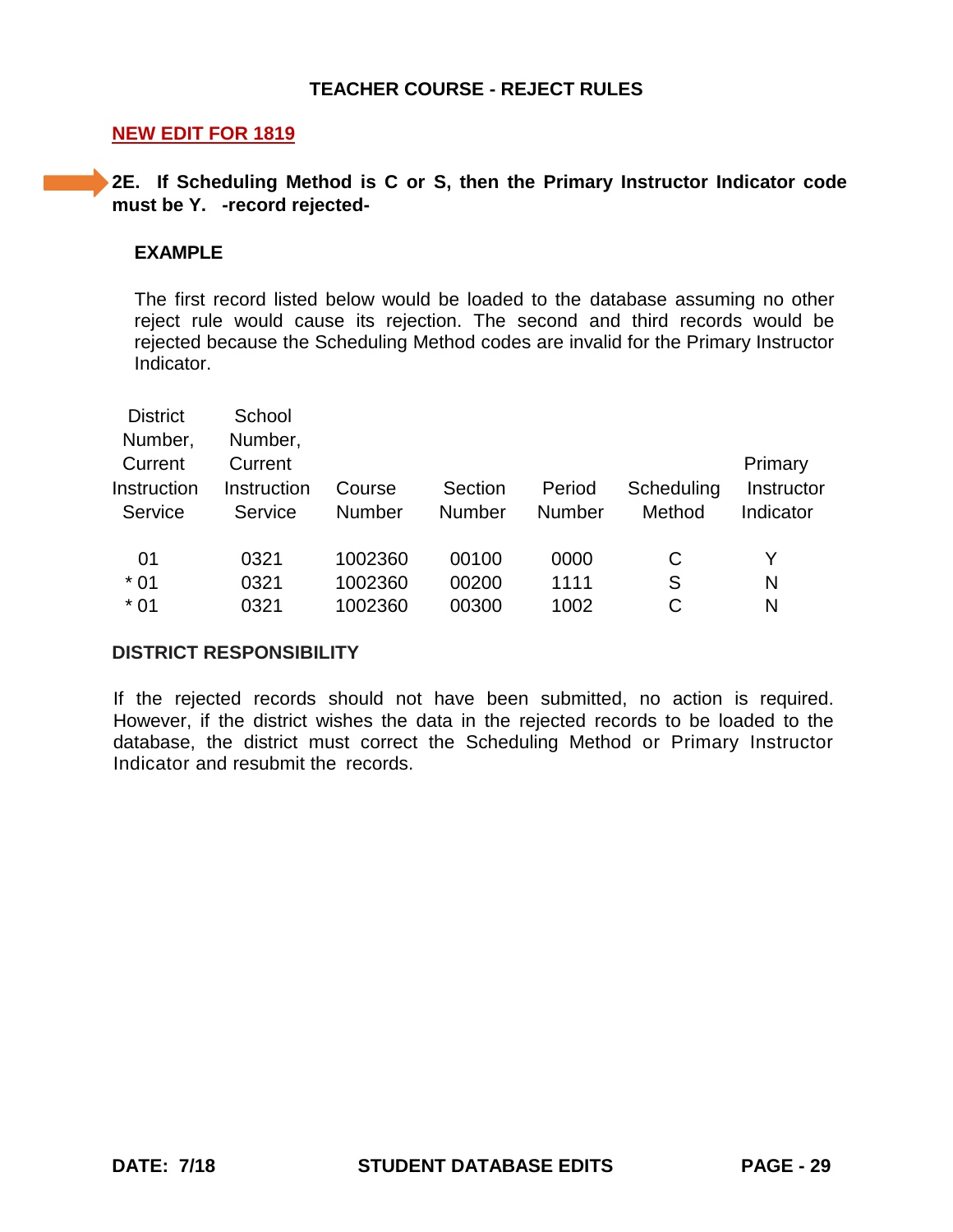### **NEW EDIT FOR 1819**

# **2E.** If Scheduling Method is C or S, then the Primary Instructor Indicator code **must be Y. -record rejected-**

#### **EXAMPLE**

The first record listed below would be loaded to the database assuming no other reject rule would cause its rejection. The second and third records would be rejected because the Scheduling Method codes are invalid for the Primary Instructor **Indicator** 

| <b>District</b> | School      |         |         |        |            |            |
|-----------------|-------------|---------|---------|--------|------------|------------|
| Number,         | Number,     |         |         |        |            |            |
| Current         | Current     |         |         |        |            | Primary    |
| Instruction     | Instruction | Course  | Section | Period | Scheduling | Instructor |
| Service         | Service     | Number  | Number  | Number | Method     | Indicator  |
|                 |             |         |         |        |            |            |
| 01              | 0321        | 1002360 | 00100   | 0000   | C          | Y          |
| $*01$           | 0321        | 1002360 | 00200   | 1111   | S          | N          |
| $*01$           | 0321        | 1002360 | 00300   | 1002   |            | N          |

#### **DISTRICT RESPONSIBILITY**

If the rejected records should not have been submitted, no action is required. However, if the district wishes the data in the rejected records to be loaded to the database, the district must correct the Scheduling Method or Primary Instructor Indicator and resubmit the records.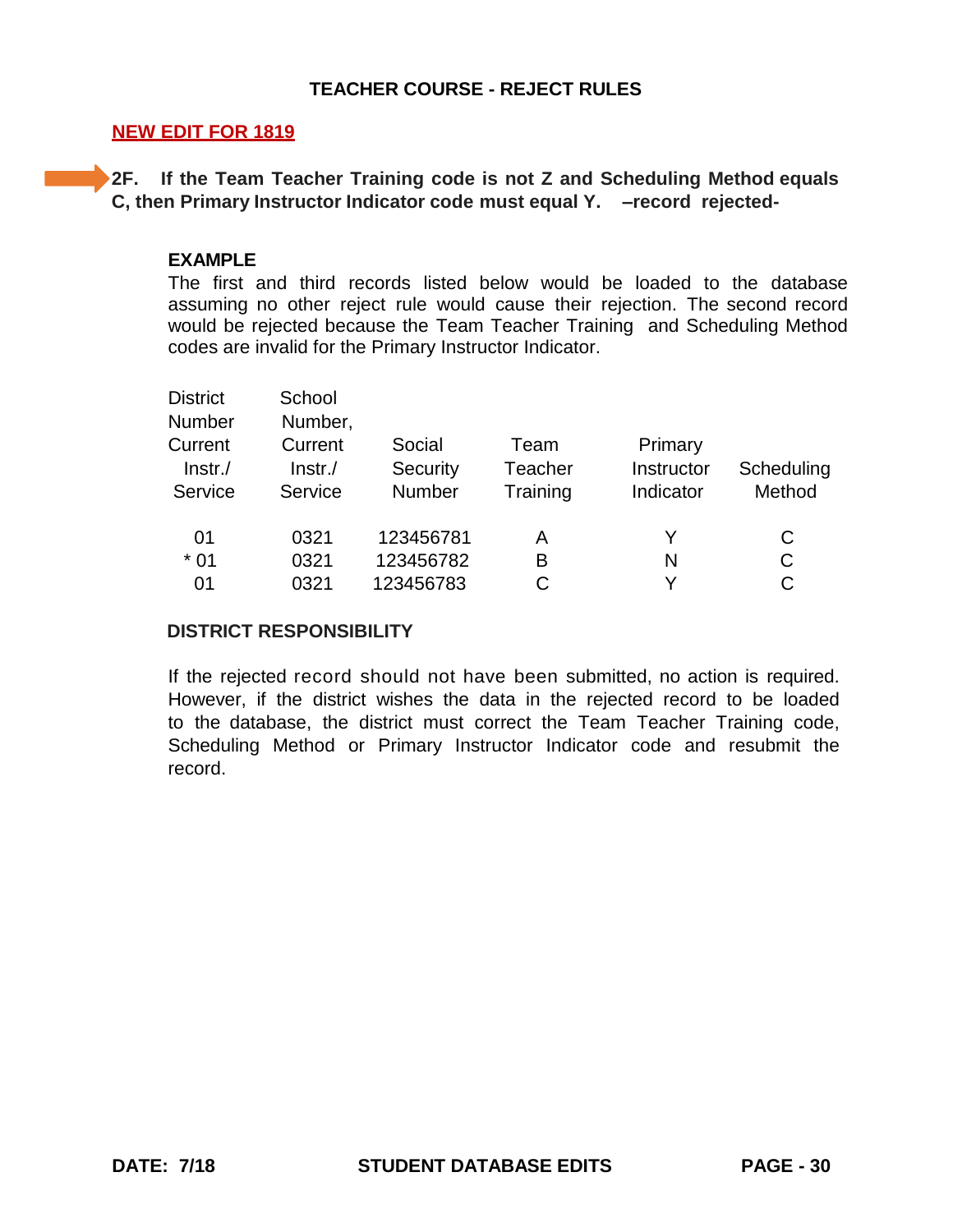### **NEW EDIT FOR 1819**

**2F. If the Team Teacher Training code is not Z and Scheduling Method equals C, then Primary Instructor Indicator code must equal Y. –record rejected-**

### **EXAMPLE**

The first and third records listed below would be loaded to the database assuming no other reject rule would cause their rejection. The second record would be rejected because the Team Teacher Training and Scheduling Method codes are invalid for the Primary Instructor Indicator.

| <b>District</b> | School     |           |          |            |            |
|-----------------|------------|-----------|----------|------------|------------|
| Number          | Number,    |           |          |            |            |
| Current         | Current    | Social    | Team     | Primary    |            |
| $Instr$ ./      | $ lnstr./$ | Security  | Teacher  | Instructor | Scheduling |
| Service         | Service    | Number    | Training | Indicator  | Method     |
| 01              | 0321       | 123456781 | Α        | Y          | C          |
| $*01$           | 0321       | 123456782 | B        | N          | C          |
| 01              | 0321       | 123456783 | С        | v          | C          |

#### **DISTRICT RESPONSIBILITY**

If the rejected record should not have been submitted, no action is required. However, if the district wishes the data in the rejected record to be loaded to the database, the district must correct the Team Teacher Training code, Scheduling Method or Primary Instructor Indicator code and resubmit the record.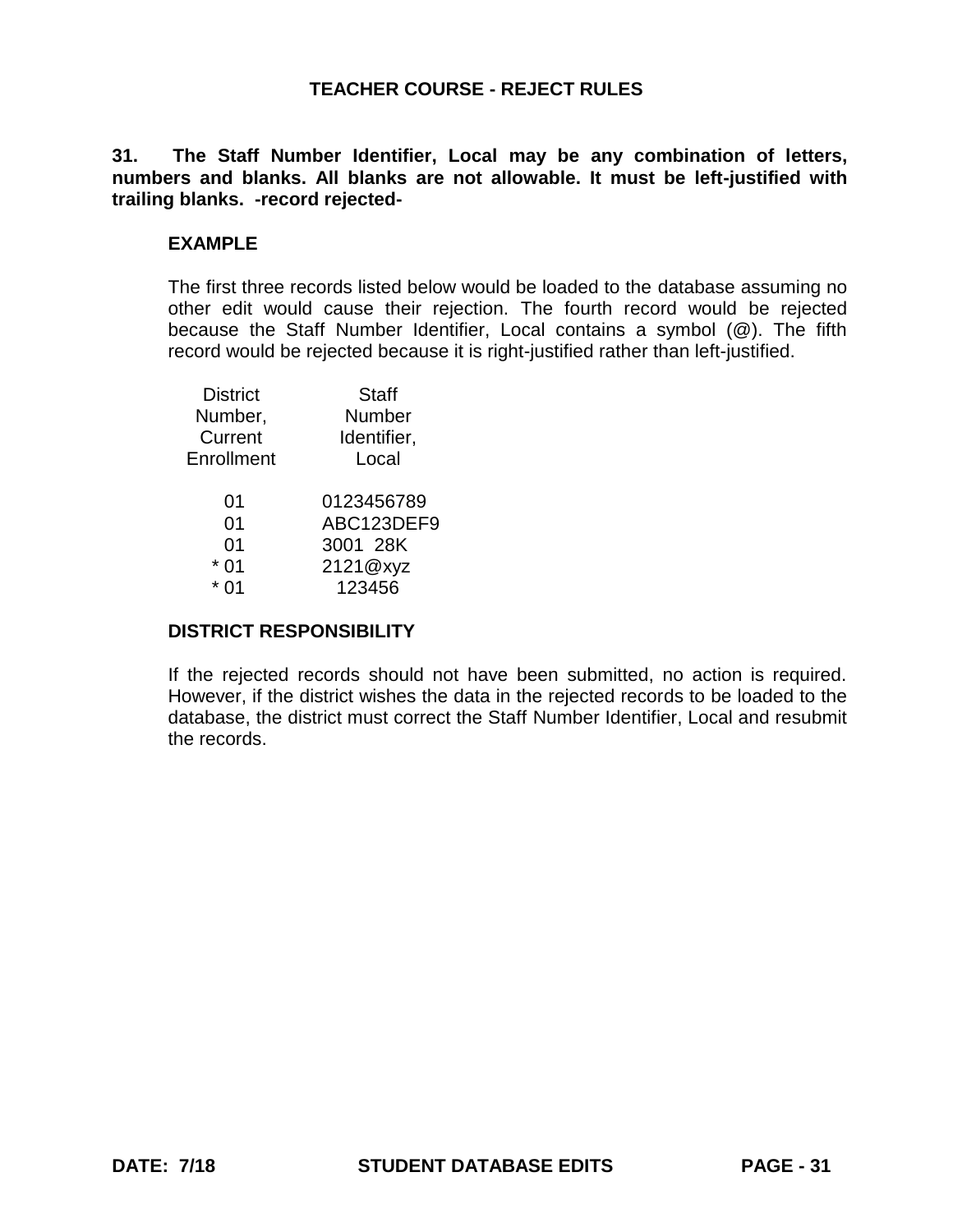**31. The Staff Number Identifier, Local may be any combination of letters, numbers and blanks. All blanks are not allowable. It must be left-justified with trailing blanks. -record rejected-**

# **EXAMPLE**

The first three records listed below would be loaded to the database assuming no other edit would cause their rejection. The fourth record would be rejected because the Staff Number Identifier, Local contains a symbol (@). The fifth record would be rejected because it is right-justified rather than left-justified.

| <b>District</b> | <b>Staff</b> |
|-----------------|--------------|
| Number,         | Number       |
| Current         | Identifier,  |
| Enrollment      | Local        |
| 01              | 0123456789   |
| 01              | ABC123DEF9   |
| 01              | 3001 28K     |
| 0 <sub>1</sub>  | 2121@xyz     |
| ሰ1              | 123456       |
|                 |              |

# **DISTRICT RESPONSIBILITY**

If the rejected records should not have been submitted, no action is required. However, if the district wishes the data in the rejected records to be loaded to the database, the district must correct the Staff Number Identifier, Local and resubmit the records.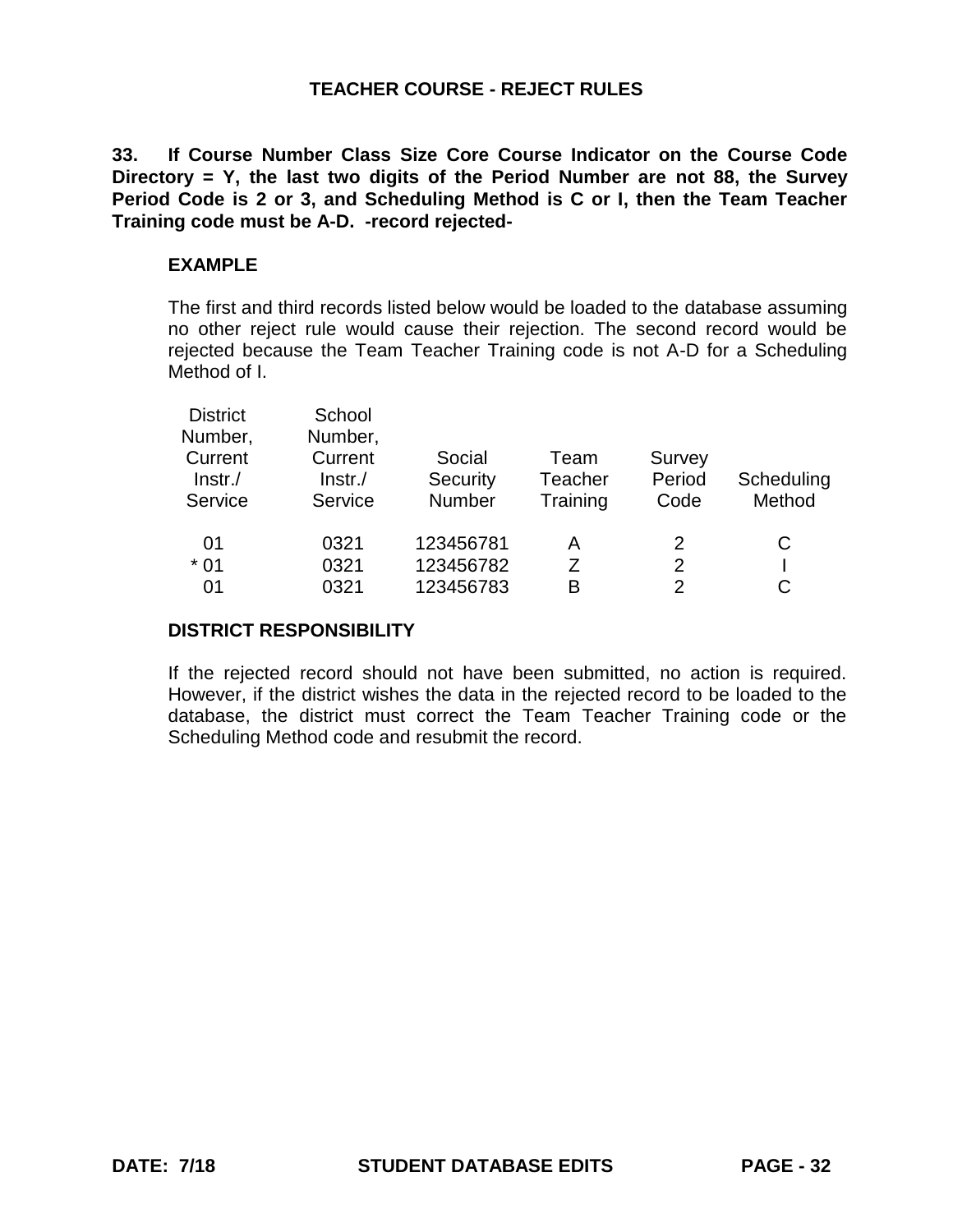**33. If Course Number Class Size Core Course Indicator on the Course Code Directory = Y, the last two digits of the Period Number are not 88, the Survey Period Code is 2 or 3, and Scheduling Method is C or I, then the Team Teacher Training code must be A-D. -record rejected-**

# **EXAMPLE**

The first and third records listed below would be loaded to the database assuming no other reject rule would cause their rejection. The second record would be rejected because the Team Teacher Training code is not A-D for a Scheduling Method of I.

| <b>District</b> | School  |           |          |               |            |
|-----------------|---------|-----------|----------|---------------|------------|
| Number,         | Number, |           |          |               |            |
| Current         | Current | Social    | Team     | Survey        |            |
| $Instr$ ./      | Instr.  | Security  | Teacher  | Period        | Scheduling |
| Service         | Service | Number    | Training | Code          | Method     |
| 01              | 0321    | 123456781 | А        | 2             | С          |
| $*01$           | 0321    | 123456782 |          | 2             |            |
| 01              | 0321    | 123456783 | В        | $\mathcal{P}$ |            |
|                 |         |           |          |               |            |

#### **DISTRICT RESPONSIBILITY**

If the rejected record should not have been submitted, no action is required. However, if the district wishes the data in the rejected record to be loaded to the database, the district must correct the Team Teacher Training code or the Scheduling Method code and resubmit the record.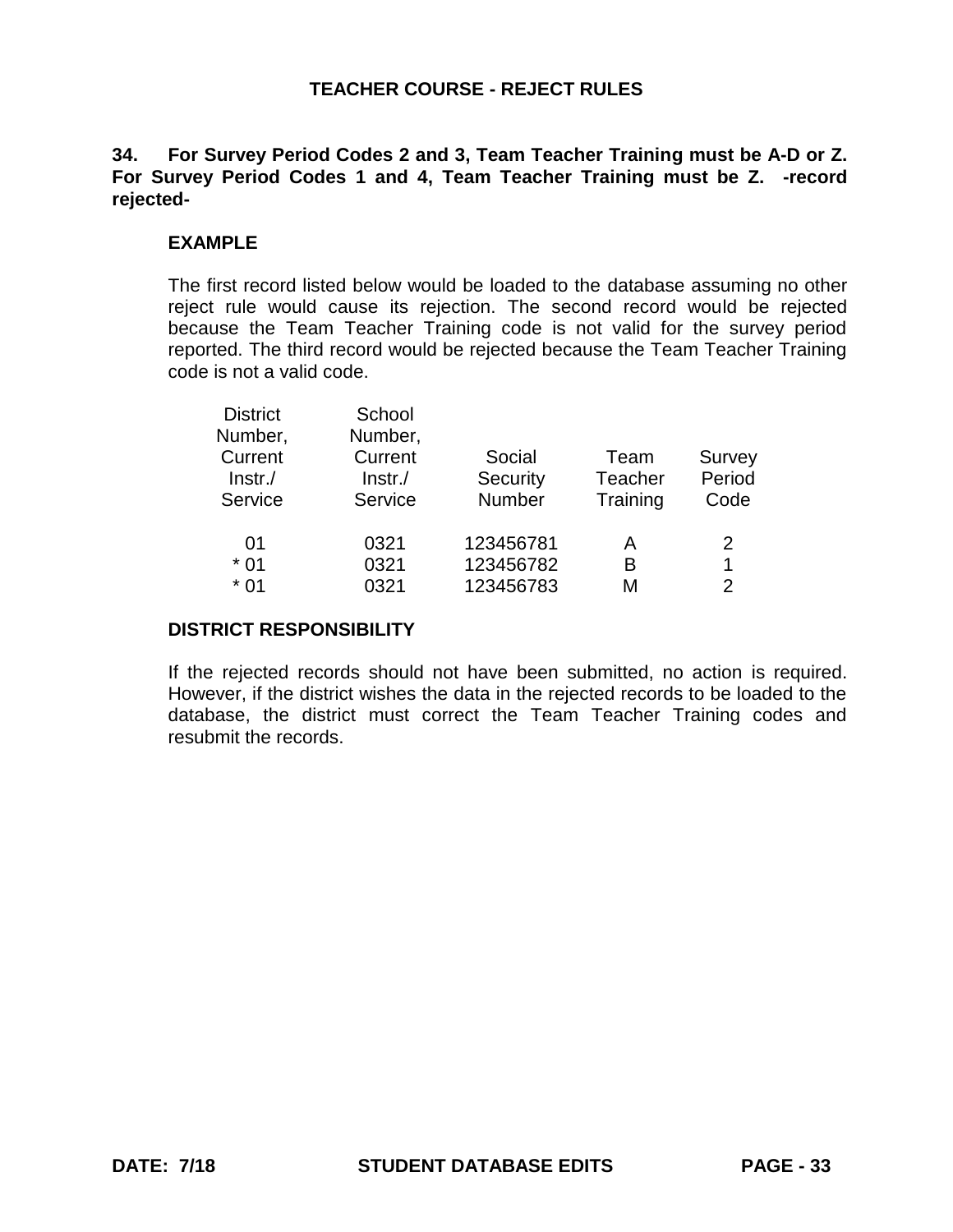# **34. For Survey Period Codes 2 and 3, Team Teacher Training must be A-D or Z. For Survey Period Codes 1 and 4, Team Teacher Training must be Z. -record rejected-**

## **EXAMPLE**

The first record listed below would be loaded to the database assuming no other reject rule would cause its rejection. The second record would be rejected because the Team Teacher Training code is not valid for the survey period reported. The third record would be rejected because the Team Teacher Training code is not a valid code.

| <b>District</b> | School     |           |          |               |
|-----------------|------------|-----------|----------|---------------|
| Number,         | Number,    |           |          |               |
| Current         | Current    | Social    | Team     | Survey        |
| $ Instr./$      | $ Instr./$ | Security  | Teacher  | Period        |
| Service         | Service    | Number    | Training | Code          |
| 01              | 0321       | 123456781 | Α        | 2             |
| $*01$           | 0321       | 123456782 | B        | 1             |
| $*01$           | 0321       | 123456783 | М        | $\mathcal{P}$ |
|                 |            |           |          |               |

#### **DISTRICT RESPONSIBILITY**

If the rejected records should not have been submitted, no action is required. However, if the district wishes the data in the rejected records to be loaded to the database, the district must correct the Team Teacher Training codes and resubmit the records.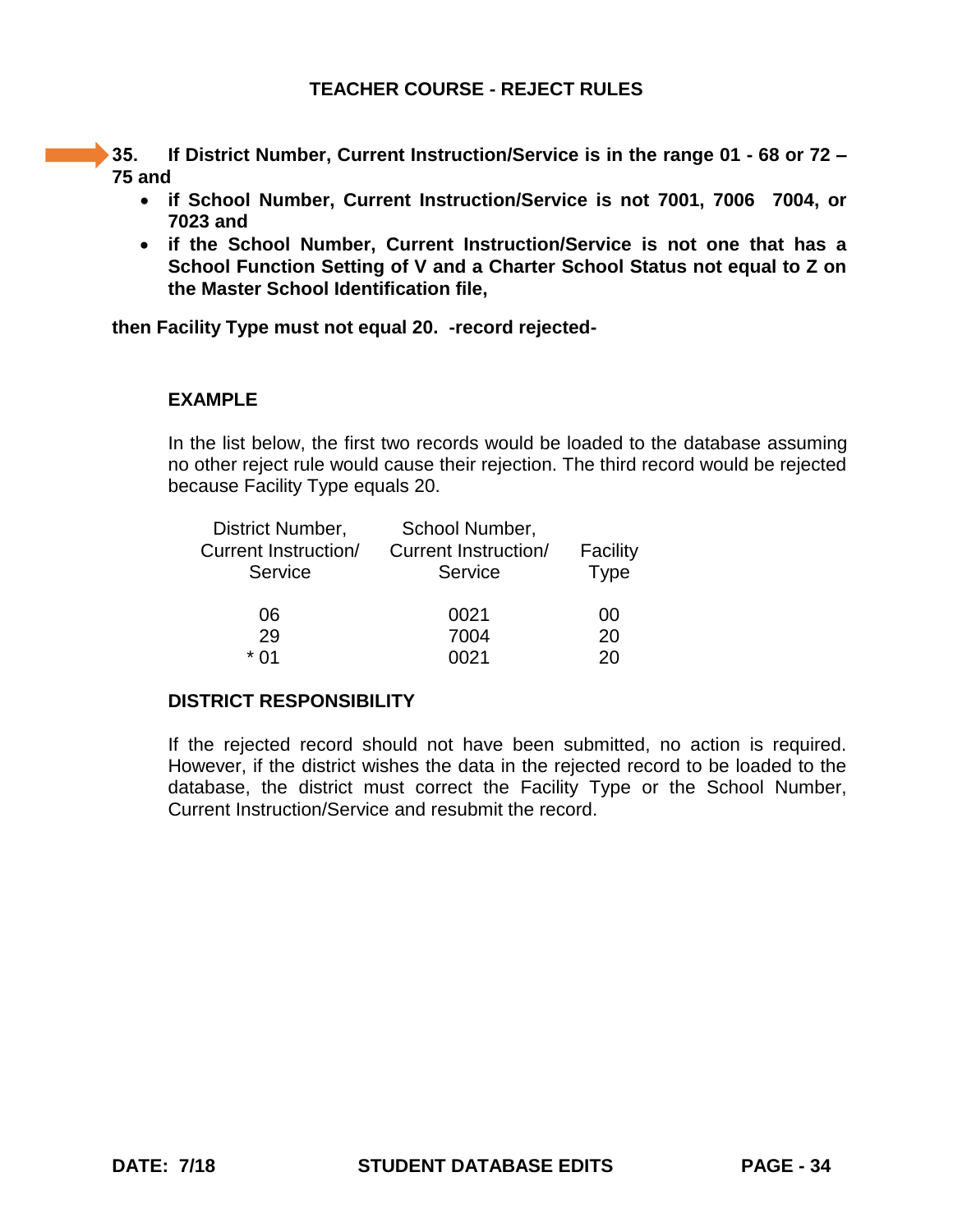**35. If District Number, Current Instruction/Service is in the range 01 - 68 or 72 – 75 and**

- **if School Number, Current Instruction/Service is not 7001, 7006 7004, or 7023 and**
- **if the School Number, Current Instruction/Service is not one that has a School Function Setting of V and a Charter School Status not equal to Z on the Master School Identification file,**

**then Facility Type must not equal 20. -record rejected-**

#### **EXAMPLE**

In the list below, the first two records would be loaded to the database assuming no other reject rule would cause their rejection. The third record would be rejected because Facility Type equals 20.

| District Number,     | School Number,              |          |
|----------------------|-----------------------------|----------|
| Current Instruction/ | <b>Current Instruction/</b> | Facility |
| Service              | Service                     | Type     |
| 06                   | 0021                        | 00       |
| 29                   | 7004                        | 20       |
| * በ1                 | በበ21                        | 20       |

#### **DISTRICT RESPONSIBILITY**

If the rejected record should not have been submitted, no action is required. However, if the district wishes the data in the rejected record to be loaded to the database, the district must correct the Facility Type or the School Number, Current Instruction/Service and resubmit the record.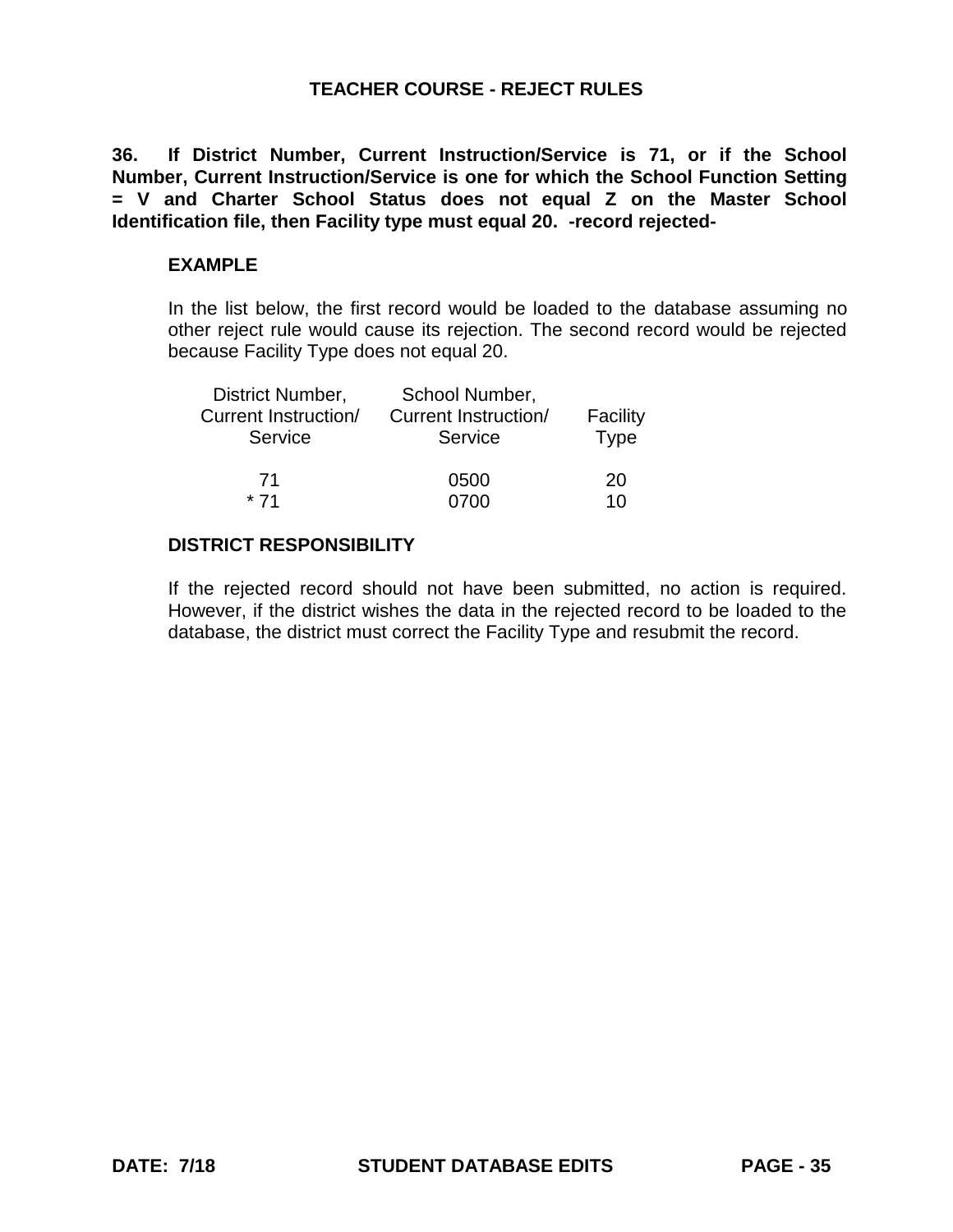**36. If District Number, Current Instruction/Service is 71, or if the School Number, Current Instruction/Service is one for which the School Function Setting = V and Charter School Status does not equal Z on the Master School Identification file, then Facility type must equal 20. -record rejected-**

## **EXAMPLE**

In the list below, the first record would be loaded to the database assuming no other reject rule would cause its rejection. The second record would be rejected because Facility Type does not equal 20.

| District Number,     | School Number,       |                |
|----------------------|----------------------|----------------|
| Current Instruction/ | Current Instruction/ | Facility       |
| Service              | Service              | <b>Type</b>    |
| 71                   | 0500                 | 20             |
| $*71$                | 0700                 | 1 <sub>0</sub> |

### **DISTRICT RESPONSIBILITY**

If the rejected record should not have been submitted, no action is required. However, if the district wishes the data in the rejected record to be loaded to the database, the district must correct the Facility Type and resubmit the record.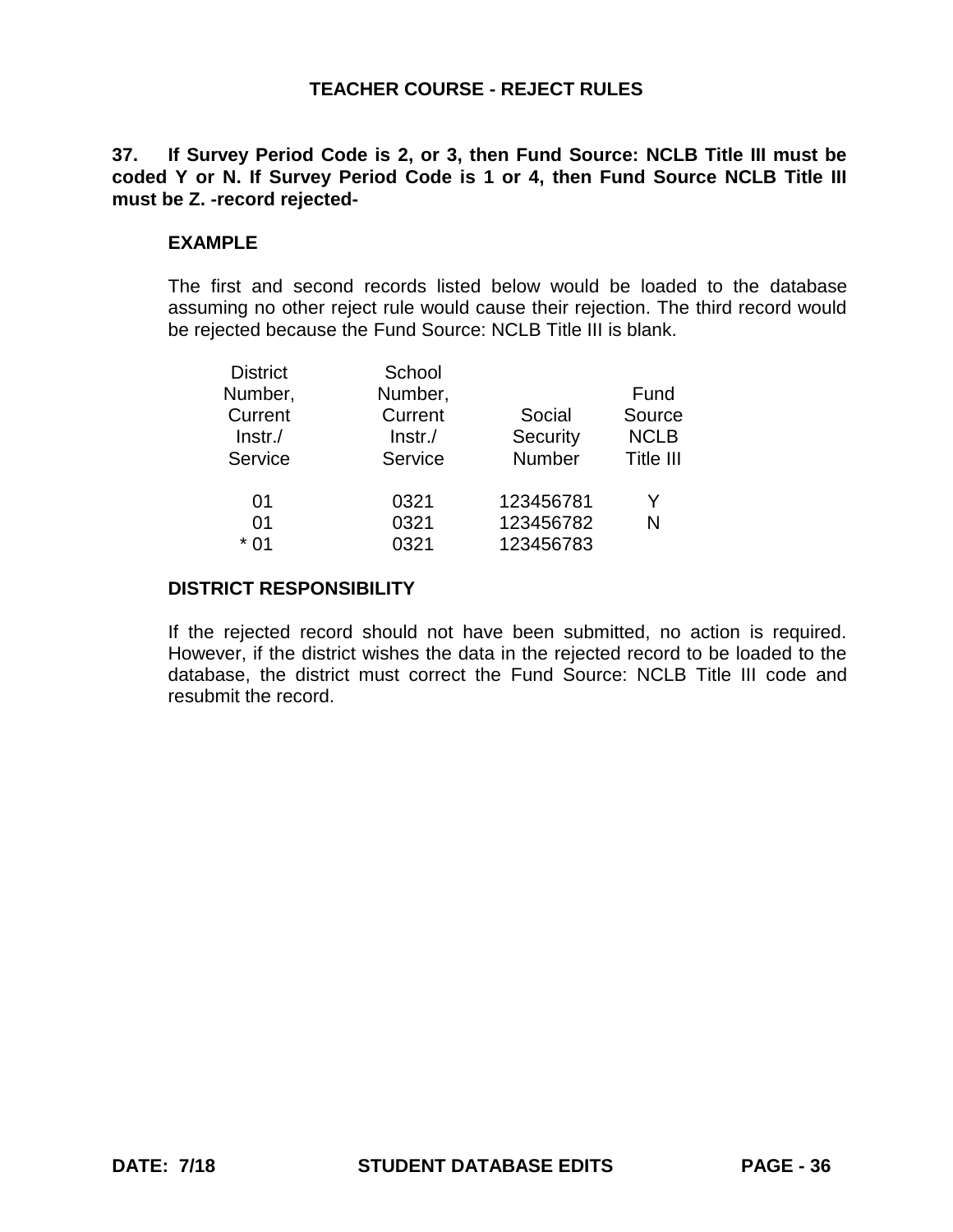# **37. If Survey Period Code is 2, or 3, then Fund Source: NCLB Title III must be coded Y or N. If Survey Period Code is 1 or 4, then Fund Source NCLB Title III must be Z. -record rejected-**

## **EXAMPLE**

The first and second records listed below would be loaded to the database assuming no other reject rule would cause their rejection. The third record would be rejected because the Fund Source: NCLB Title III is blank.

| <b>District</b><br>Number,<br>Current<br>$ Instr./$ | School<br>Number,<br>Current<br>$ Instr./$ | Social<br>Security | Fund<br>Source<br><b>NCLB</b> |
|-----------------------------------------------------|--------------------------------------------|--------------------|-------------------------------|
| Service                                             | Service                                    | Number             | Title III                     |
| 01                                                  | 0321                                       | 123456781          | Y                             |
| 01                                                  | 0321                                       | 123456782          | N                             |
| * በ1                                                | 0321                                       | 123456783          |                               |

#### **DISTRICT RESPONSIBILITY**

If the rejected record should not have been submitted, no action is required. However, if the district wishes the data in the rejected record to be loaded to the database, the district must correct the Fund Source: NCLB Title III code and resubmit the record.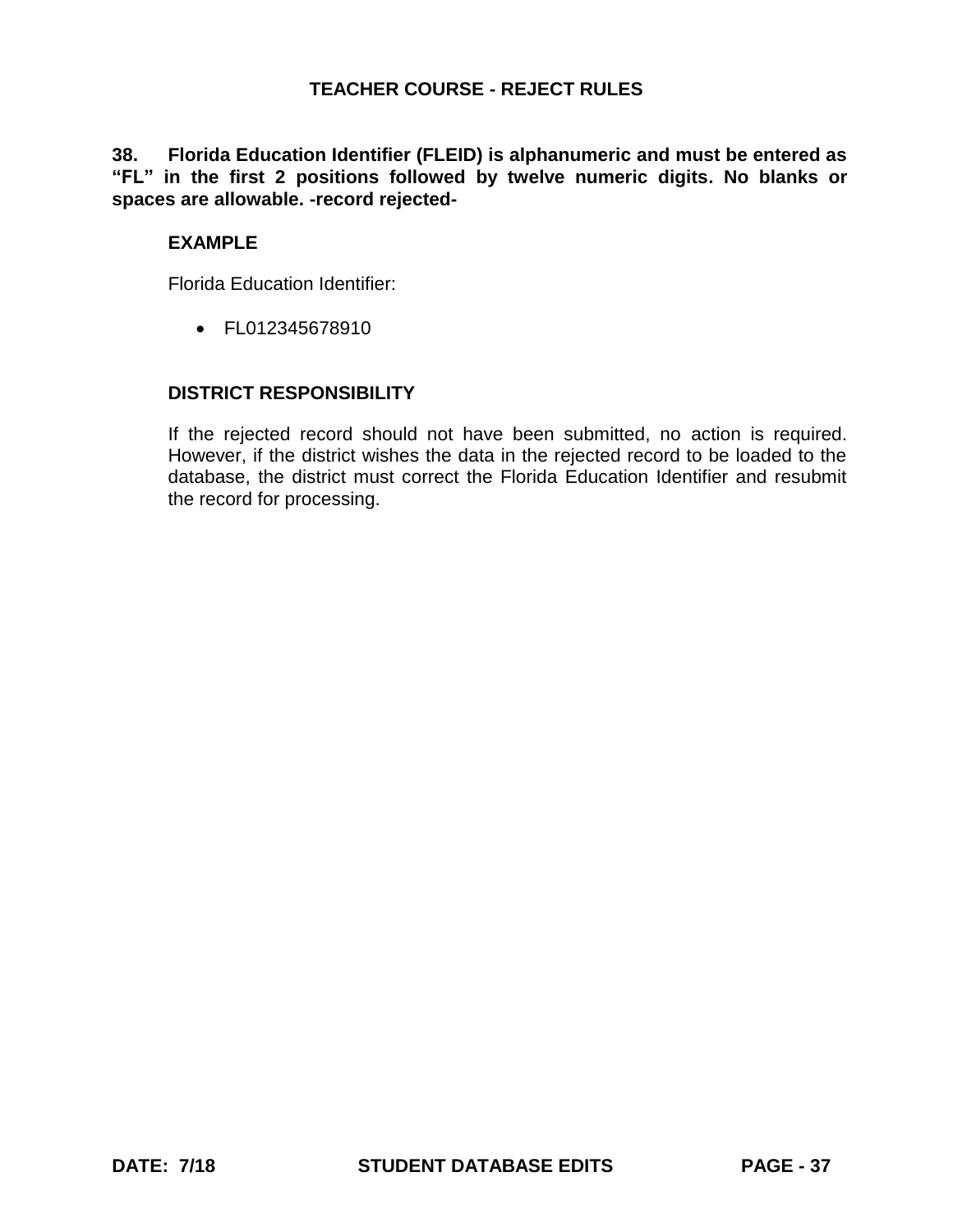# **38. Florida Education Identifier (FLEID) is alphanumeric and must be entered as "FL" in the first 2 positions followed by twelve numeric digits. No blanks or spaces are allowable. -record rejected-**

# **EXAMPLE**

Florida Education Identifier:

FL012345678910

# **DISTRICT RESPONSIBILITY**

If the rejected record should not have been submitted, no action is required. However, if the district wishes the data in the rejected record to be loaded to the database, the district must correct the Florida Education Identifier and resubmit the record for processing.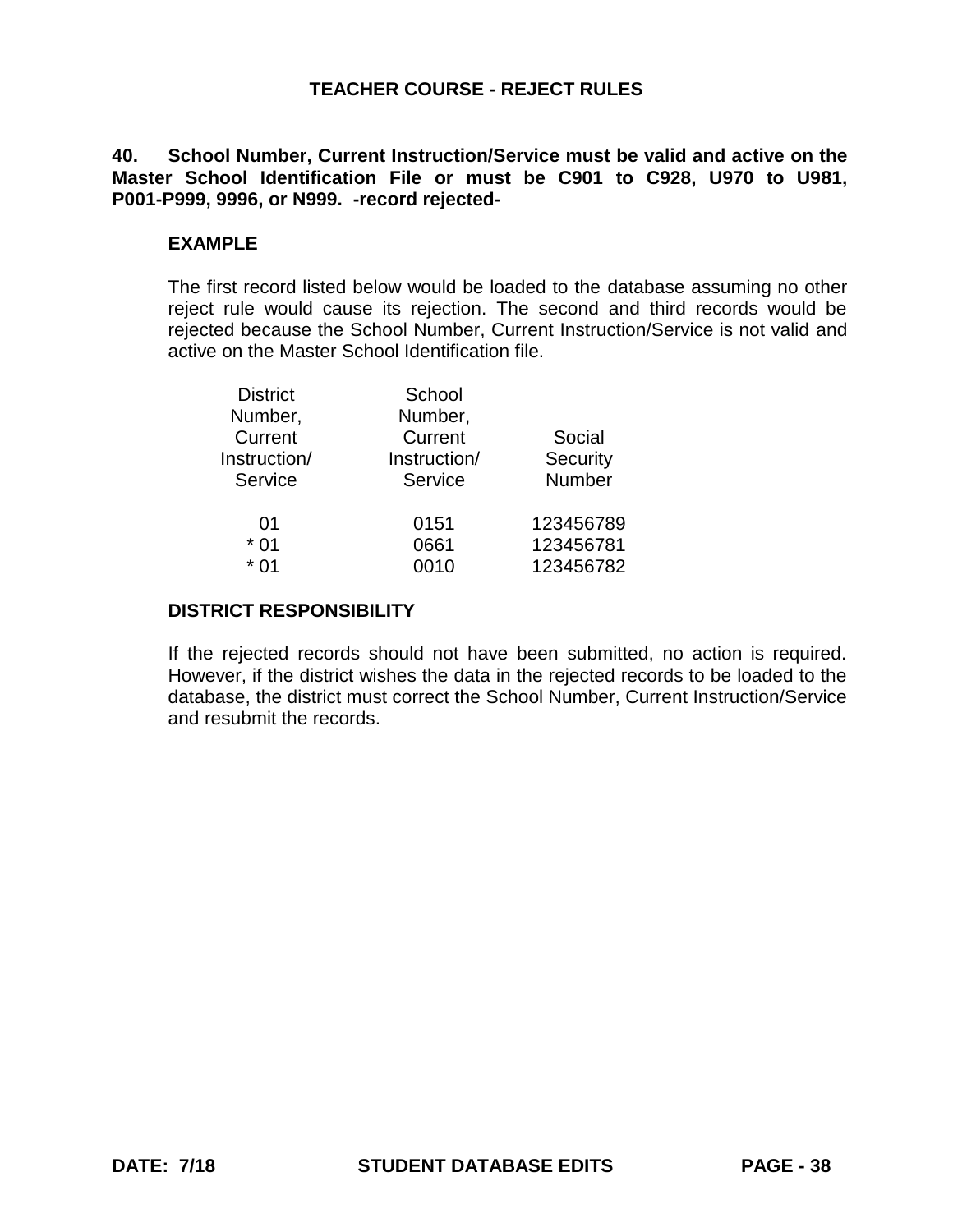# **40. School Number, Current Instruction/Service must be valid and active on the Master School Identification File or must be C901 to C928, U970 to U981, P001-P999, 9996, or N999. -record rejected-**

# **EXAMPLE**

The first record listed below would be loaded to the database assuming no other reject rule would cause its rejection. The second and third records would be rejected because the School Number, Current Instruction/Service is not valid and active on the Master School Identification file.

| <b>District</b> | School       |           |
|-----------------|--------------|-----------|
| Number,         | Number,      |           |
| Current         | Current      | Social    |
| Instruction/    | Instruction/ | Security  |
| Service         | Service      | Number    |
| 01              | 0151         | 123456789 |
| $*01$           | 0661         | 123456781 |
| $*$ 01          | 0010         | 123456782 |
|                 |              |           |

## **DISTRICT RESPONSIBILITY**

If the rejected records should not have been submitted, no action is required. However, if the district wishes the data in the rejected records to be loaded to the database, the district must correct the School Number, Current Instruction/Service and resubmit the records.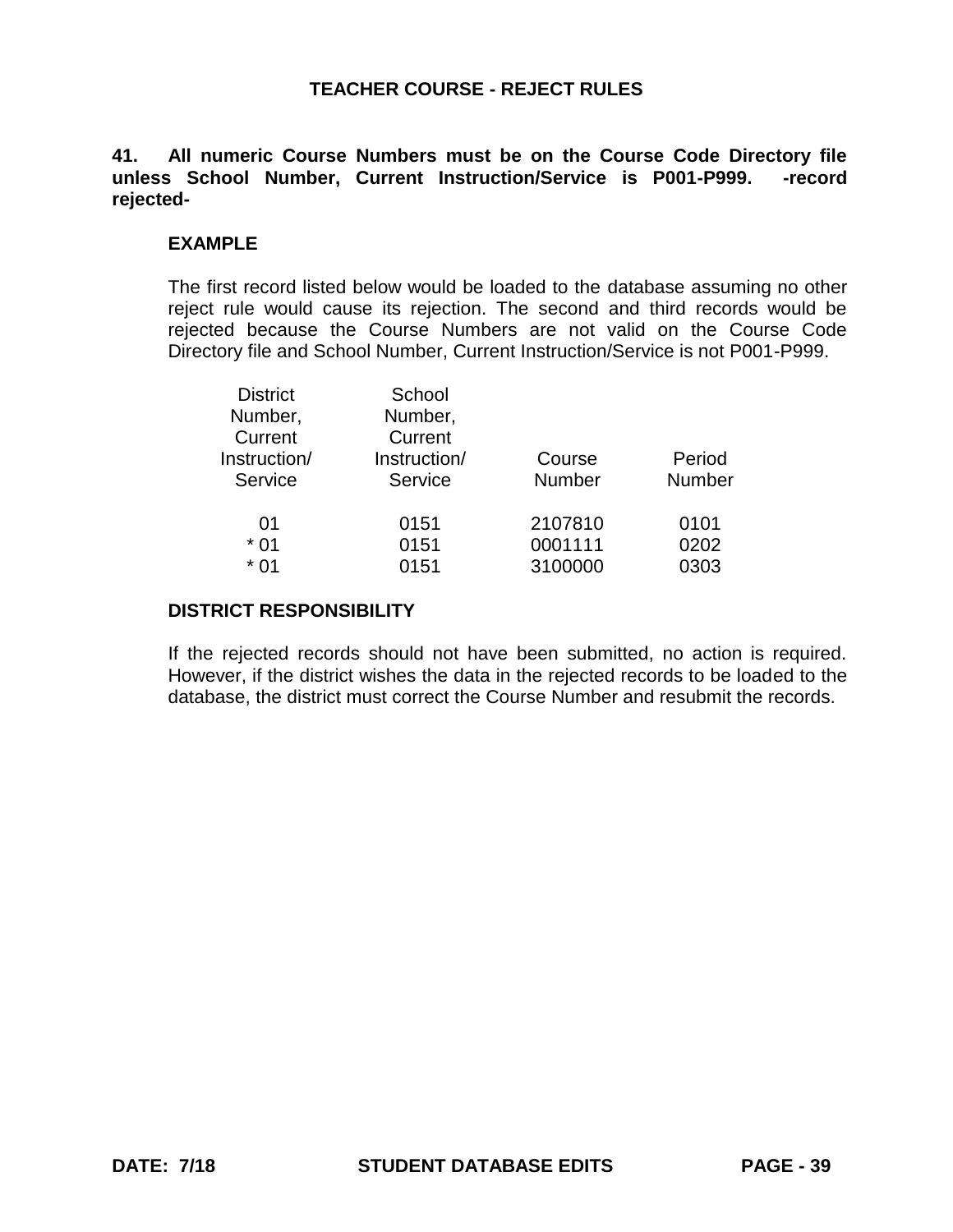# **41. All numeric Course Numbers must be on the Course Code Directory file unless School Number, Current Instruction/Service is P001-P999. -record rejected-**

# **EXAMPLE**

The first record listed below would be loaded to the database assuming no other reject rule would cause its rejection. The second and third records would be rejected because the Course Numbers are not valid on the Course Code Directory file and School Number, Current Instruction/Service is not P001-P999.

| School       |               |               |
|--------------|---------------|---------------|
| Number,      |               |               |
| Current      |               |               |
| Instruction/ | Course        | Period        |
| Service      | <b>Number</b> | <b>Number</b> |
|              |               |               |
|              |               | 0101          |
| 0151         | 0001111       | 0202          |
| 0151         | 3100000       | 0303          |
|              | 0151          | 2107810       |

### **DISTRICT RESPONSIBILITY**

If the rejected records should not have been submitted, no action is required. However, if the district wishes the data in the rejected records to be loaded to the database, the district must correct the Course Number and resubmit the records.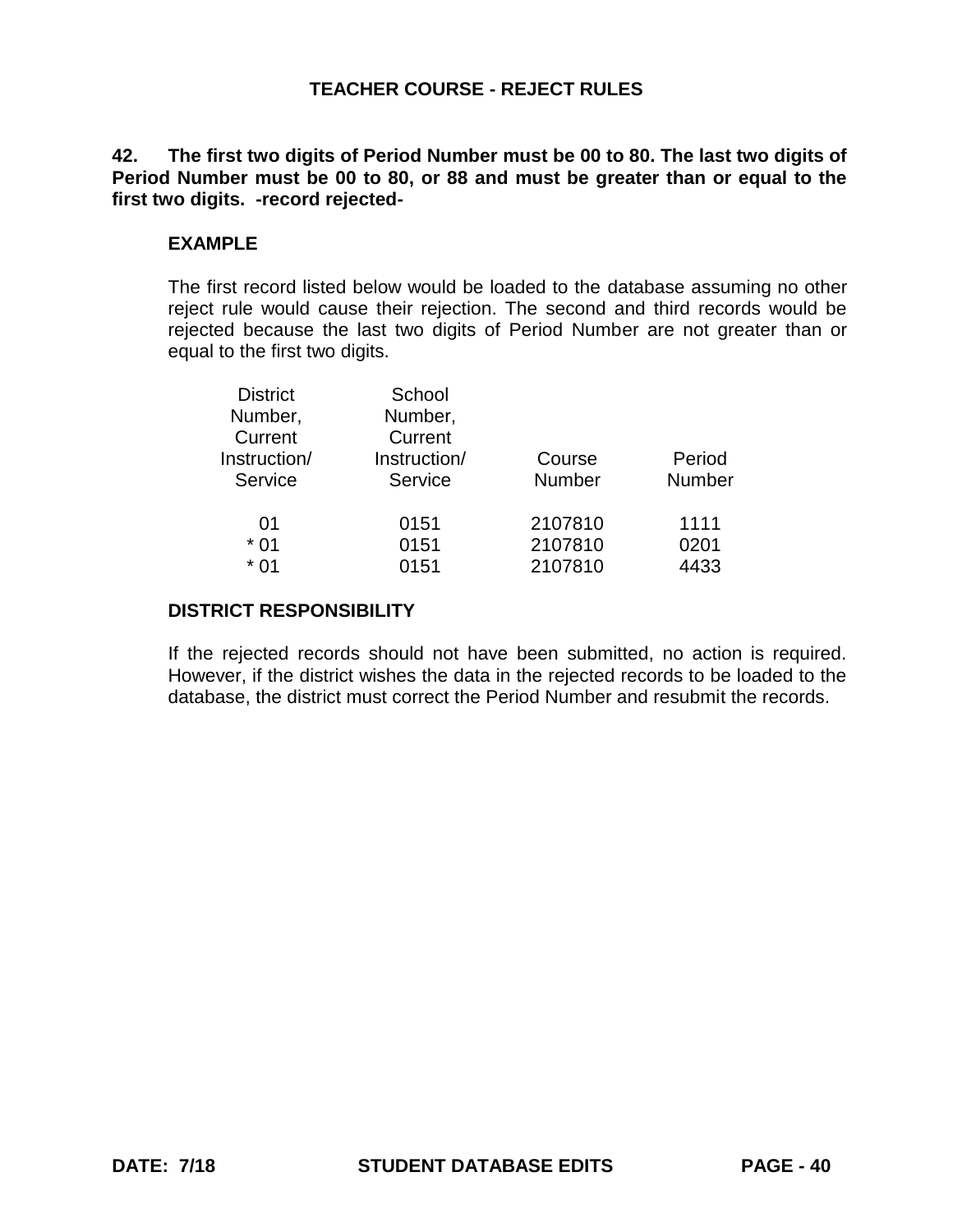**42. The first two digits of Period Number must be 00 to 80. The last two digits of Period Number must be 00 to 80, or 88 and must be greater than or equal to the first two digits. -record rejected-**

# **EXAMPLE**

The first record listed below would be loaded to the database assuming no other reject rule would cause their rejection. The second and third records would be rejected because the last two digits of Period Number are not greater than or equal to the first two digits.

| <b>District</b> | School       |               |        |
|-----------------|--------------|---------------|--------|
| Number,         | Number,      |               |        |
| Current         | Current      |               |        |
| Instruction/    | Instruction/ | Course        | Period |
| Service         | Service      | <b>Number</b> | Number |
| 01              | 0151         | 2107810       | 1111   |
| $*01$           | 0151         | 2107810       | 0201   |
| $*01$           | 0151         | 2107810       | 4433   |
|                 |              |               |        |

## **DISTRICT RESPONSIBILITY**

If the rejected records should not have been submitted, no action is required. However, if the district wishes the data in the rejected records to be loaded to the database, the district must correct the Period Number and resubmit the records.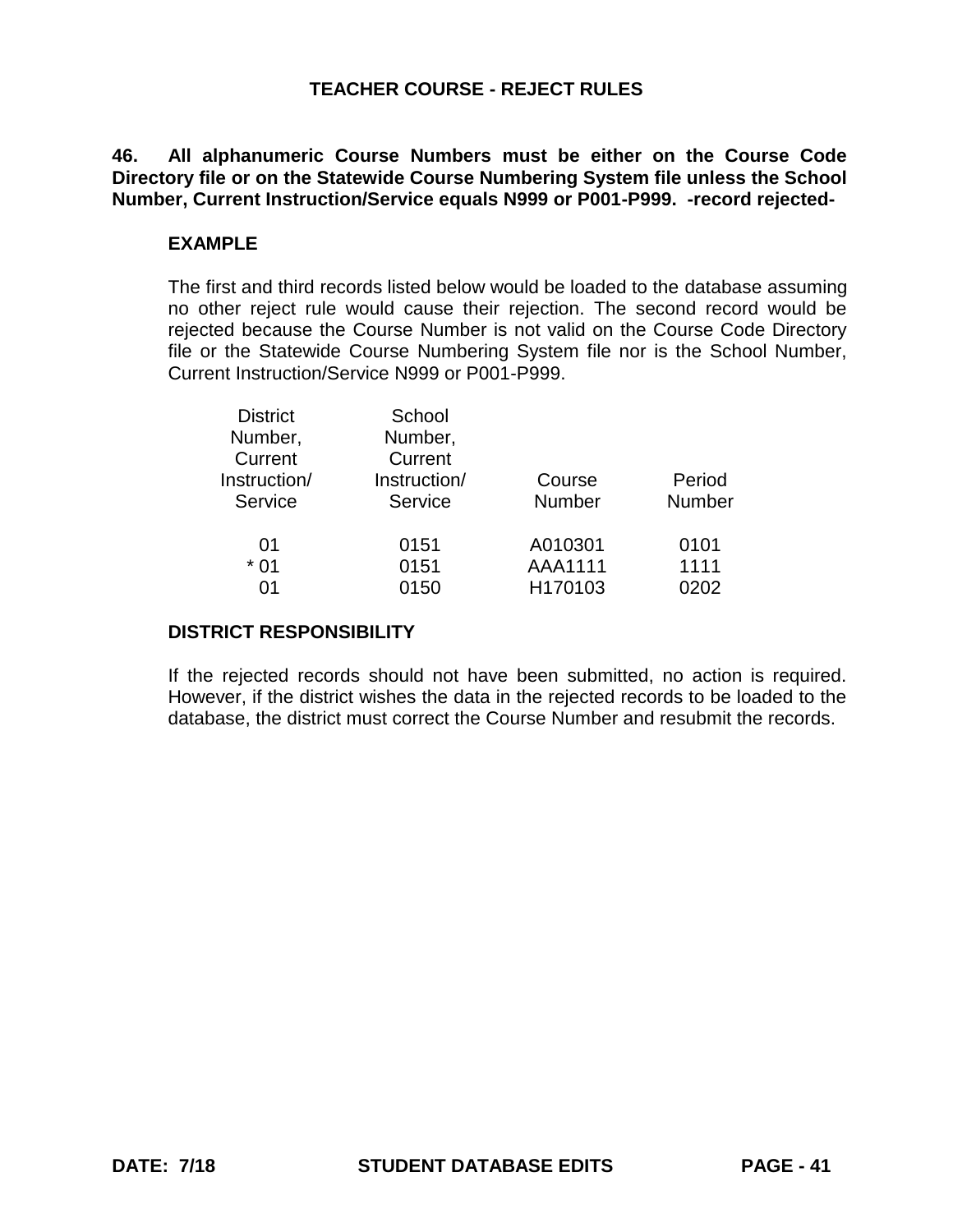**46. All alphanumeric Course Numbers must be either on the Course Code Directory file or on the Statewide Course Numbering System file unless the School**  Number, Current Instruction/Service equals N999 or P001-P999. -record rejected-

# **EXAMPLE**

The first and third records listed below would be loaded to the database assuming no other reject rule would cause their rejection. The second record would be rejected because the Course Number is not valid on the Course Code Directory file or the Statewide Course Numbering System file nor is the School Number, Current Instruction/Service N999 or P001-P999.

| <b>District</b> | School       |               |        |
|-----------------|--------------|---------------|--------|
| Number,         | Number,      |               |        |
| Current         | Current      |               |        |
| Instruction/    | Instruction/ | Course        | Period |
| Service         | Service      | <b>Number</b> | Number |
|                 |              |               |        |
| 01              | 0151         | A010301       | 0101   |
| $*01$           | 0151         | AAA1111       | 1111   |
| 01              | 0150         | H170103       | 0202   |
|                 |              |               |        |

# **DISTRICT RESPONSIBILITY**

If the rejected records should not have been submitted, no action is required. However, if the district wishes the data in the rejected records to be loaded to the database, the district must correct the Course Number and resubmit the records.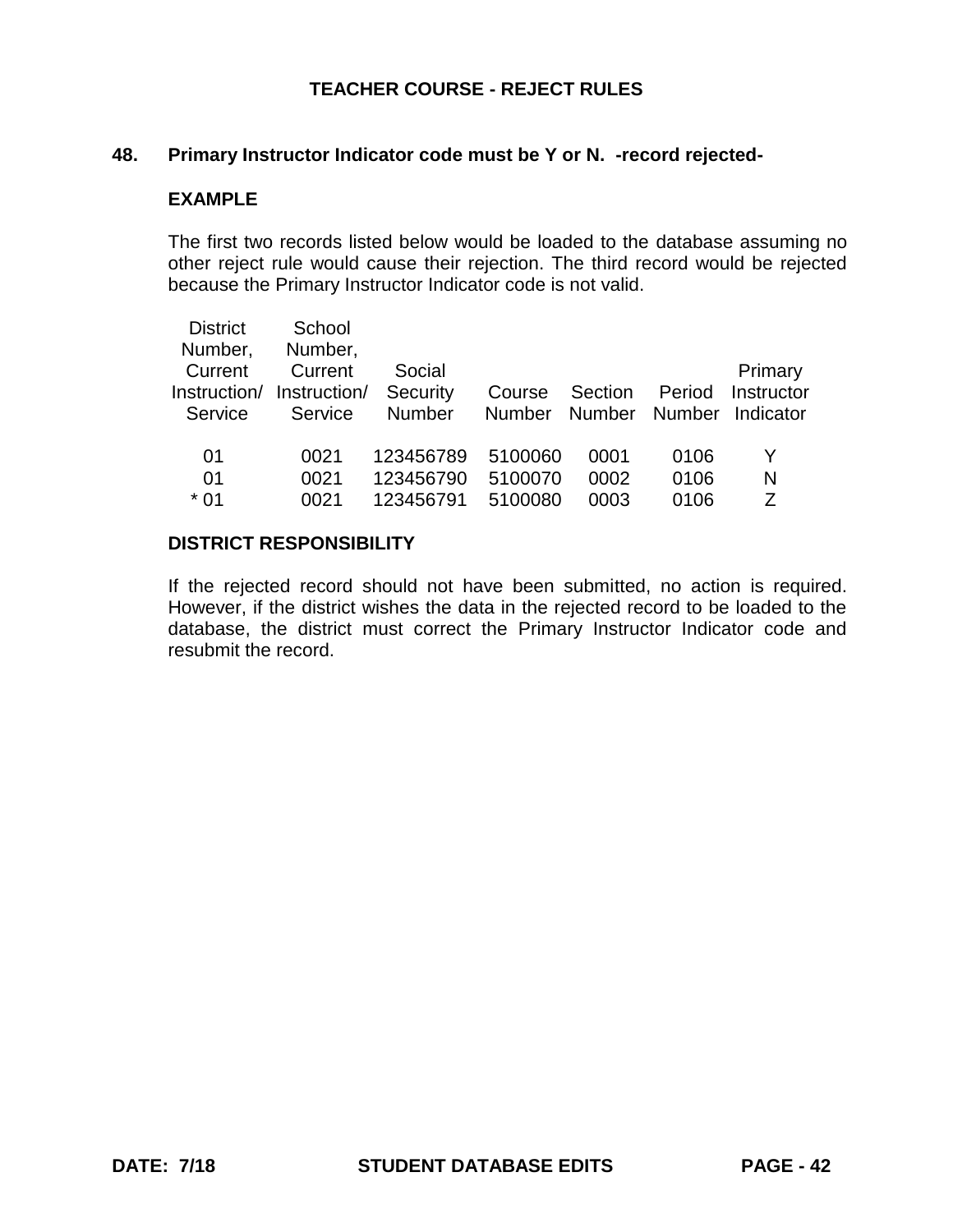#### **48. Primary Instructor Indicator code must be Y or N. -record rejected-**

#### **EXAMPLE**

The first two records listed below would be loaded to the database assuming no other reject rule would cause their rejection. The third record would be rejected because the Primary Instructor Indicator code is not valid.

| <b>District</b> | School       |               |               |         |               |                |
|-----------------|--------------|---------------|---------------|---------|---------------|----------------|
| Number,         | Number,      |               |               |         |               |                |
| Current         | Current      | Social        |               |         |               | <b>Primary</b> |
| Instruction/    | Instruction/ | Security      | Course        | Section | Period        | Instructor     |
| Service         | Service      | <b>Number</b> | <b>Number</b> |         | Number Number | Indicator      |
|                 |              |               |               |         |               |                |
| 01              | 0021         | 123456789     | 5100060       | 0001    | 0106          | Y              |
| 01              | 0021         | 123456790     | 5100070       | 0002    | 0106          | N              |
| $*01$           | 0021         | 123456791     | 5100080       | 0003    | 0106          | 7              |
|                 |              |               |               |         |               |                |

#### **DISTRICT RESPONSIBILITY**

If the rejected record should not have been submitted, no action is required. However, if the district wishes the data in the rejected record to be loaded to the database, the district must correct the Primary Instructor Indicator code and resubmit the record.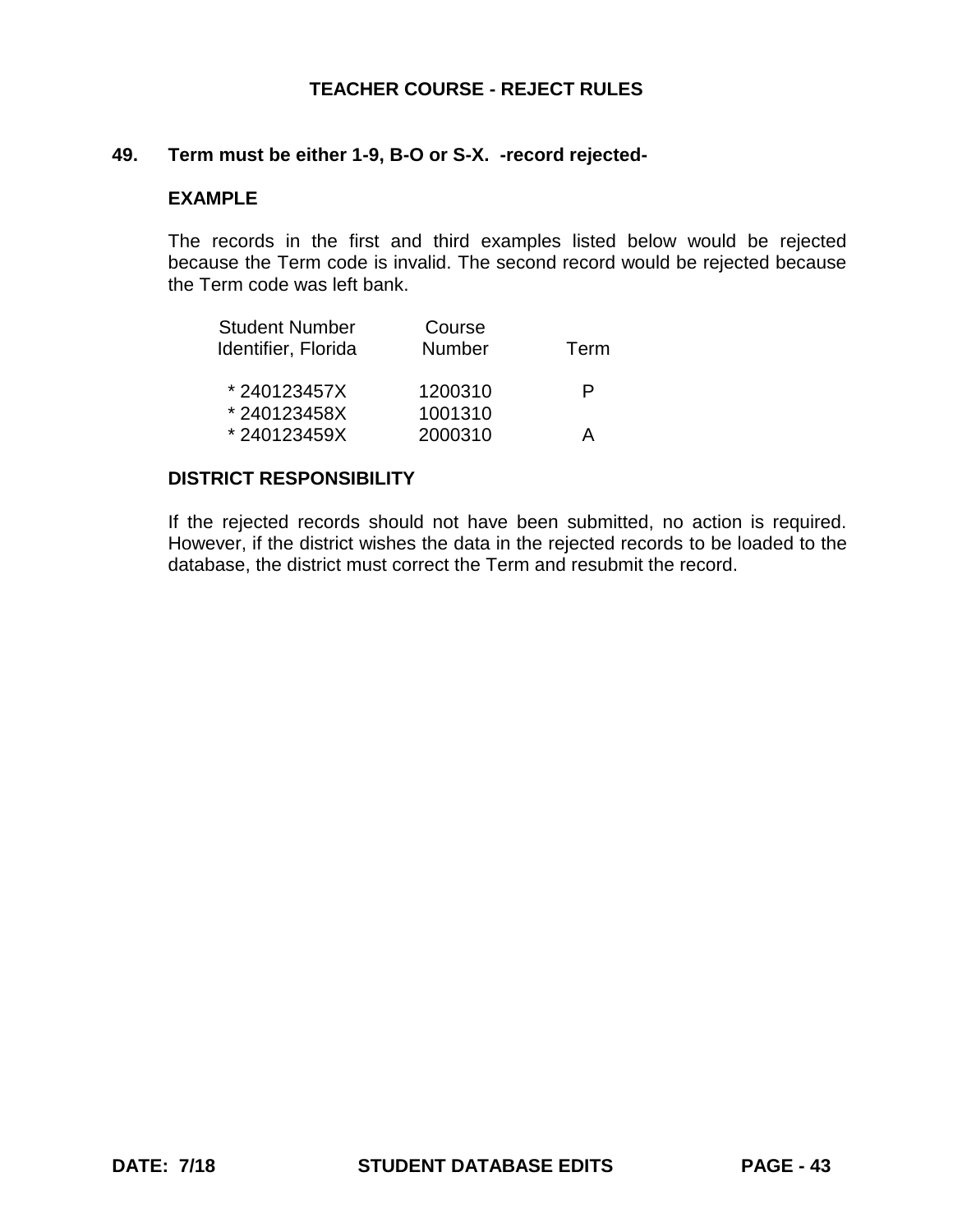#### **49. Term must be either 1-9, B-O or S-X. -record rejected-**

#### **EXAMPLE**

The records in the first and third examples listed below would be rejected because the Term code is invalid. The second record would be rejected because the Term code was left bank.

| <b>Student Number</b> | Course        |      |
|-----------------------|---------------|------|
| Identifier, Florida   | <b>Number</b> | Term |
| *240123457X           | 1200310       | P    |
| *240123458X           | 1001310       |      |
| *240123459X           | 2000310       | А    |

### **DISTRICT RESPONSIBILITY**

If the rejected records should not have been submitted, no action is required. However, if the district wishes the data in the rejected records to be loaded to the database, the district must correct the Term and resubmit the record.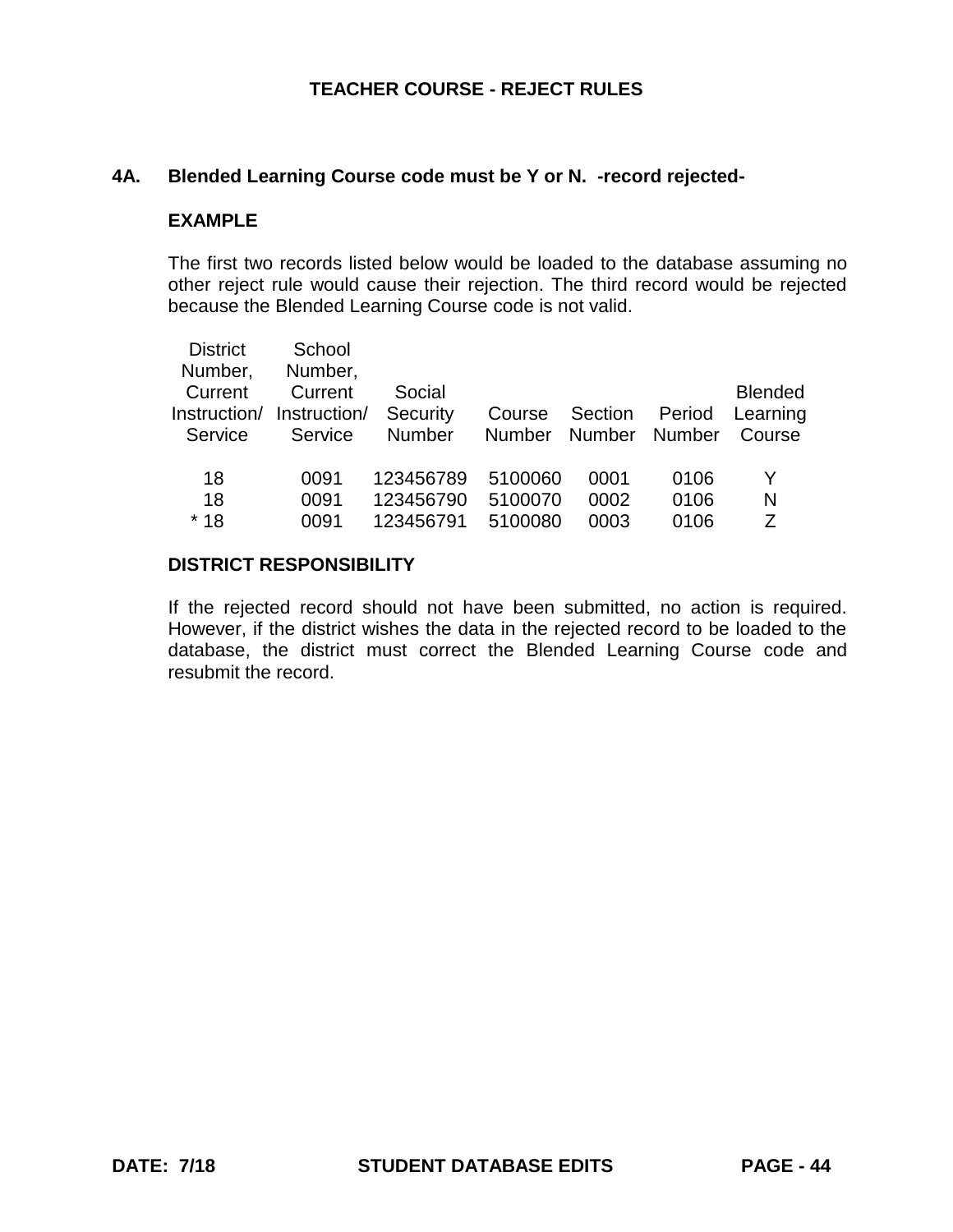# **4A. Blended Learning Course code must be Y or N. -record rejected-**

#### **EXAMPLE**

The first two records listed below would be loaded to the database assuming no other reject rule would cause their rejection. The third record would be rejected because the Blended Learning Course code is not valid.

| <b>District</b> | School       |               |               |               |               |                |
|-----------------|--------------|---------------|---------------|---------------|---------------|----------------|
| Number,         | Number,      |               |               |               |               |                |
| Current         | Current      | Social        |               |               |               | <b>Blended</b> |
| Instruction/    | Instruction/ | Security      | Course        | Section       | Period        | Learning       |
| Service         | Service      | <b>Number</b> | <b>Number</b> | <b>Number</b> | <b>Number</b> | Course         |
|                 |              |               |               |               |               |                |
| 18              | 0091         | 123456789     | 5100060       | 0001          | 0106          | Y              |
| 18              | 0091         | 123456790     | 5100070       | 0002          | 0106          | N              |
| $*18$           | 0091         | 123456791     | 5100080       | 0003          | 0106          | 7              |
|                 |              |               |               |               |               |                |

# **DISTRICT RESPONSIBILITY**

If the rejected record should not have been submitted, no action is required. However, if the district wishes the data in the rejected record to be loaded to the database, the district must correct the Blended Learning Course code and resubmit the record.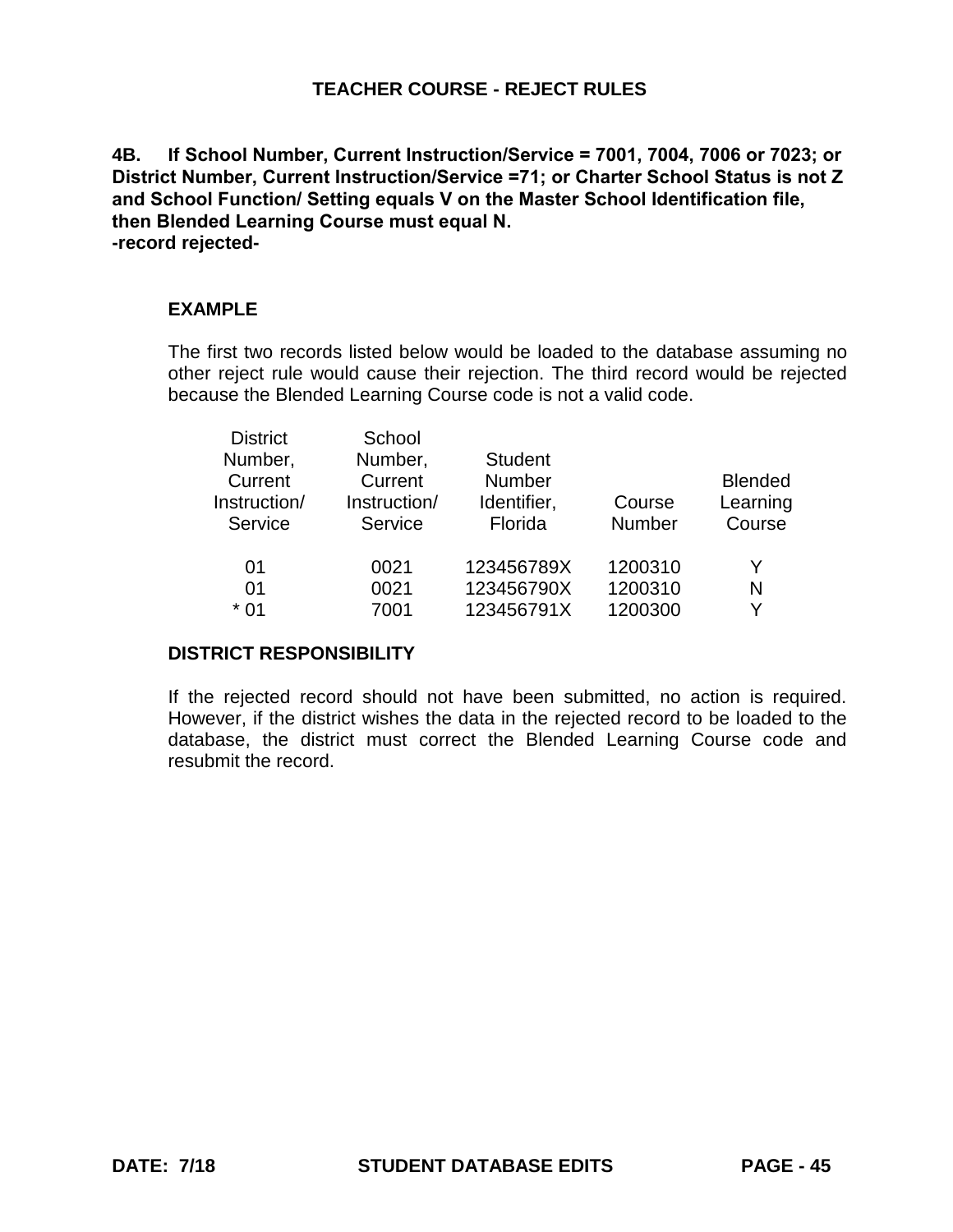**4B. If School Number, Current Instruction/Service = 7001, 7004, 7006 or 7023; or District Number, Current Instruction/Service =71; or Charter School Status is not Z and School Function/ Setting equals V on the Master School Identification file, then Blended Learning Course must equal N. -record rejected-**

# **EXAMPLE**

The first two records listed below would be loaded to the database assuming no other reject rule would cause their rejection. The third record would be rejected because the Blended Learning Course code is not a valid code.

| <b>District</b> | School       |                |               |                |
|-----------------|--------------|----------------|---------------|----------------|
| Number,         | Number,      | <b>Student</b> |               |                |
| Current         | Current      | <b>Number</b>  |               | <b>Blended</b> |
| Instruction/    | Instruction/ | Identifier,    | Course        | Learning       |
| Service         | Service      | Florida        | <b>Number</b> | Course         |
| 01              | 0021         | 123456789X     | 1200310       | Y              |
| 01              | 0021         | 123456790X     | 1200310       | N              |
| * በ1            | 7001         | 123456791X     | 1200300       | v              |
|                 |              |                |               |                |

# **DISTRICT RESPONSIBILITY**

If the rejected record should not have been submitted, no action is required. However, if the district wishes the data in the rejected record to be loaded to the database, the district must correct the Blended Learning Course code and resubmit the record.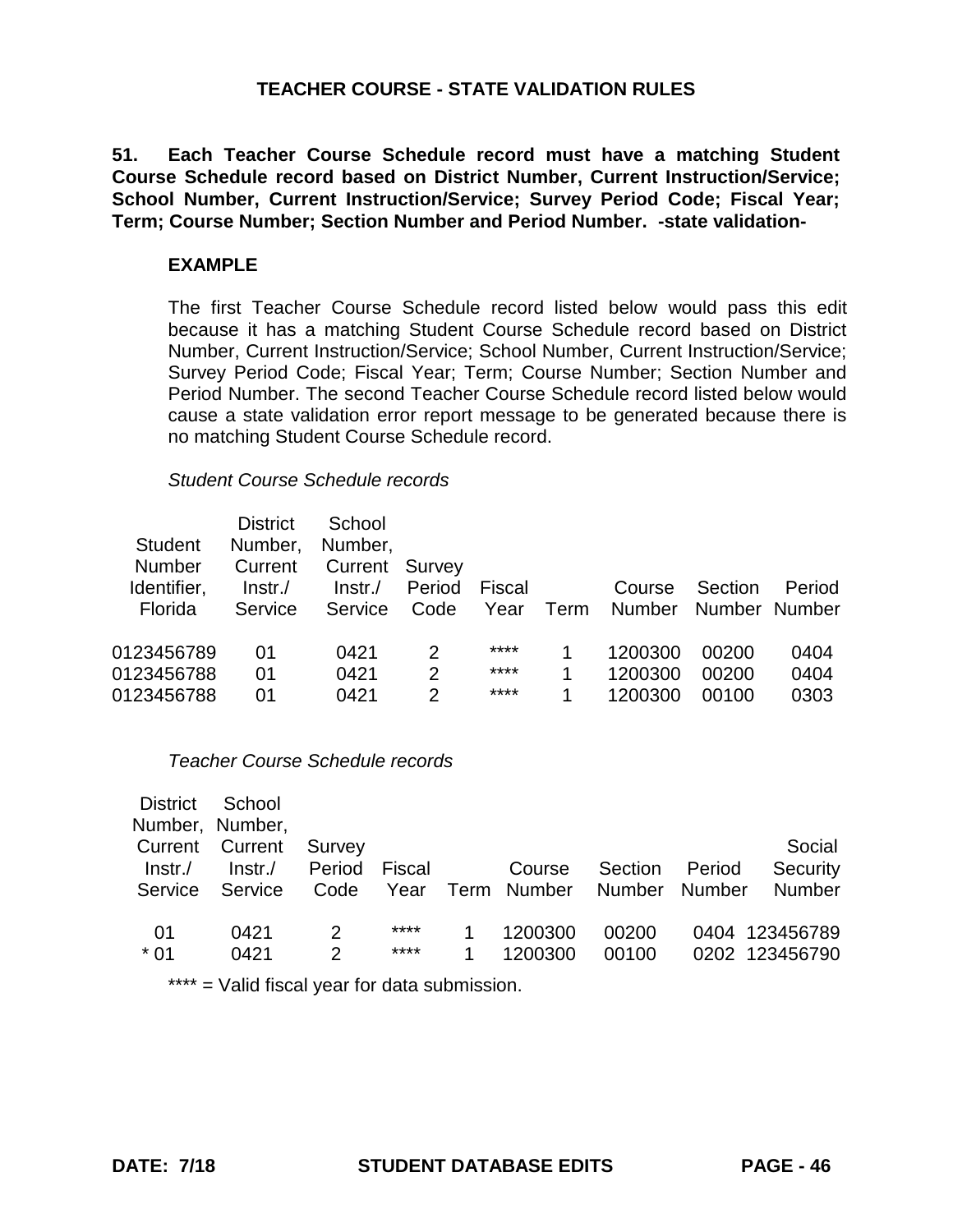**51. Each Teacher Course Schedule record must have a matching Student Course Schedule record based on District Number, Current Instruction/Service; School Number, Current Instruction/Service; Survey Period Code; Fiscal Year; Term; Course Number; Section Number and Period Number. -state validation-**

### **EXAMPLE**

The first Teacher Course Schedule record listed below would pass this edit because it has a matching Student Course Schedule record based on District Number, Current Instruction/Service; School Number, Current Instruction/Service; Survey Period Code; Fiscal Year; Term; Course Number; Section Number and Period Number. The second Teacher Course Schedule record listed below would cause a state validation error report message to be generated because there is no matching Student Course Schedule record.

#### *Student Course Schedule records*

| <b>Student</b><br><b>Number</b>        | <b>District</b><br>Number,<br>Current | School<br>Number,<br>Current Survey |                          |                      |        |                               |                          |                      |
|----------------------------------------|---------------------------------------|-------------------------------------|--------------------------|----------------------|--------|-------------------------------|--------------------------|----------------------|
| Identifier,<br>Florida                 | $Instr$ ./<br>Service                 | $Instr$ ./<br>Service               | Period<br>Code           | Fiscal<br>Year       | Term   | Course<br><b>Number</b>       | Section<br>Number Number | Period               |
| 0123456789<br>0123456788<br>0123456788 | 01<br>01<br>01                        | 0421<br>0421<br>0421                | 2<br>$\overline{2}$<br>2 | ****<br>****<br>**** | 1<br>1 | 1200300<br>1200300<br>1200300 | 00200<br>00200<br>00100  | 0404<br>0404<br>0303 |

# *Teacher Course Schedule records*

| <b>District</b>        | School          |        |        |                  |         |        |                |
|------------------------|-----------------|--------|--------|------------------|---------|--------|----------------|
|                        | Number, Number, |        |        |                  |         |        |                |
| <b>Current Current</b> |                 | Survey |        |                  |         |        | Social         |
| $Instr$ ./             | Instr.          | Period | Fiscal | Course           | Section | Period | Security       |
| Service                | Service         | Code   |        | Year Term Number | Number  | Number | <b>Number</b>  |
|                        |                 |        |        |                  |         |        |                |
| 01                     | 0421            | 2      | ****   | 1200300          | 00200   |        | 0404 123456789 |
| $*01$                  | 0421            | 2      | ****   | 1200300          | 00100   |        | 0202 123456790 |
|                        |                 |        |        |                  |         |        |                |

\*\*\*\* = Valid fiscal year for data submission.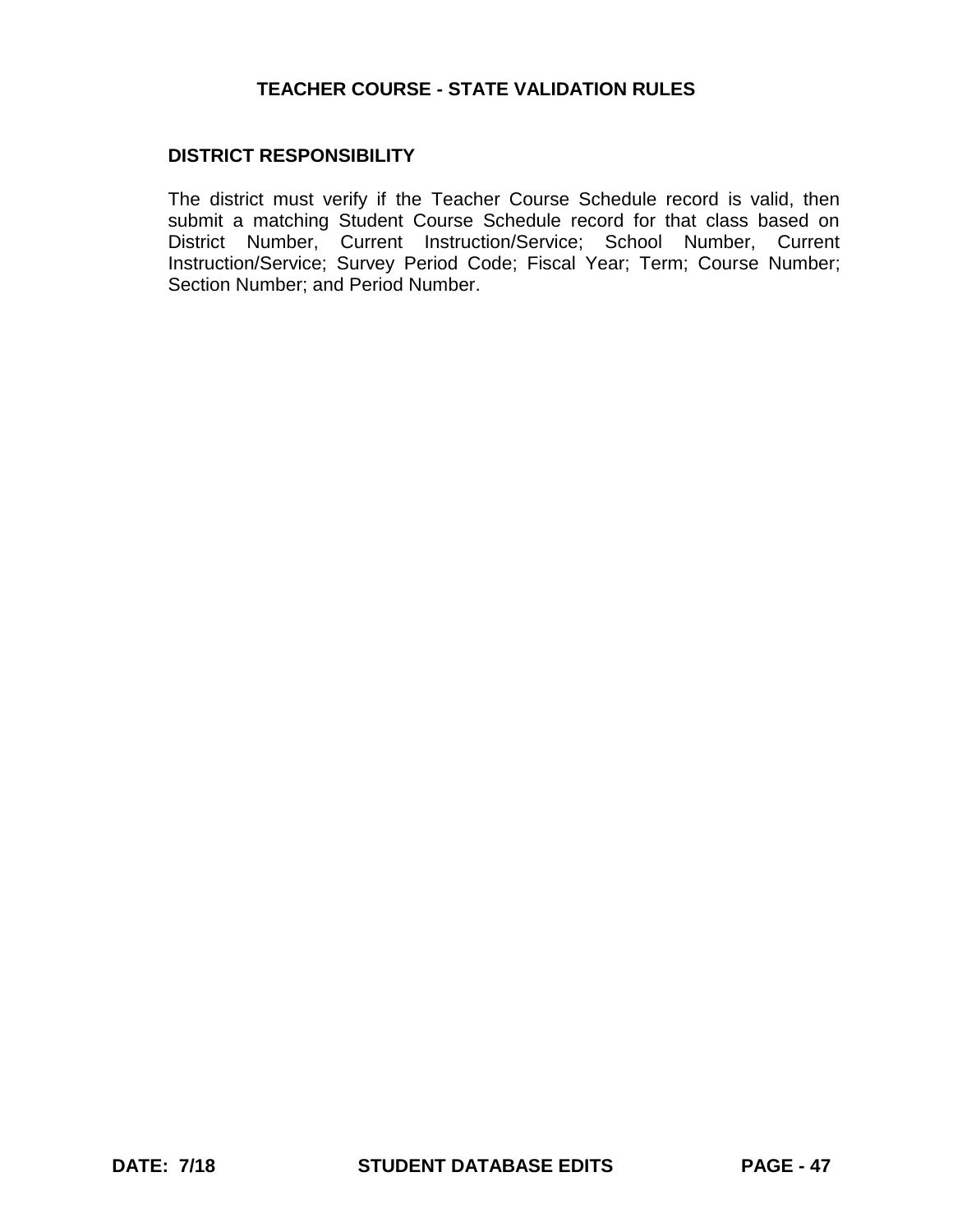# **DISTRICT RESPONSIBILITY**

The district must verify if the Teacher Course Schedule record is valid, then submit a matching Student Course Schedule record for that class based on District Number, Current Instruction/Service; School Number, Current Instruction/Service; Survey Period Code; Fiscal Year; Term; Course Number; Section Number; and Period Number.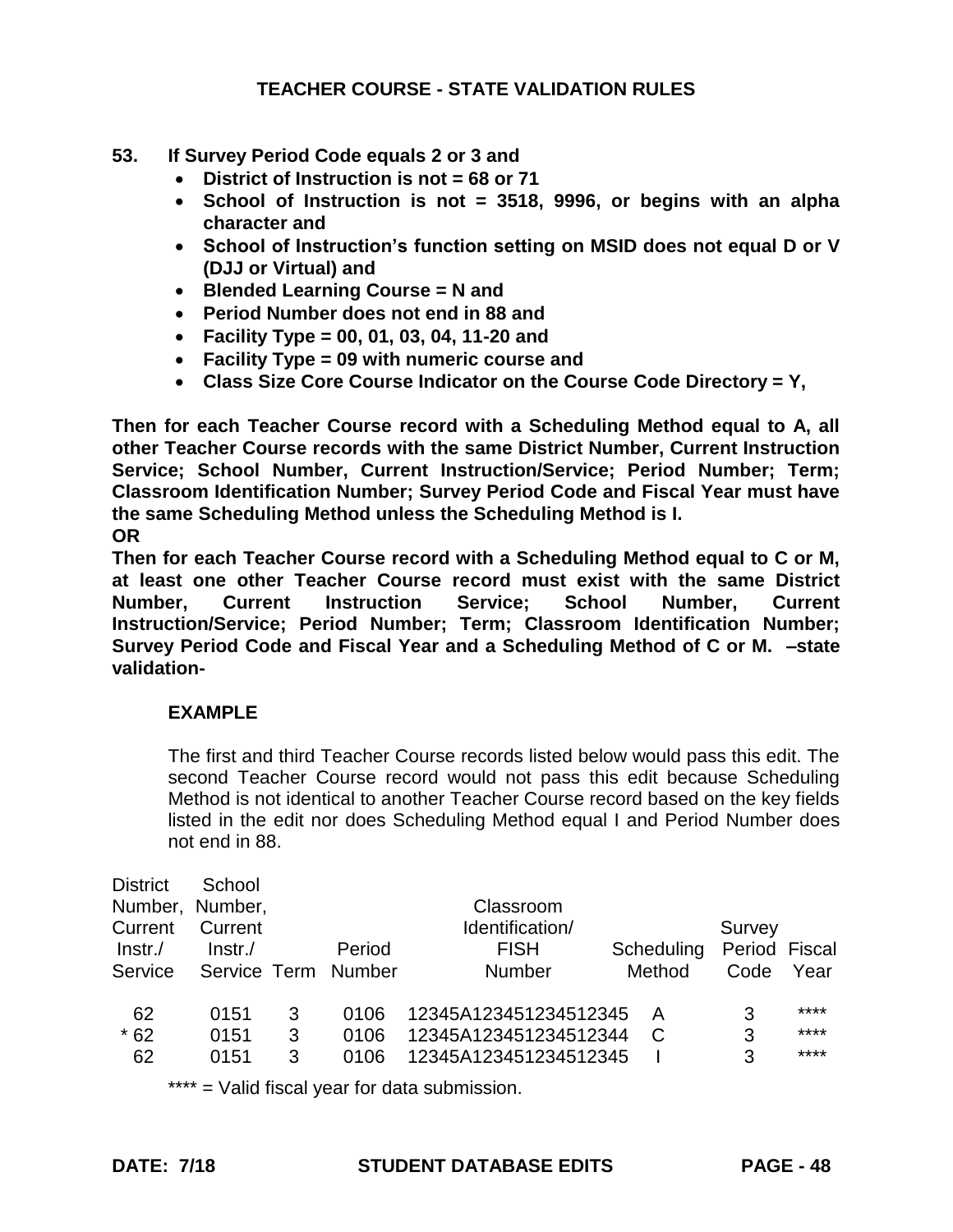## **53. If Survey Period Code equals 2 or 3 and**

- **District of Instruction is not = 68 or 71**
- **School of Instruction is not = 3518, 9996, or begins with an alpha character and**
- **School of Instruction's function setting on MSID does not equal D or V (DJJ or Virtual) and**
- **Blended Learning Course = N and**
- **Period Number does not end in 88 and**
- **Facility Type = 00, 01, 03, 04, 11-20 and**
- **Facility Type = 09 with numeric course and**
- **Class Size Core Course Indicator on the Course Code Directory = Y,**

**Then for each Teacher Course record with a Scheduling Method equal to A, all other Teacher Course records with the same District Number, Current Instruction Service; School Number, Current Instruction/Service; Period Number; Term; Classroom Identification Number; Survey Period Code and Fiscal Year must have the same Scheduling Method unless the Scheduling Method is I. OR** 

**Then for each Teacher Course record with a Scheduling Method equal to C or M, at least one other Teacher Course record must exist with the same District Number, Current Instruction Service; School Number, Current Instruction/Service; Period Number; Term; Classroom Identification Number; Survey Period Code and Fiscal Year and a Scheduling Method of C or M. –state validation-**

#### **EXAMPLE**

The first and third Teacher Course records listed below would pass this edit. The second Teacher Course record would not pass this edit because Scheduling Method is not identical to another Teacher Course record based on the key fields listed in the edit nor does Scheduling Method equal I and Period Number does not end in 88.

| <b>District</b> | School          |   |        |                       |            |               |      |
|-----------------|-----------------|---|--------|-----------------------|------------|---------------|------|
|                 | Number, Number, |   |        | Classroom             |            |               |      |
| Current         | Current         |   |        | Identification/       |            | Survey        |      |
| Instr.          | Instr.          |   | Period | <b>FISH</b>           | Scheduling | Period Fiscal |      |
| Service         | Service Term    |   | Number | <b>Number</b>         | Method     | Code          | Year |
| 62              | 0151            | 3 | 0106   | 12345A123451234512345 | A          | 3             | **** |
| $*62$           | 0151            | 3 | 0106   | 12345A123451234512344 | C          | 3             | **** |
| 62              | 0151            | 3 | 0106   | 12345A123451234512345 |            | 3             | **** |
|                 |                 |   |        |                       |            |               |      |

\*\*\*\* = Valid fiscal year for data submission.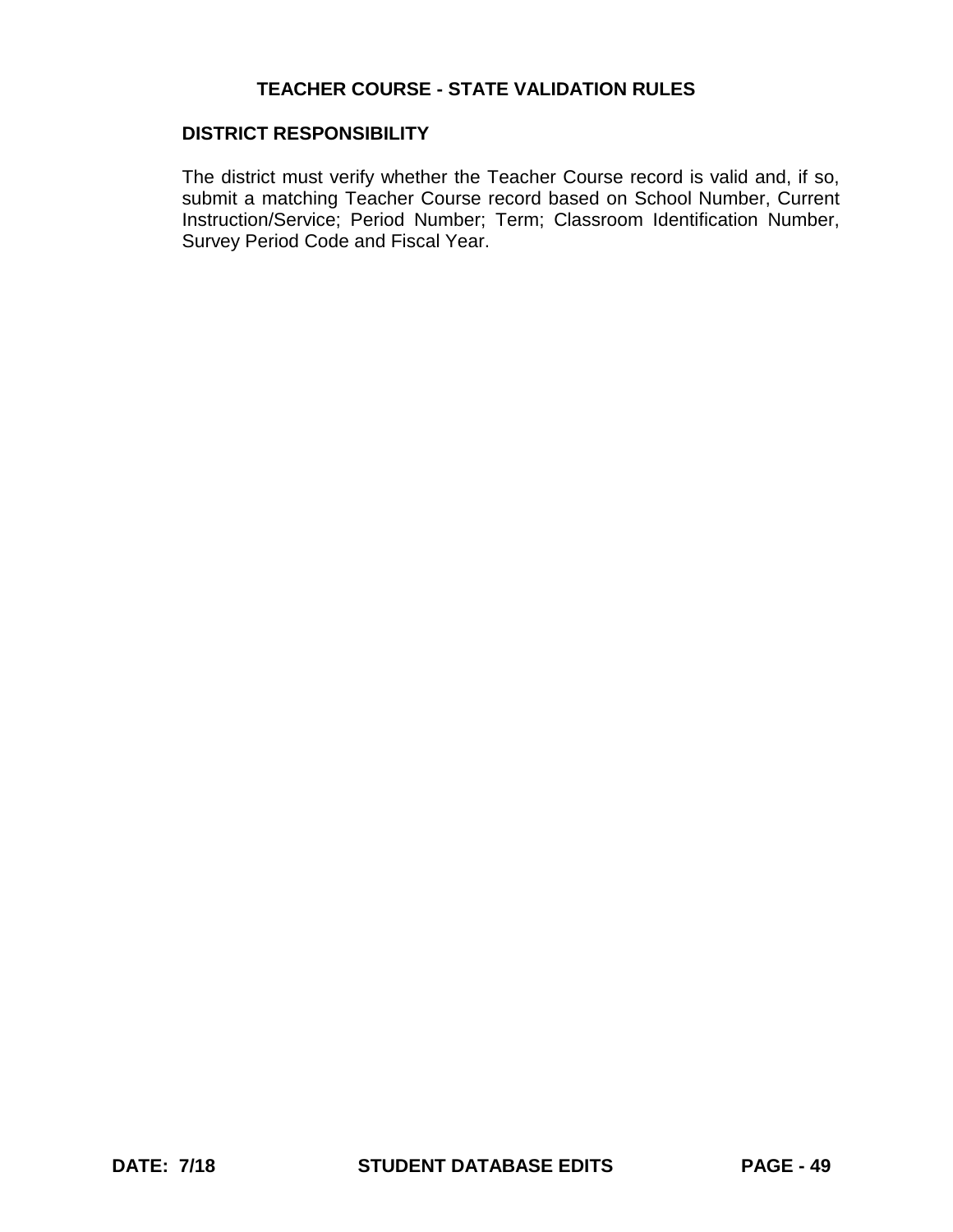#### **DISTRICT RESPONSIBILITY**

The district must verify whether the Teacher Course record is valid and, if so, submit a matching Teacher Course record based on School Number, Current Instruction/Service; Period Number; Term; Classroom Identification Number, Survey Period Code and Fiscal Year.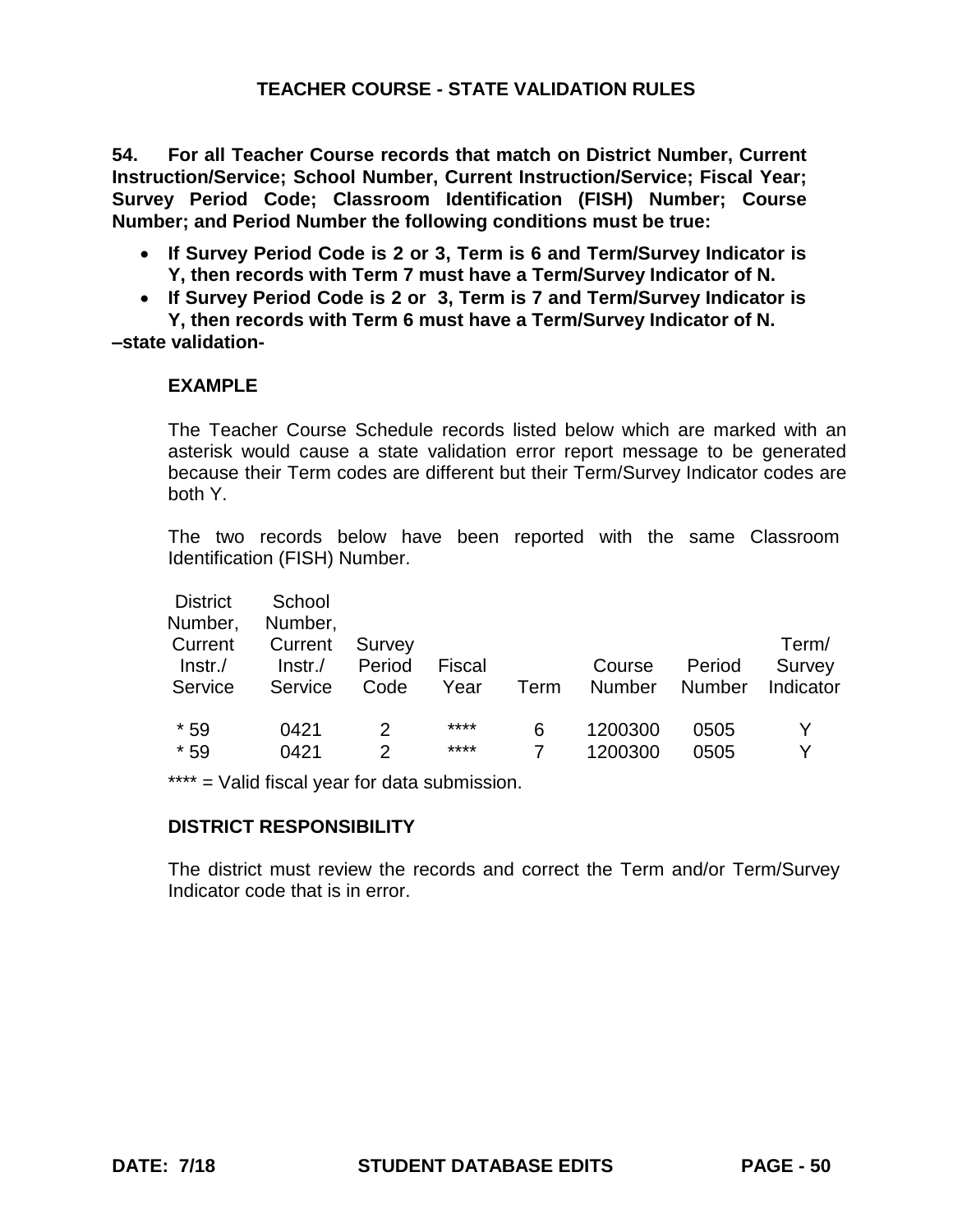**54. For all Teacher Course records that match on District Number, Current Instruction/Service; School Number, Current Instruction/Service; Fiscal Year; Survey Period Code; Classroom Identification (FISH) Number; Course Number; and Period Number the following conditions must be true:**

- **If Survey Period Code is 2 or 3, Term is 6 and Term/Survey Indicator is Y, then records with Term 7 must have a Term/Survey Indicator of N.**
- **If Survey Period Code is 2 or 3, Term is 7 and Term/Survey Indicator is**

**Y, then records with Term 6 must have a Term/Survey Indicator of N. –state validation-**

# **EXAMPLE**

The Teacher Course Schedule records listed below which are marked with an asterisk would cause a state validation error report message to be generated because their Term codes are different but their Term/Survey Indicator codes are both Y.

The two records below have been reported with the same Classroom Identification (FISH) Number.

| School     |        |               |      |               |                      |           |
|------------|--------|---------------|------|---------------|----------------------|-----------|
| Number,    |        |               |      |               |                      |           |
| Current    | Survey |               |      |               |                      | Term/     |
| $Instr$ ./ | Period | <b>Fiscal</b> |      | Course        | Period               | Survey    |
| Service    | Code   | Year          | Term | <b>Number</b> | <b>Number</b>        | Indicator |
|            |        |               |      |               |                      |           |
| 0421       |        | ****          | 6    | 1200300       | 0505                 |           |
|            |        | ****          |      |               | 0505                 |           |
|            |        |               |      |               | 0421<br>2<br>1200300 |           |

\*\*\*\* = Valid fiscal year for data submission.

#### **DISTRICT RESPONSIBILITY**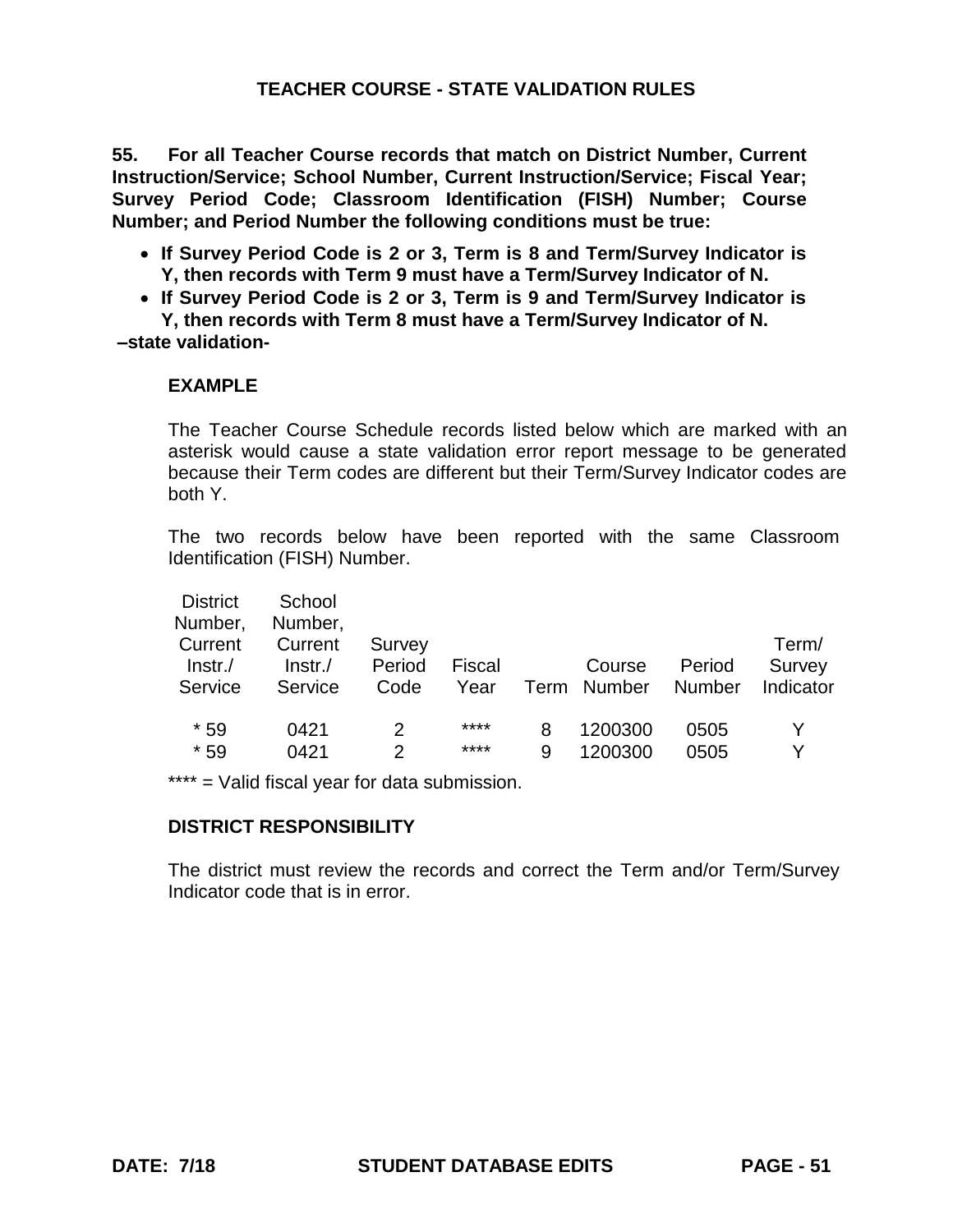**55. For all Teacher Course records that match on District Number, Current Instruction/Service; School Number, Current Instruction/Service; Fiscal Year; Survey Period Code; Classroom Identification (FISH) Number; Course Number; and Period Number the following conditions must be true:**

- **If Survey Period Code is 2 or 3, Term is 8 and Term/Survey Indicator is Y, then records with Term 9 must have a Term/Survey Indicator of N.**
- **If Survey Period Code is 2 or 3, Term is 9 and Term/Survey Indicator is**

**Y, then records with Term 8 must have a Term/Survey Indicator of N. –state validation-**

### **EXAMPLE**

The Teacher Course Schedule records listed below which are marked with an asterisk would cause a state validation error report message to be generated because their Term codes are different but their Term/Survey Indicator codes are both Y.

The two records below have been reported with the same Classroom Identification (FISH) Number.

| <b>District</b><br>Number,       | School<br>Number,            |                                |                |        |                       |                         |                              |
|----------------------------------|------------------------------|--------------------------------|----------------|--------|-----------------------|-------------------------|------------------------------|
| Current<br>$ lnstr./$<br>Service | Current<br>Instr.<br>Service | Survey<br>Period<br>Code       | Fiscal<br>Year |        | Course<br>Term Number | Period<br><b>Number</b> | Term/<br>Survey<br>Indicator |
| $*59$<br>$*59$                   | 0421<br>0421                 | $\mathcal{P}$<br>$\mathcal{P}$ | ****<br>****   | 8<br>9 | 1200300<br>1200300    | 0505<br>0505            |                              |

\*\*\*\* = Valid fiscal year for data submission.

### **DISTRICT RESPONSIBILITY**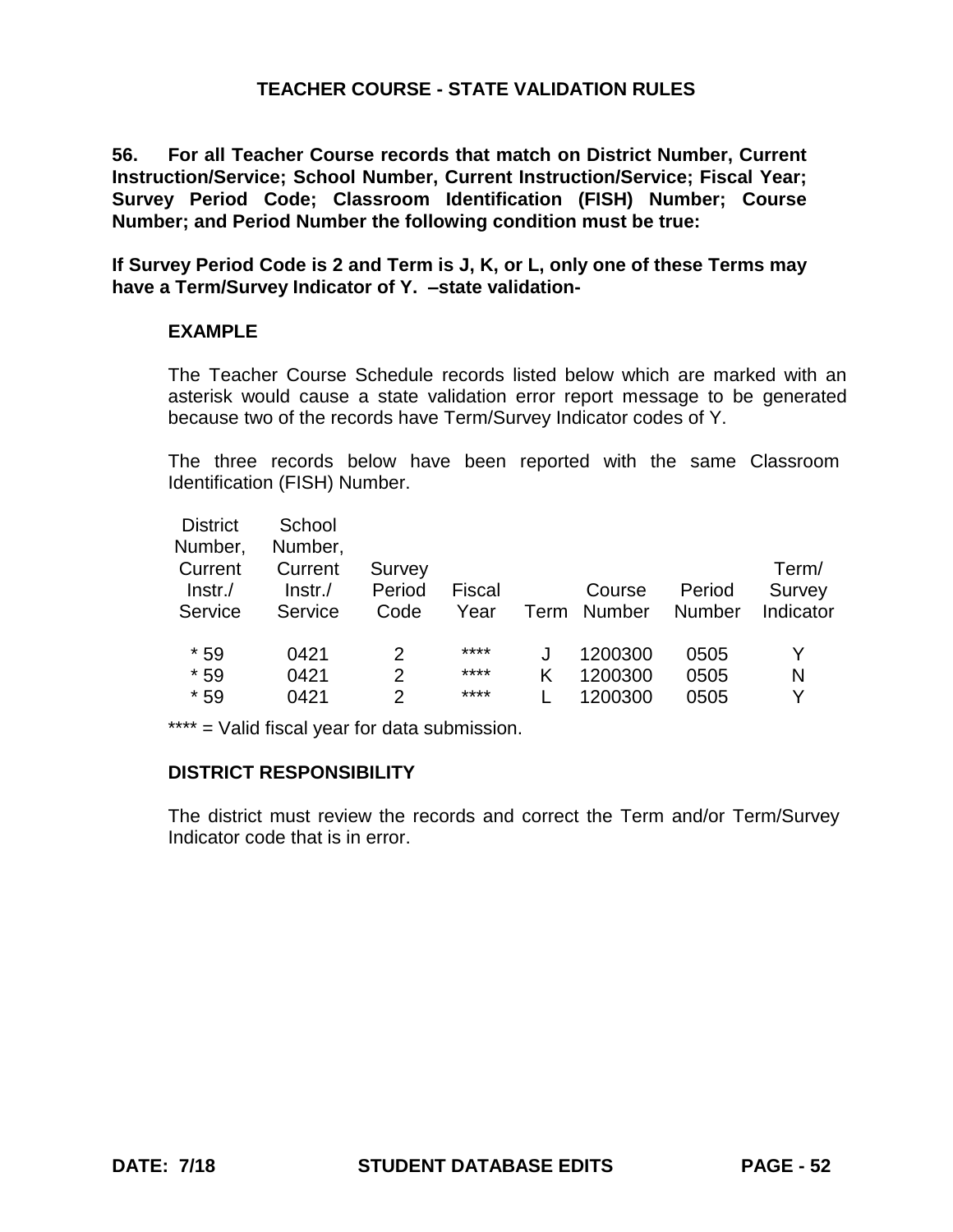**56. For all Teacher Course records that match on District Number, Current Instruction/Service; School Number, Current Instruction/Service; Fiscal Year; Survey Period Code; Classroom Identification (FISH) Number; Course Number; and Period Number the following condition must be true:**

**If Survey Period Code is 2 and Term is J, K, or L, only one of these Terms may have a Term/Survey Indicator of Y. –state validation-**

### **EXAMPLE**

The Teacher Course Schedule records listed below which are marked with an asterisk would cause a state validation error report message to be generated because two of the records have Term/Survey Indicator codes of Y.

The three records below have been reported with the same Classroom Identification (FISH) Number.

| <b>District</b><br>Number,<br>Current | School<br>Number,<br>Current | Survey         |                |      |                  |                  | Term/               |
|---------------------------------------|------------------------------|----------------|----------------|------|------------------|------------------|---------------------|
| $ lnstr./$<br>Service                 | $Instr$ ./<br>Service        | Period<br>Code | Fiscal<br>Year | Term | Course<br>Number | Period<br>Number | Survey<br>Indicator |
| $*59$                                 | 0421                         | 2              | ****           |      | 1200300          | 0505             |                     |
| $*59$                                 | 0421                         | 2              | ****           | κ    | 1200300          | 0505             | N                   |
| $*59$                                 | 0421                         | 2              | ****           |      | 1200300          | 0505             | v                   |

\*\*\*\* = Valid fiscal year for data submission.

#### **DISTRICT RESPONSIBILITY**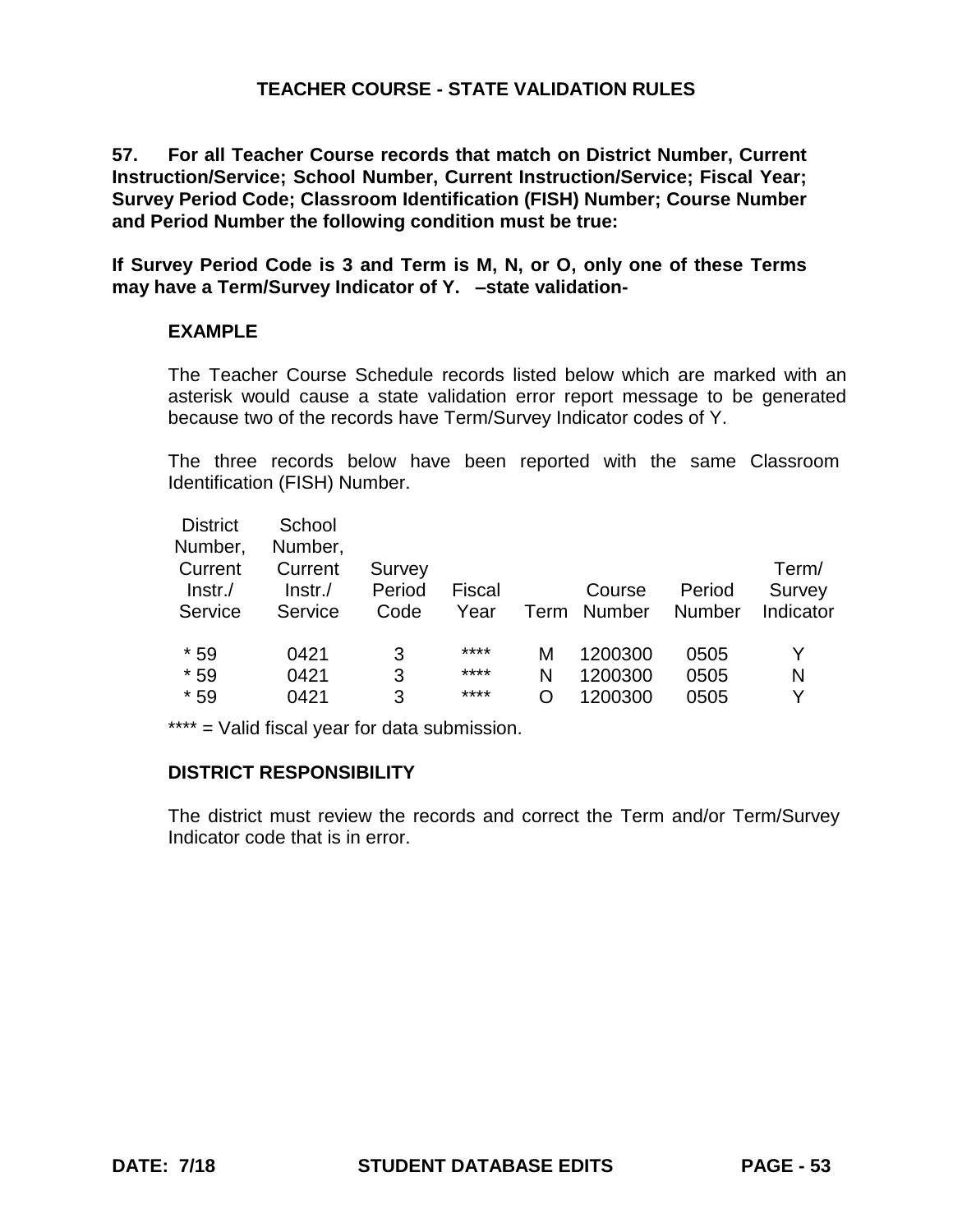**57. For all Teacher Course records that match on District Number, Current Instruction/Service; School Number, Current Instruction/Service; Fiscal Year; Survey Period Code; Classroom Identification (FISH) Number; Course Number and Period Number the following condition must be true:** 

**If Survey Period Code is 3 and Term is M, N, or O, only one of these Terms may have a Term/Survey Indicator of Y. –state validation-**

### **EXAMPLE**

The Teacher Course Schedule records listed below which are marked with an asterisk would cause a state validation error report message to be generated because two of the records have Term/Survey Indicator codes of Y.

The three records below have been reported with the same Classroom Identification (FISH) Number.

| <b>District</b><br>Number,<br>Current<br>$ Instr./$ | School<br>Number,<br>Current<br>$Instr$ ./ | Survey<br>Period | <b>Fiscal</b>        |             | Course                        | Period               | Term/<br>Survey |
|-----------------------------------------------------|--------------------------------------------|------------------|----------------------|-------------|-------------------------------|----------------------|-----------------|
| Service                                             | Service                                    | Code             | Year                 | Term        | <b>Number</b>                 | <b>Number</b>        | Indicator       |
| $*59$<br>$*59$<br>$*59$                             | 0421<br>0421<br>0421                       | 3<br>3<br>3      | ****<br>****<br>**** | М<br>N<br>O | 1200300<br>1200300<br>1200300 | 0505<br>0505<br>0505 | Y<br>N<br>v     |

\*\*\*\* = Valid fiscal year for data submission.

#### **DISTRICT RESPONSIBILITY**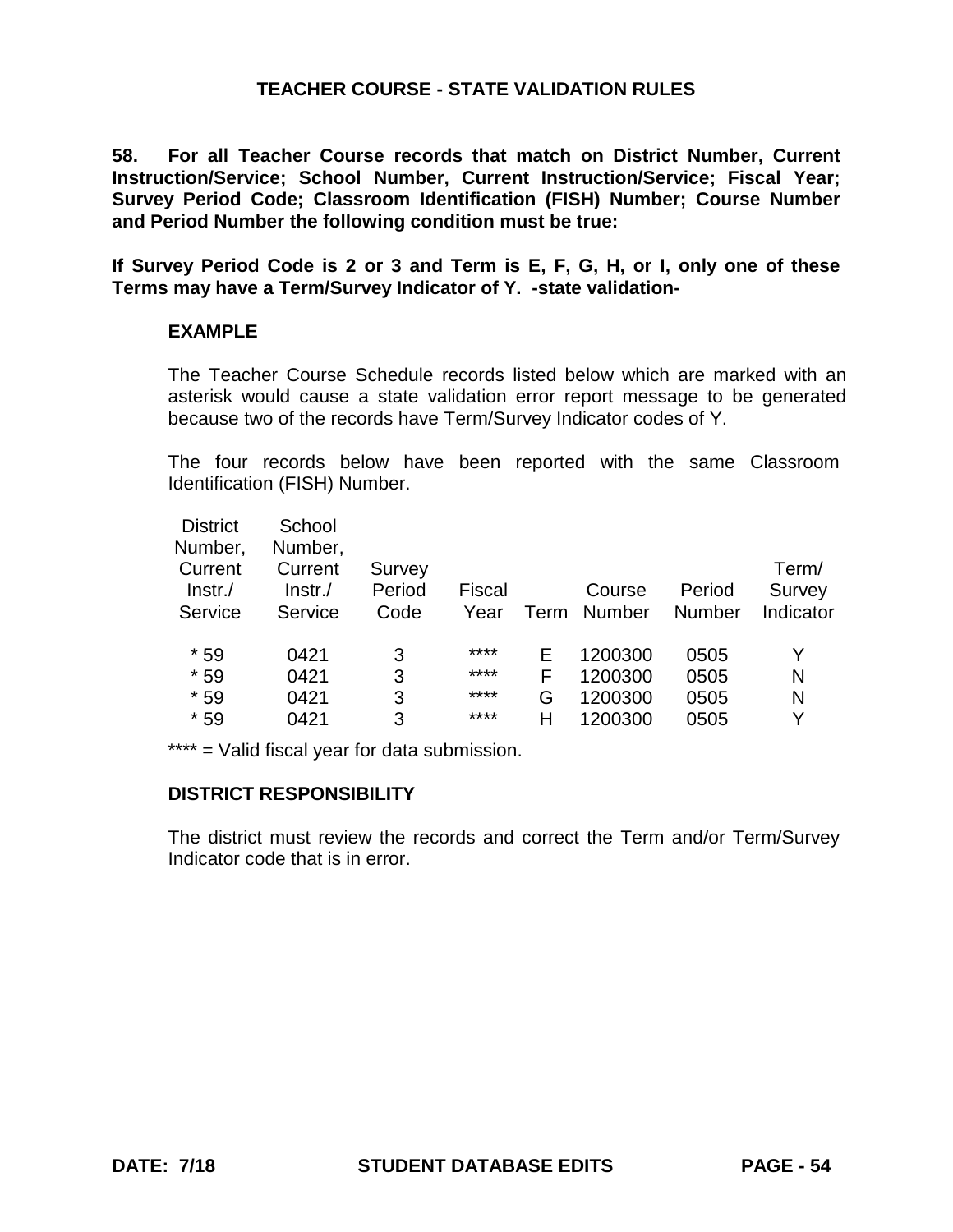**58. For all Teacher Course records that match on District Number, Current Instruction/Service; School Number, Current Instruction/Service; Fiscal Year; Survey Period Code; Classroom Identification (FISH) Number; Course Number and Period Number the following condition must be true:** 

**If Survey Period Code is 2 or 3 and Term is E, F, G, H, or I, only one of these Terms may have a Term/Survey Indicator of Y. -state validation-**

### **EXAMPLE**

The Teacher Course Schedule records listed below which are marked with an asterisk would cause a state validation error report message to be generated because two of the records have Term/Survey Indicator codes of Y.

The four records below have been reported with the same Classroom Identification (FISH) Number.

| <b>District</b>    | School             |        |        |      |               |        |           |
|--------------------|--------------------|--------|--------|------|---------------|--------|-----------|
| Number,<br>Current | Number,<br>Current | Survey |        |      |               |        | Term/     |
| $ lnstr./$         | $ lnstr./$         | Period | Fiscal |      | Course        | Period | Survey    |
| Service            | Service            | Code   | Year   | Term | <b>Number</b> | Number | Indicator |
| $*59$              | 0421               | 3      | ****   | F    | 1200300       | 0505   | Y         |
| $*59$              | 0421               | 3      | ****   | F    | 1200300       | 0505   | N         |
| $*59$              | 0421               | 3      | ****   | G    | 1200300       | 0505   | N         |
| $*59$              | 0421               | 3      | ****   | Н    | 1200300       | 0505   | v         |

\*\*\*\* = Valid fiscal year for data submission.

# **DISTRICT RESPONSIBILITY**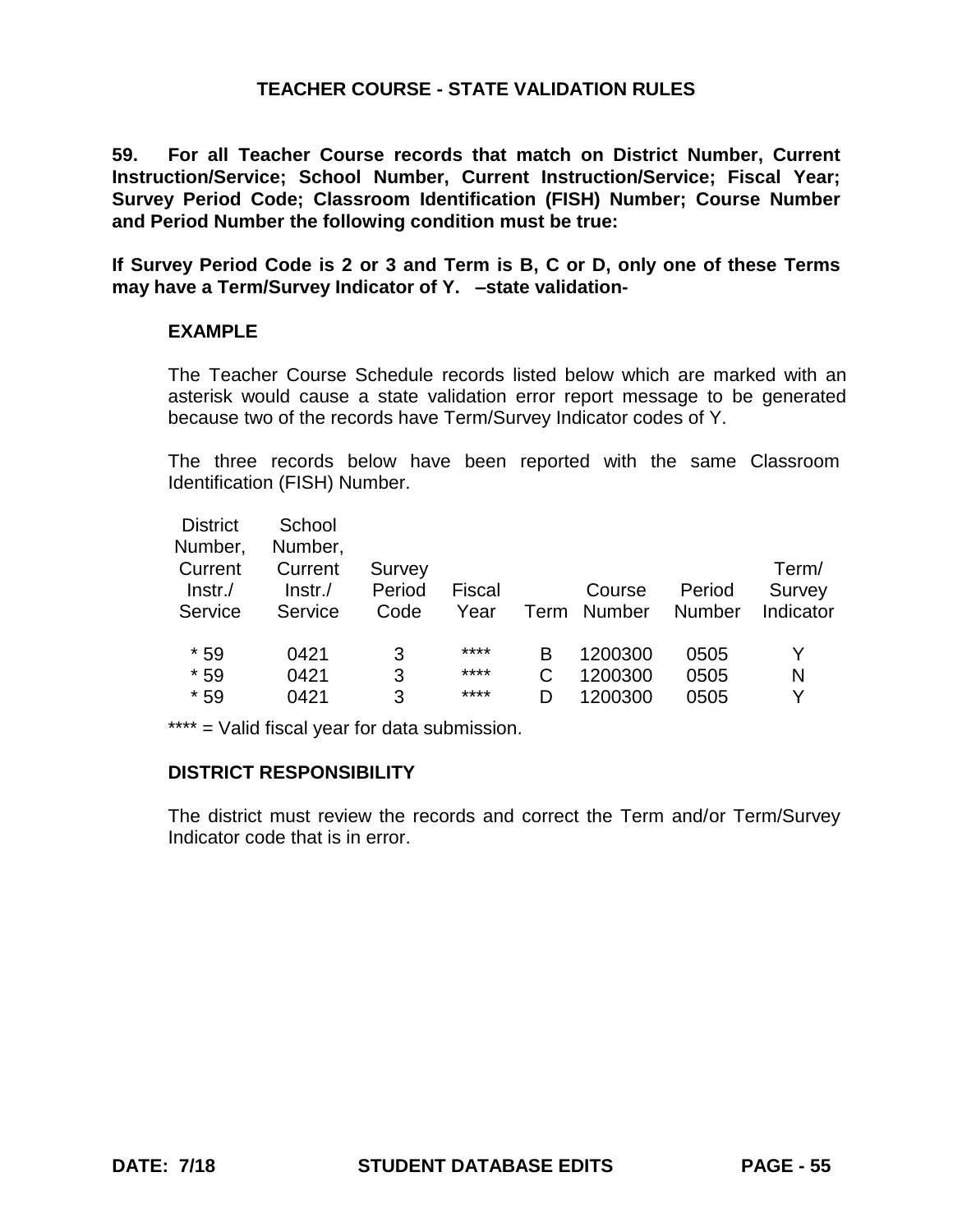**59. For all Teacher Course records that match on District Number, Current Instruction/Service; School Number, Current Instruction/Service; Fiscal Year; Survey Period Code; Classroom Identification (FISH) Number; Course Number and Period Number the following condition must be true:** 

**If Survey Period Code is 2 or 3 and Term is B, C or D, only one of these Terms may have a Term/Survey Indicator of Y. –state validation-**

#### **EXAMPLE**

The Teacher Course Schedule records listed below which are marked with an asterisk would cause a state validation error report message to be generated because two of the records have Term/Survey Indicator codes of Y.

The three records below have been reported with the same Classroom Identification (FISH) Number.

| <b>District</b><br>Number,<br>Current<br>$ lnstr./$ | School<br>Number,<br>Current<br>$ lnstr./$ | Survey<br>Period | Fiscal |   | Course      | Period | Term/<br>Survey |
|-----------------------------------------------------|--------------------------------------------|------------------|--------|---|-------------|--------|-----------------|
| Service                                             | Service                                    | Code             | Year   |   | Term Number | Number | Indicator       |
| $*59$                                               | 0421                                       | 3                | ****   | в | 1200300     | 0505   |                 |
| $*59$                                               | 0421                                       | 3                | ****   |   | 1200300     | 0505   | N               |
| $*59$                                               | 0421                                       | 3                | ****   | D | 1200300     | 0505   | v               |

\*\*\*\* = Valid fiscal year for data submission.

#### **DISTRICT RESPONSIBILITY**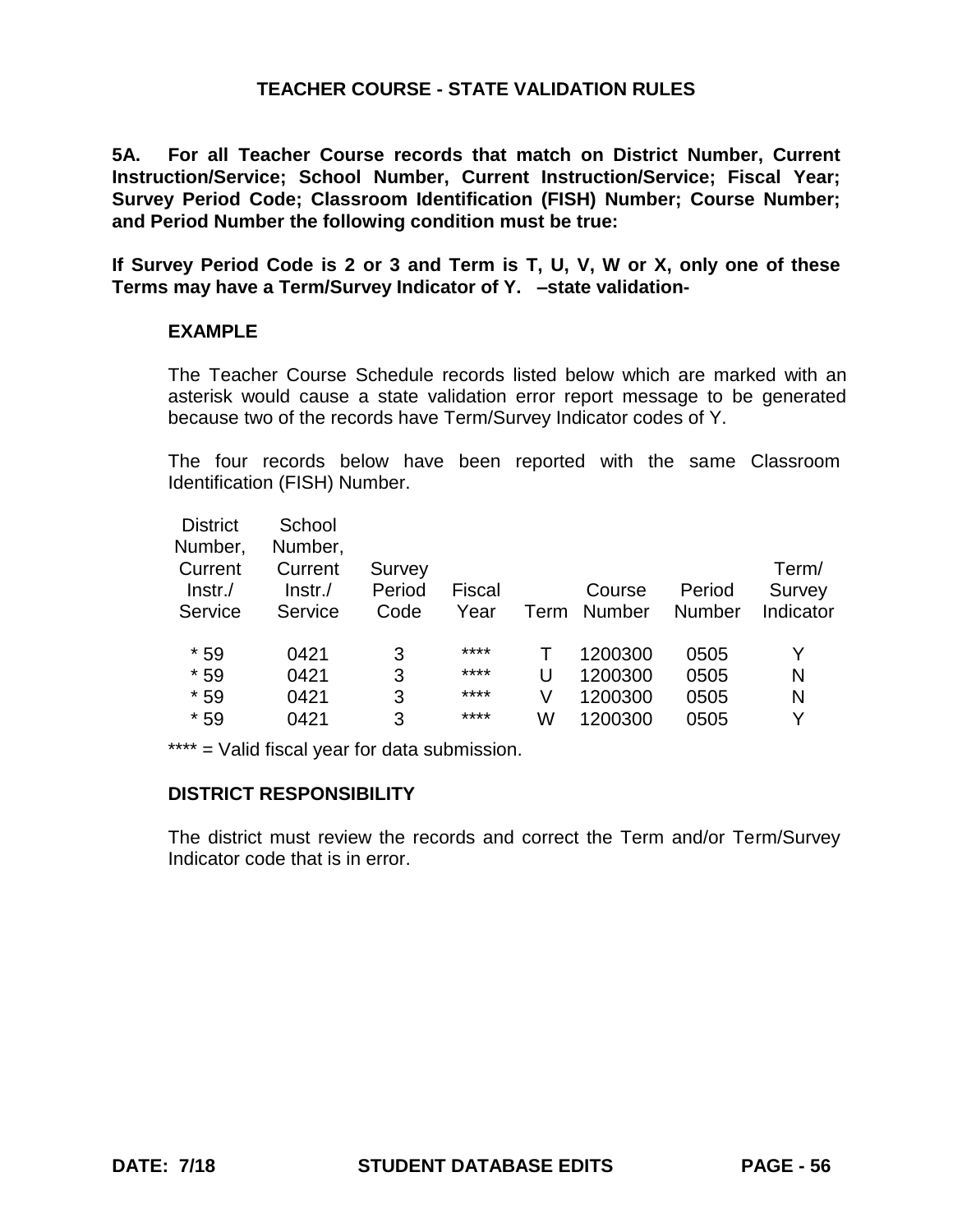**5A. For all Teacher Course records that match on District Number, Current Instruction/Service; School Number, Current Instruction/Service; Fiscal Year; Survey Period Code; Classroom Identification (FISH) Number; Course Number; and Period Number the following condition must be true:** 

**If Survey Period Code is 2 or 3 and Term is T, U, V, W or X, only one of these Terms may have a Term/Survey Indicator of Y. –state validation-**

#### **EXAMPLE**

The Teacher Course Schedule records listed below which are marked with an asterisk would cause a state validation error report message to be generated because two of the records have Term/Survey Indicator codes of Y.

The four records below have been reported with the same Classroom Identification (FISH) Number.

| <b>District</b><br>Number,       | School<br>Number,            |                          |                |      |                         |                  |                              |
|----------------------------------|------------------------------|--------------------------|----------------|------|-------------------------|------------------|------------------------------|
| Current<br>$ lnstr./$<br>Service | Current<br>Instr.<br>Service | Survey<br>Period<br>Code | Fiscal<br>Year | Term | Course<br><b>Number</b> | Period<br>Number | Term/<br>Survey<br>Indicator |
| $*59$                            | 0421                         | 3                        | ****           |      | 1200300                 | 0505             | Y                            |
| $*59$                            | 0421                         | 3                        | ****           | U    | 1200300                 | 0505             | N                            |
| $*59$                            | 0421                         | 3                        | ****           | V    | 1200300                 | 0505             | N                            |
| $*59$                            | 0421                         | 3                        | ****           | W    | 1200300                 | 0505             | v                            |
|                                  |                              |                          |                |      |                         |                  |                              |

\*\*\*\* = Valid fiscal year for data submission.

# **DISTRICT RESPONSIBILITY**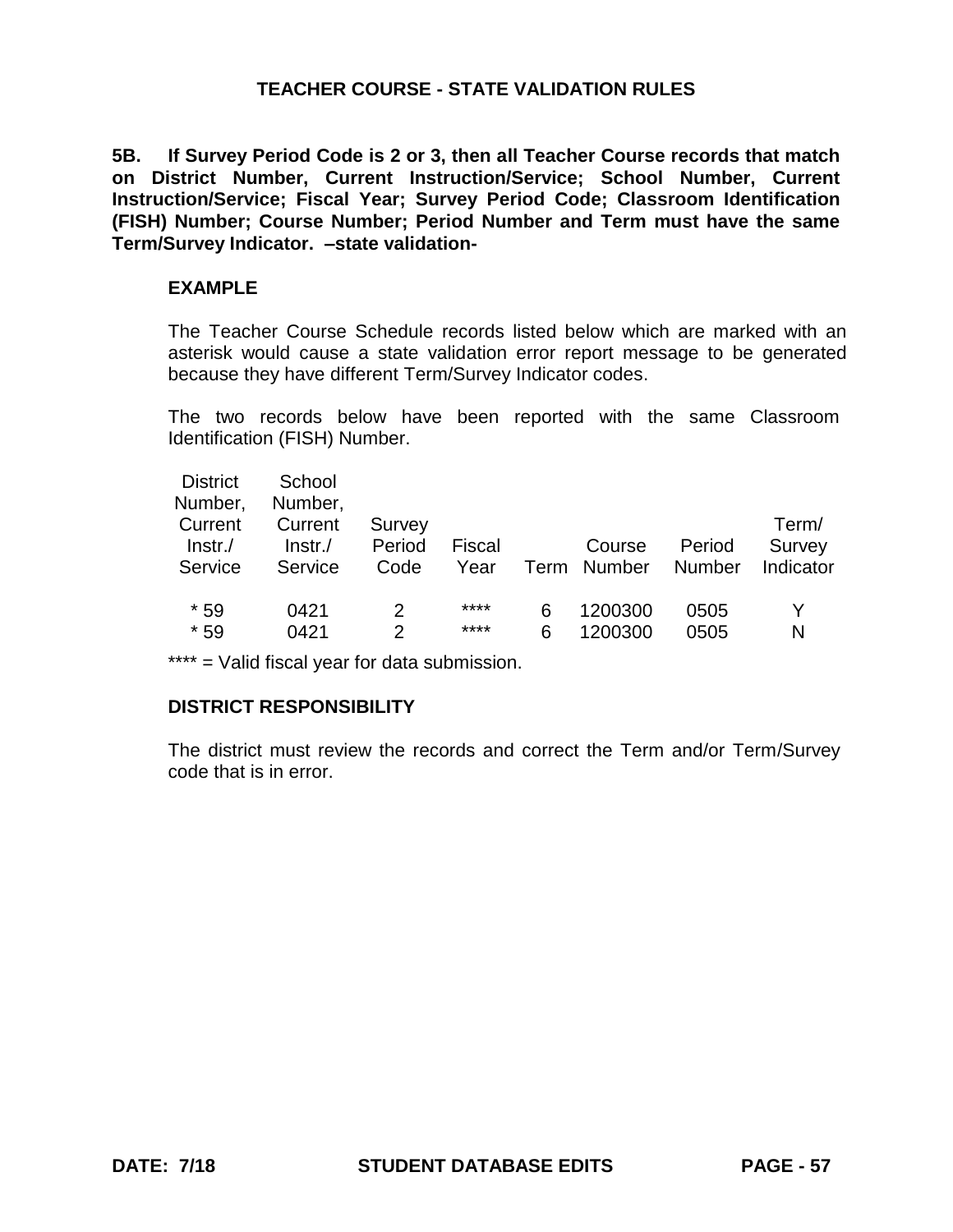**5B. If Survey Period Code is 2 or 3, then all Teacher Course records that match on District Number, Current Instruction/Service; School Number, Current Instruction/Service; Fiscal Year; Survey Period Code; Classroom Identification (FISH) Number; Course Number; Period Number and Term must have the same Term/Survey Indicator. –state validation-**

#### **EXAMPLE**

The Teacher Course Schedule records listed below which are marked with an asterisk would cause a state validation error report message to be generated because they have different Term/Survey Indicator codes.

The two records below have been reported with the same Classroom Identification (FISH) Number.

| <b>District</b><br>Number,<br>Current<br>$ lnstr./$<br>Service | School<br>Number,<br>Current<br>Instr.<br>Service | Survey<br>Period<br>Code | Fiscal<br>Year |   | Course<br>Term Number | Period<br><b>Number</b> | Term/<br>Survey<br>Indicator |
|----------------------------------------------------------------|---------------------------------------------------|--------------------------|----------------|---|-----------------------|-------------------------|------------------------------|
| $*59$                                                          | 0421                                              | 2                        | ****           | 6 | 1200300               | 0505                    | N                            |
| $*59$                                                          | 0421                                              | 2                        | ****           | 6 | 1200300               | 0505                    |                              |

\*\*\*\* = Valid fiscal year for data submission.

# **DISTRICT RESPONSIBILITY**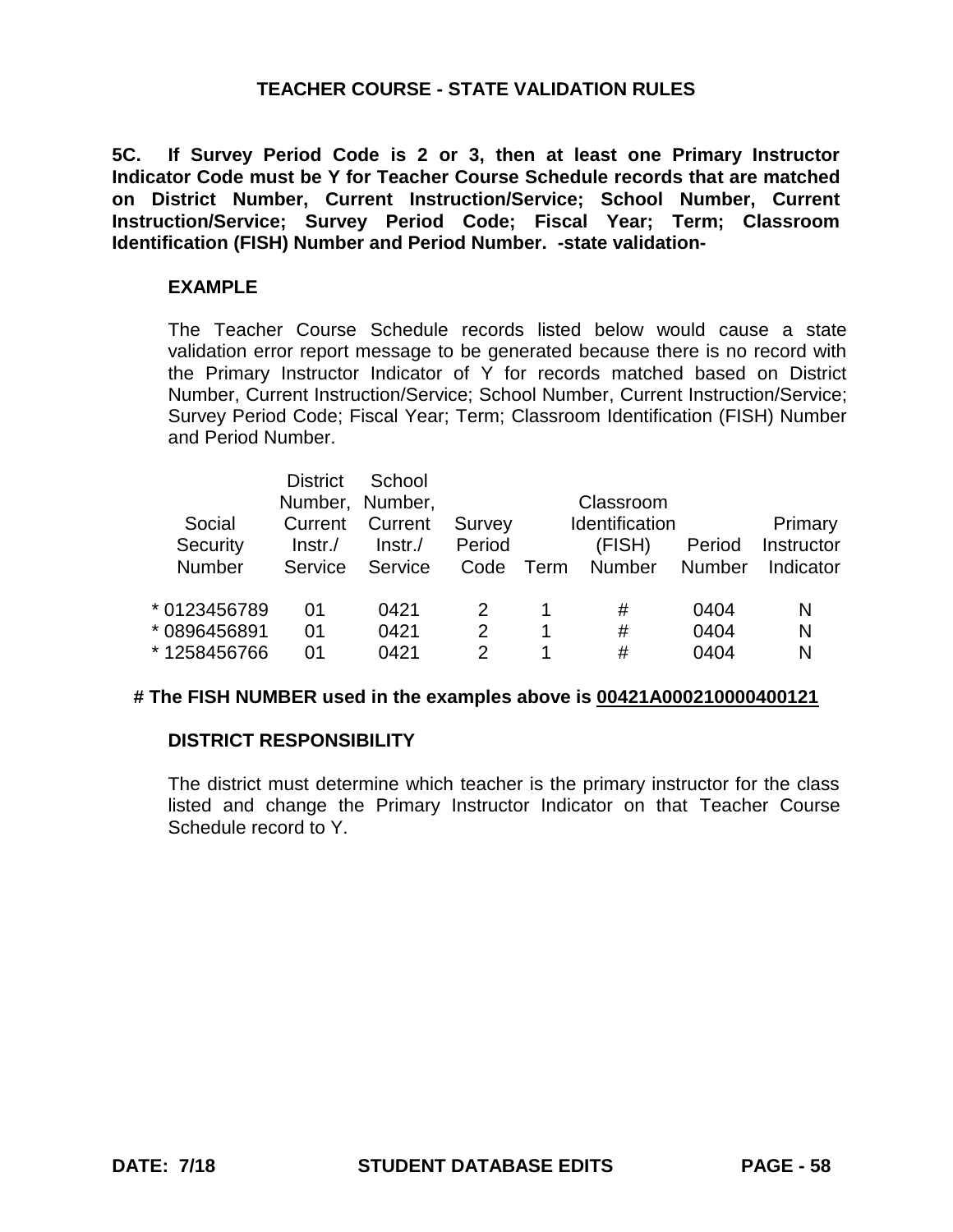**5C. If Survey Period Code is 2 or 3, then at least one Primary Instructor Indicator Code must be Y for Teacher Course Schedule records that are matched on District Number, Current Instruction/Service; School Number, Current Instruction/Service; Survey Period Code; Fiscal Year; Term; Classroom Identification (FISH) Number and Period Number. -state validation-**

#### **EXAMPLE**

The Teacher Course Schedule records listed below would cause a state validation error report message to be generated because there is no record with the Primary Instructor Indicator of Y for records matched based on District Number, Current Instruction/Service; School Number, Current Instruction/Service; Survey Period Code; Fiscal Year; Term; Classroom Identification (FISH) Number and Period Number.

|               | <b>District</b> | School<br>Number, Number, |        |      | Classroom      |               |            |
|---------------|-----------------|---------------------------|--------|------|----------------|---------------|------------|
| Social        | Current         | Current                   | Survey |      | Identification |               | Primary    |
| Security      | Instr.          | $Instr$ ./                | Period |      | (FISH)         | Period        | Instructor |
| <b>Number</b> | Service         | Service                   | Code   | Term | <b>Number</b>  | <b>Number</b> | Indicator  |
| * 0123456789  | 01              | 0421                      |        | 1    | #              | 0404          | N          |
| * 0896456891  | 01              | 0421                      | 2      | 1    | #              | 0404          | N          |
| *1258456766   | 01              | 0421                      | 2      |      | #              | 0404          | N          |

#### **# The FISH NUMBER used in the examples above is 00421A000210000400121**

#### **DISTRICT RESPONSIBILITY**

The district must determine which teacher is the primary instructor for the class listed and change the Primary Instructor Indicator on that Teacher Course Schedule record to Y.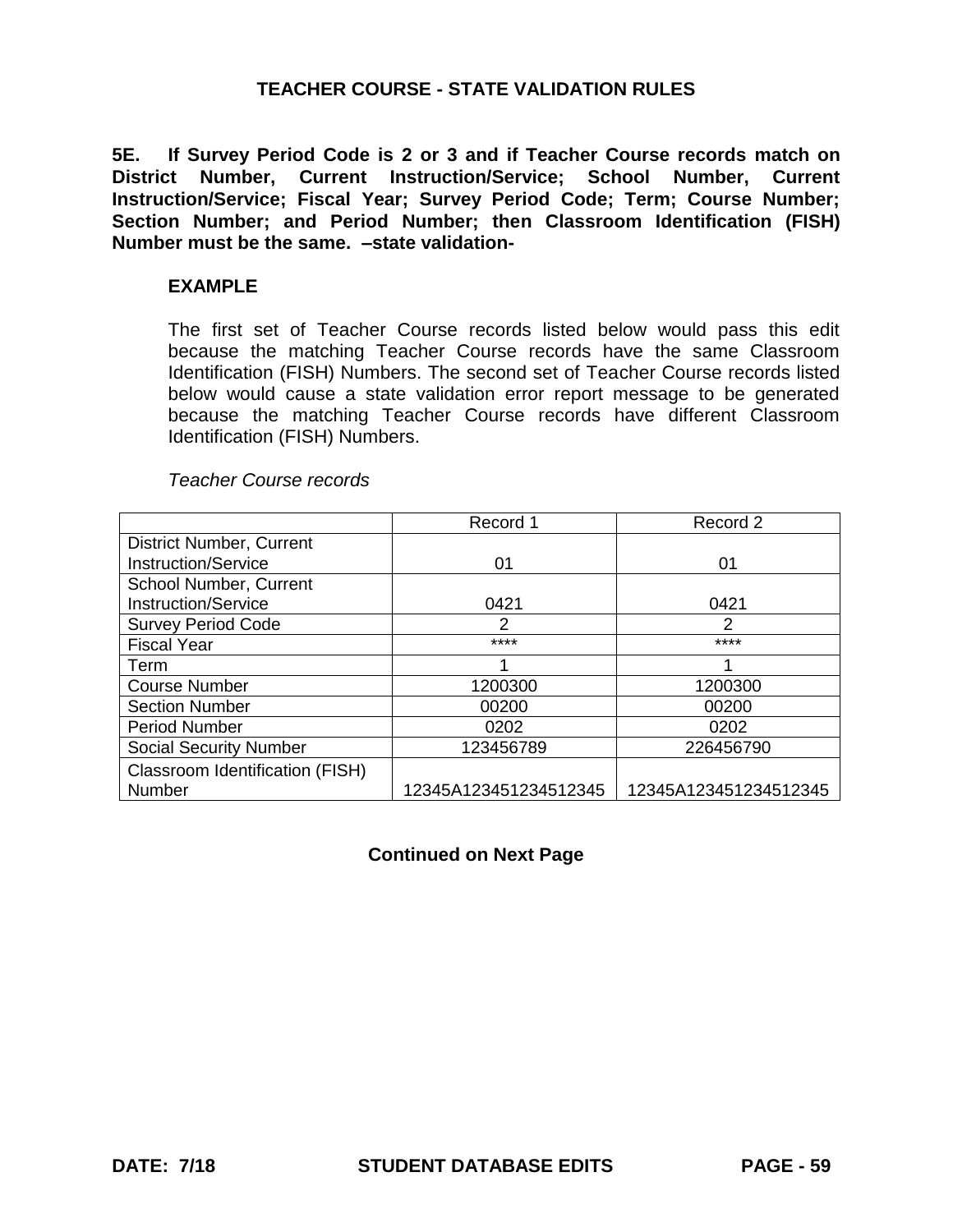**5E. If Survey Period Code is 2 or 3 and if Teacher Course records match on District Number, Current Instruction/Service; School Number, Current Instruction/Service; Fiscal Year; Survey Period Code; Term; Course Number; Section Number; and Period Number; then Classroom Identification (FISH) Number must be the same. –state validation-**

#### **EXAMPLE**

The first set of Teacher Course records listed below would pass this edit because the matching Teacher Course records have the same Classroom Identification (FISH) Numbers. The second set of Teacher Course records listed below would cause a state validation error report message to be generated because the matching Teacher Course records have different Classroom Identification (FISH) Numbers.

| <b>Teacher Course records</b> |
|-------------------------------|
|-------------------------------|

|                                 | Record 1              | Record 2              |
|---------------------------------|-----------------------|-----------------------|
| <b>District Number, Current</b> |                       |                       |
| <b>Instruction/Service</b>      | 01                    | 01                    |
| School Number, Current          |                       |                       |
| <b>Instruction/Service</b>      | 0421                  | 0421                  |
| <b>Survey Period Code</b>       | 2                     | $\mathcal{P}$         |
| <b>Fiscal Year</b>              | ****                  | ****                  |
| Term                            |                       |                       |
| <b>Course Number</b>            | 1200300               | 1200300               |
| <b>Section Number</b>           | 00200                 | 00200                 |
| <b>Period Number</b>            | 0202                  | 0202                  |
| <b>Social Security Number</b>   | 123456789             | 226456790             |
| Classroom Identification (FISH) |                       |                       |
| Number                          | 12345A123451234512345 | 12345A123451234512345 |

# **Continued on Next Page**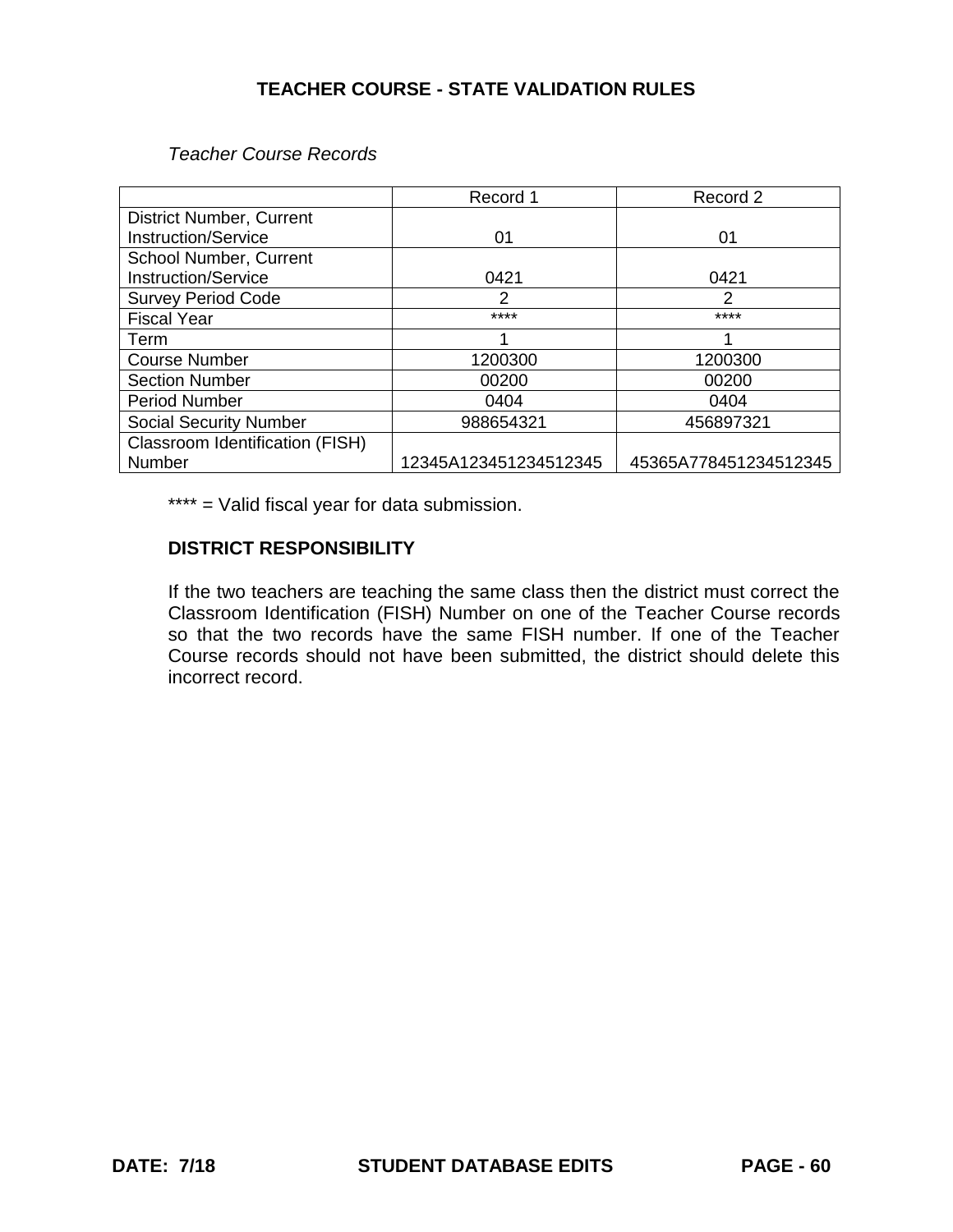*Teacher Course Records*

|                                 | Record 1              | Record 2              |
|---------------------------------|-----------------------|-----------------------|
| <b>District Number, Current</b> |                       |                       |
| <b>Instruction/Service</b>      | 01                    | 01                    |
| School Number, Current          |                       |                       |
| Instruction/Service             | 0421                  | 0421                  |
| <b>Survey Period Code</b>       | 2                     | $\mathcal{P}$         |
| <b>Fiscal Year</b>              | ****                  | ****                  |
| Term                            |                       |                       |
| <b>Course Number</b>            | 1200300               | 1200300               |
| <b>Section Number</b>           | 00200                 | 00200                 |
| <b>Period Number</b>            | 0404                  | 0404                  |
| <b>Social Security Number</b>   | 988654321             | 456897321             |
| Classroom Identification (FISH) |                       |                       |
| Number                          | 12345A123451234512345 | 45365A778451234512345 |

\*\*\*\* = Valid fiscal year for data submission.

### **DISTRICT RESPONSIBILITY**

If the two teachers are teaching the same class then the district must correct the Classroom Identification (FISH) Number on one of the Teacher Course records so that the two records have the same FISH number. If one of the Teacher Course records should not have been submitted, the district should delete this incorrect record.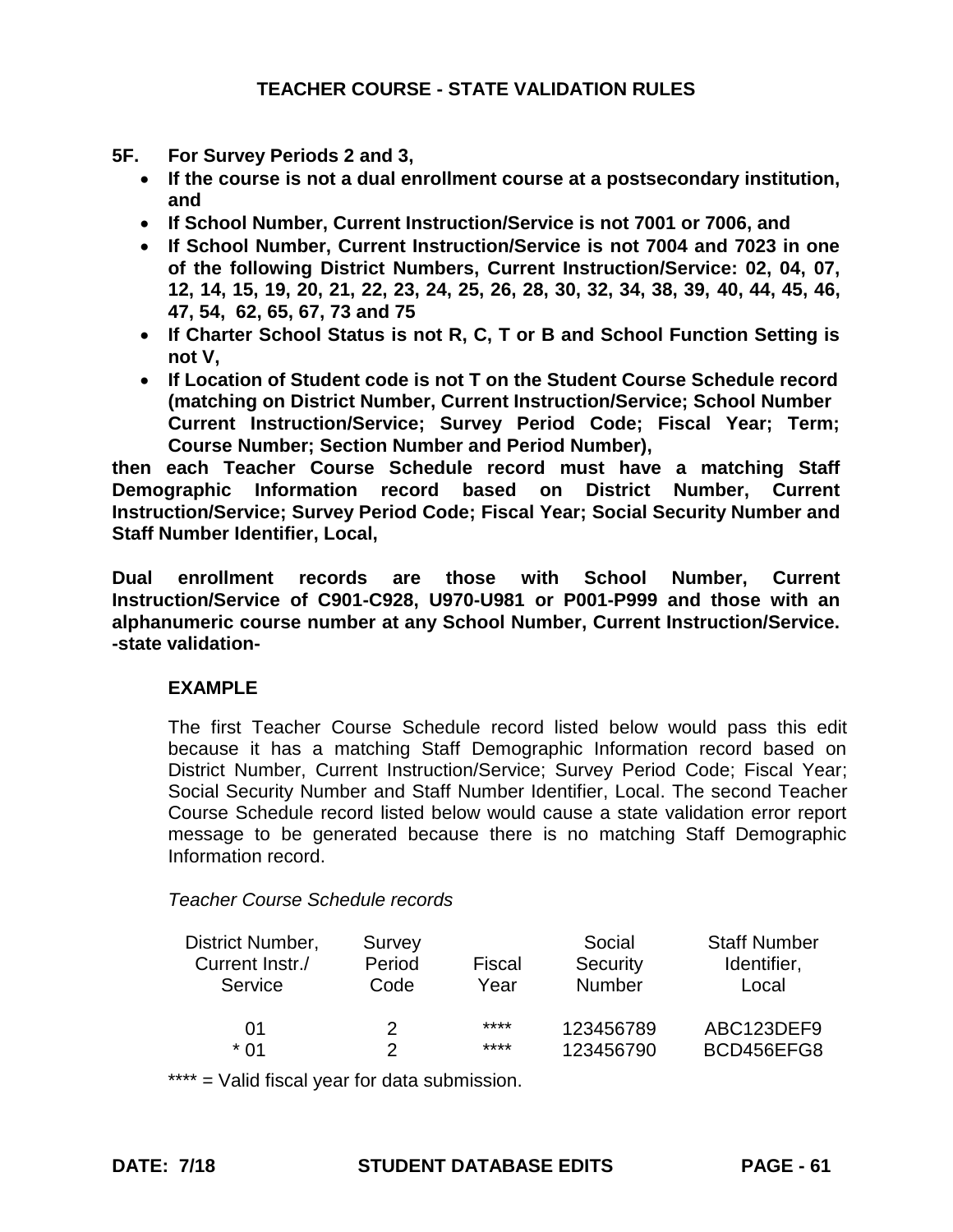- **5F. For Survey Periods 2 and 3,** 
	- **If the course is not a dual enrollment course at a postsecondary institution, and**
	- **If School Number, Current Instruction/Service is not 7001 or 7006, and**
	- **If School Number, Current Instruction/Service is not 7004 and 7023 in one of the following District Numbers, Current Instruction/Service: 02, 04, 07, 12, 14, 15, 19, 20, 21, 22, 23, 24, 25, 26, 28, 30, 32, 34, 38, 39, 40, 44, 45, 46, 47, 54, 62, 65, 67, 73 and 75**
	- **If Charter School Status is not R, C, T or B and School Function Setting is not V,**
	- **If Location of Student code is not T on the Student Course Schedule record (matching on District Number, Current Instruction/Service; School Number Current Instruction/Service; Survey Period Code; Fiscal Year; Term; Course Number; Section Number and Period Number),**

**then each Teacher Course Schedule record must have a matching Staff Demographic Information record based on District Number, Current Instruction/Service; Survey Period Code; Fiscal Year; Social Security Number and Staff Number Identifier, Local,**

**Dual enrollment records are those with School Number, Current Instruction/Service of C901-C928, U970-U981 or P001-P999 and those with an alphanumeric course number at any School Number, Current Instruction/Service. -state validation-**

# **EXAMPLE**

The first Teacher Course Schedule record listed below would pass this edit because it has a matching Staff Demographic Information record based on District Number, Current Instruction/Service; Survey Period Code; Fiscal Year; Social Security Number and Staff Number Identifier, Local. The second Teacher Course Schedule record listed below would cause a state validation error report message to be generated because there is no matching Staff Demographic Information record.

# *Teacher Course Schedule records*

| District Number,<br>Current Instr./<br>Service | Survey<br>Period<br>Code | Fiscal<br>Year | Social<br>Security<br><b>Number</b> | <b>Staff Number</b><br>Identifier,<br>Local |
|------------------------------------------------|--------------------------|----------------|-------------------------------------|---------------------------------------------|
|                                                |                          |                |                                     |                                             |
| 01                                             | 2                        | ****           | 123456789                           | ABC123DEF9                                  |
| * በ1                                           | っ                        | ****           | 123456790                           | BCD456EFG8                                  |

\*\*\*\* = Valid fiscal year for data submission.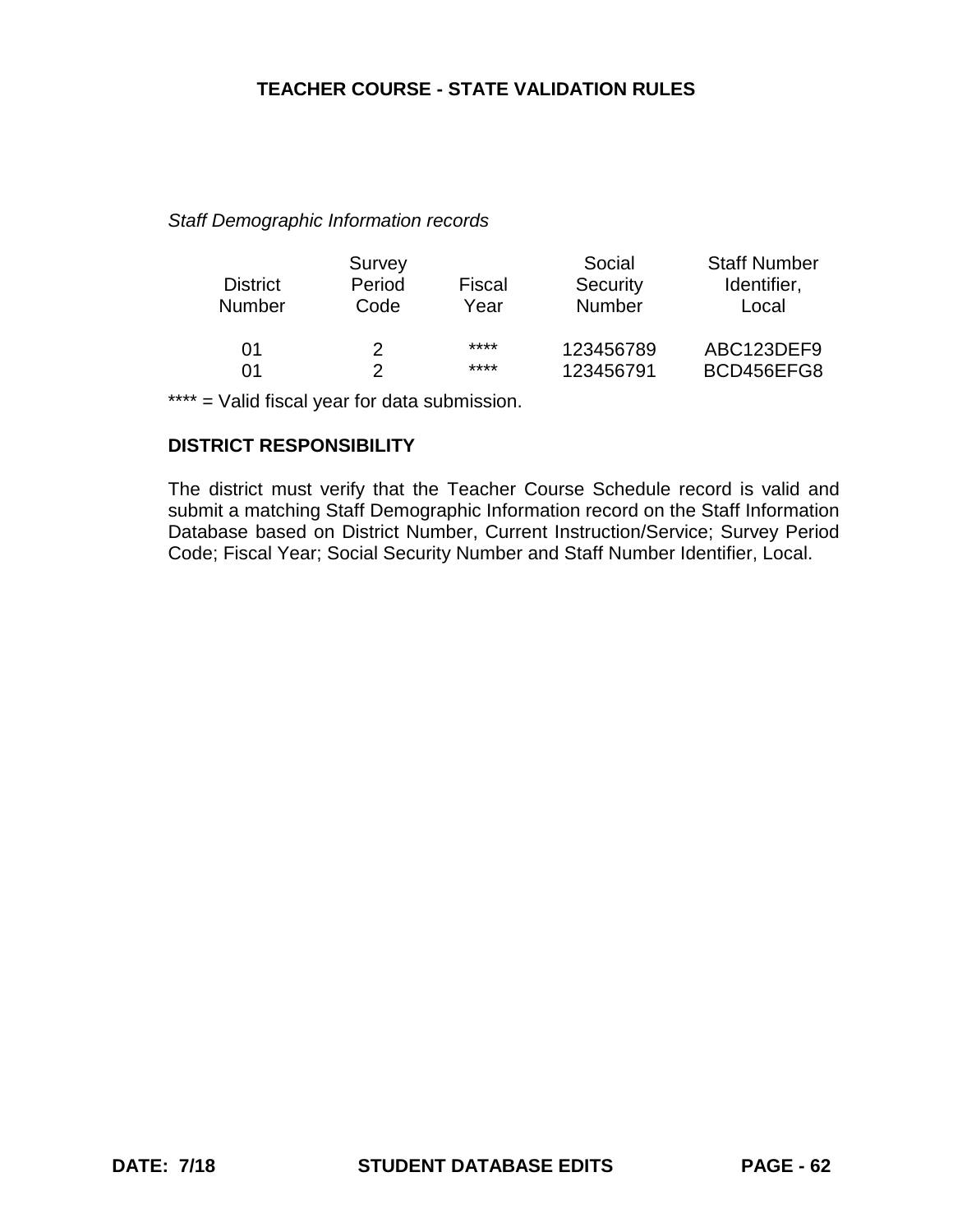#### *Staff Demographic Information records*

|                 | Survey |        | Social        | <b>Staff Number</b> |
|-----------------|--------|--------|---------------|---------------------|
| <b>District</b> | Period | Fiscal | Security      | Identifier,         |
| <b>Number</b>   | Code   | Year   | <b>Number</b> | Local               |
| 01              | 2      | ****   | 123456789     | ABC123DEF9          |
| በ1              |        | ****   | 123456791     | BCD456EFG8          |

\*\*\*\* = Valid fiscal year for data submission.

## **DISTRICT RESPONSIBILITY**

The district must verify that the Teacher Course Schedule record is valid and submit a matching Staff Demographic Information record on the Staff Information Database based on District Number, Current Instruction/Service; Survey Period Code; Fiscal Year; Social Security Number and Staff Number Identifier, Local.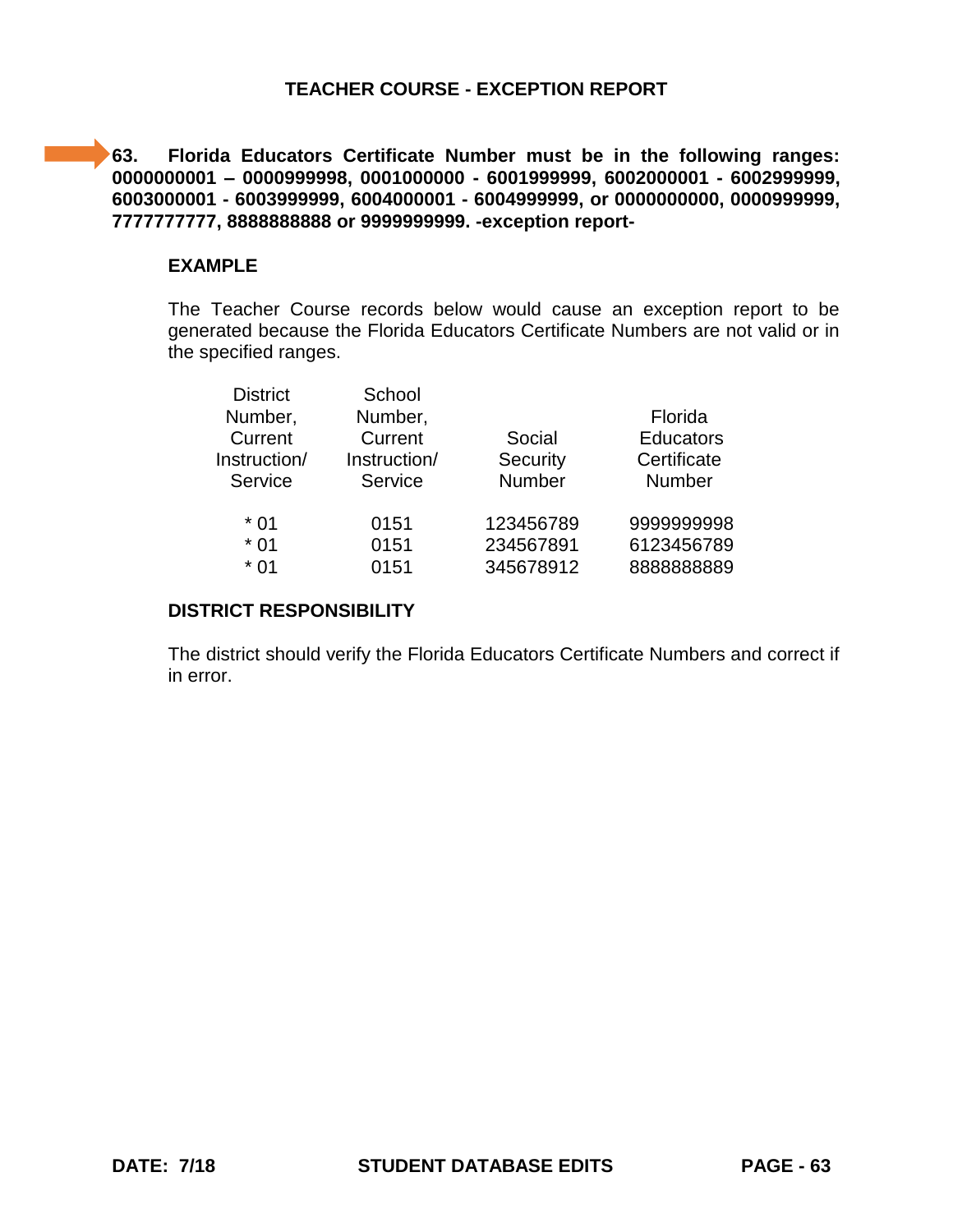**63. Florida Educators Certificate Number must be in the following ranges: 0000000001 – 0000999998, 0001000000 - 6001999999, 6002000001 - 6002999999, 6003000001 - 6003999999, 6004000001 - 6004999999, or 0000000000, 0000999999, 7777777777, 8888888888 or 9999999999. -exception report-**

#### **EXAMPLE**

The Teacher Course records below would cause an exception report to be generated because the Florida Educators Certificate Numbers are not valid or in the specified ranges.

| <b>District</b> | School       |           |                  |
|-----------------|--------------|-----------|------------------|
| Number,         | Number,      |           | Florida          |
| Current         | Current      | Social    | <b>Educators</b> |
| Instruction/    | Instruction/ | Security  | Certificate      |
| Service         | Service      | Number    | <b>Number</b>    |
| * 01            | 0151         | 123456789 | 999999998        |
| $*01$           | 0151         | 234567891 | 6123456789       |
| * በ1            | 0151         | 345678912 | 888888889        |
|                 |              |           |                  |

#### **DISTRICT RESPONSIBILITY**

The district should verify the Florida Educators Certificate Numbers and correct if in error.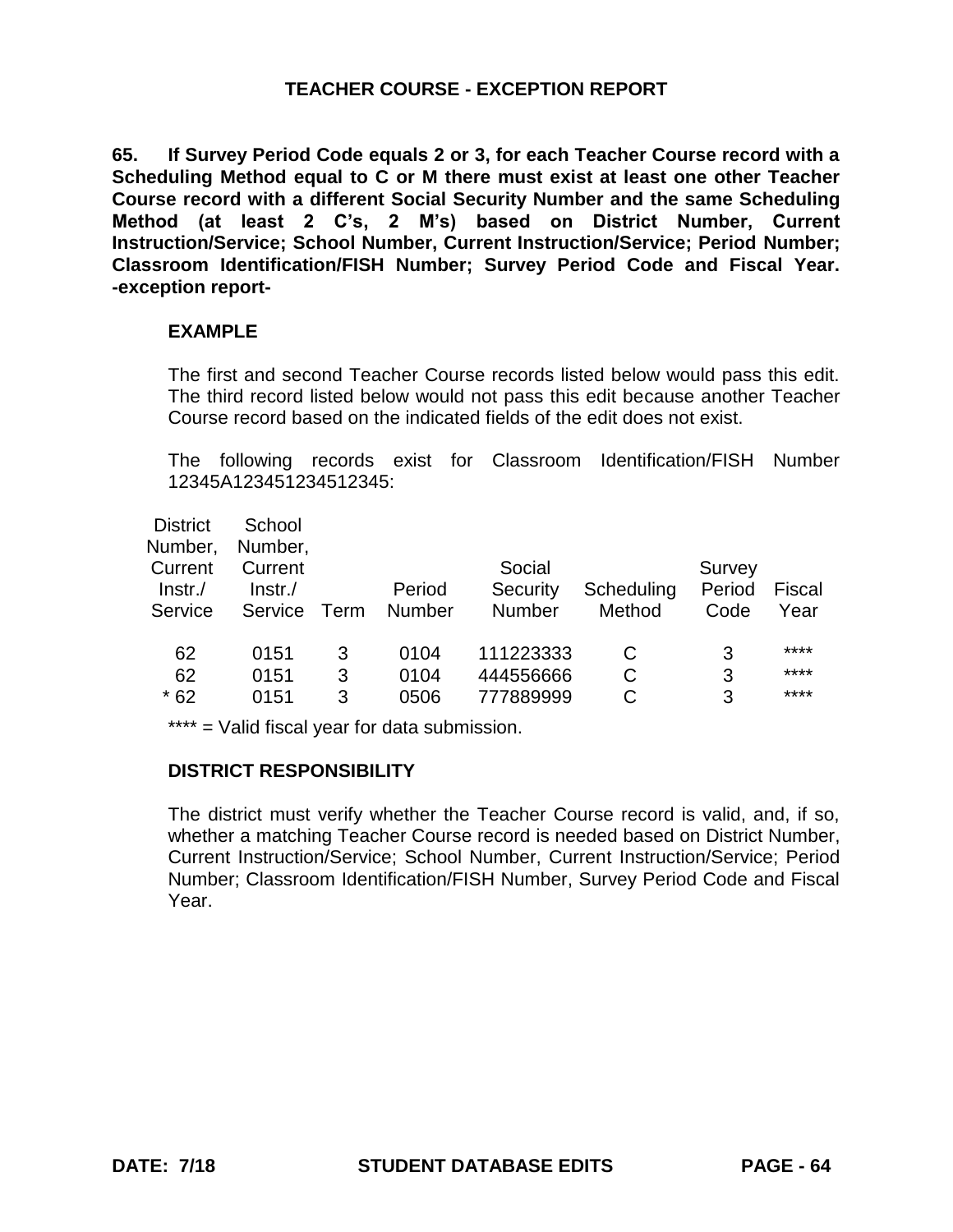**65. If Survey Period Code equals 2 or 3, for each Teacher Course record with a Scheduling Method equal to C or M there must exist at least one other Teacher Course record with a different Social Security Number and the same Scheduling Method (at least 2 C's, 2 M's) based on District Number, Current Instruction/Service; School Number, Current Instruction/Service; Period Number; Classroom Identification/FISH Number; Survey Period Code and Fiscal Year. -exception report-**

### **EXAMPLE**

The first and second Teacher Course records listed below would pass this edit. The third record listed below would not pass this edit because another Teacher Course record based on the indicated fields of the edit does not exist.

The following records exist for Classroom Identification/FISH Number 12345A123451234512345:

| <b>District</b> | School  |      |               |               |            |        |        |
|-----------------|---------|------|---------------|---------------|------------|--------|--------|
| Number,         | Number, |      |               |               |            |        |        |
| Current         | Current |      |               | Social        |            | Survey |        |
| $Instr$ ./      | Instr.  |      | Period        | Security      | Scheduling | Period | Fiscal |
| Service         | Service | Term | <b>Number</b> | <b>Number</b> | Method     | Code   | Year   |
|                 |         |      |               |               |            |        |        |
| 62              | 0151    | 3    | 0104          | 111223333     |            | 3      | ****   |
| 62              | 0151    | 3    | 0104          | 444556666     | С          | 3      | ****   |
| $*62$           | 0151    | 3    | 0506          | 777889999     |            | 3      | ****   |
|                 |         |      |               |               |            |        |        |

\*\*\*\* = Valid fiscal year for data submission.

# **DISTRICT RESPONSIBILITY**

The district must verify whether the Teacher Course record is valid, and, if so, whether a matching Teacher Course record is needed based on District Number, Current Instruction/Service; School Number, Current Instruction/Service; Period Number; Classroom Identification/FISH Number, Survey Period Code and Fiscal Year.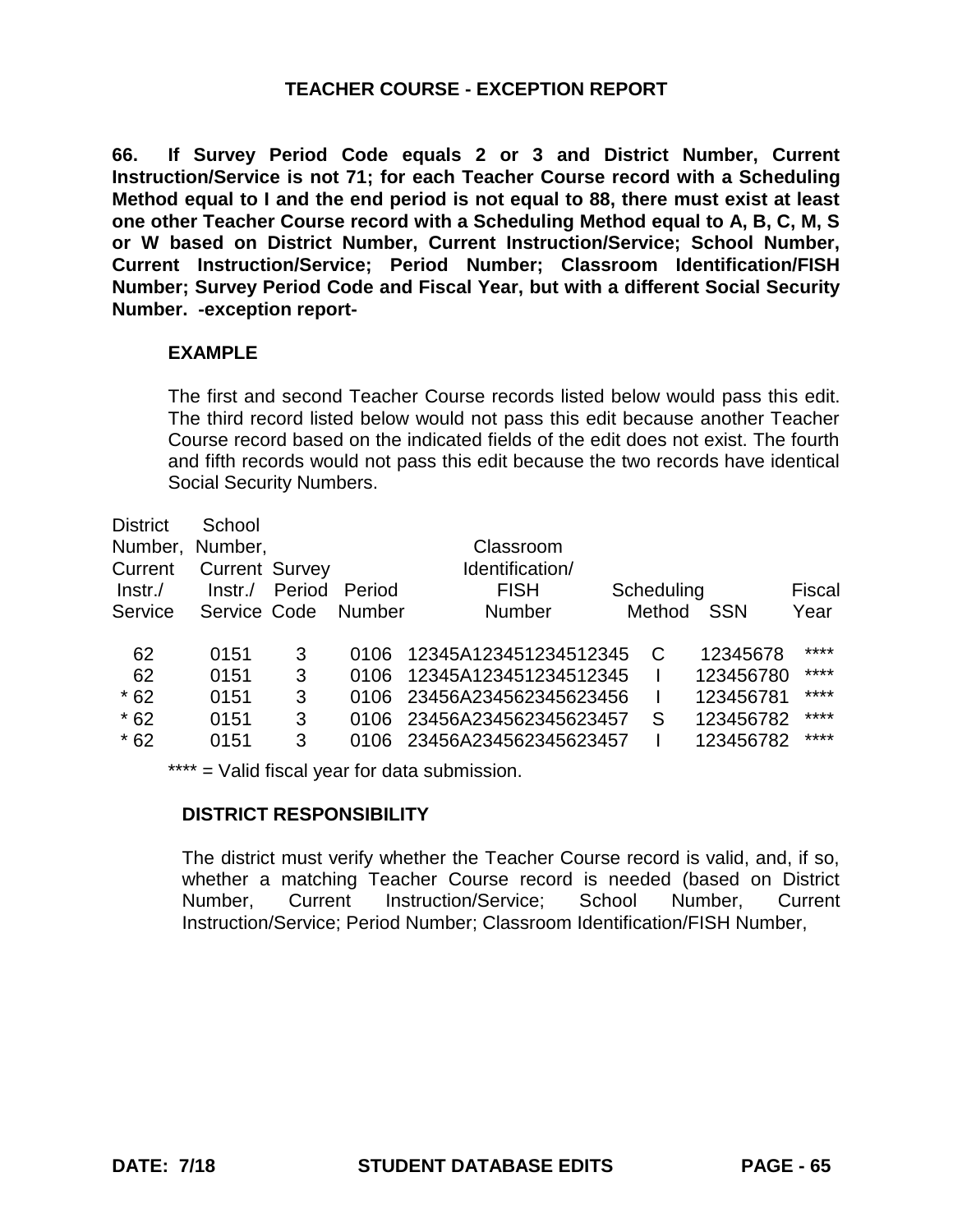**66. If Survey Period Code equals 2 or 3 and District Number, Current Instruction/Service is not 71; for each Teacher Course record with a Scheduling Method equal to I and the end period is not equal to 88, there must exist at least one other Teacher Course record with a Scheduling Method equal to A, B, C, M, S or W based on District Number, Current Instruction/Service; School Number, Current Instruction/Service; Period Number; Classroom Identification/FISH Number; Survey Period Code and Fiscal Year, but with a different Social Security Number. -exception report-**

### **EXAMPLE**

The first and second Teacher Course records listed below would pass this edit. The third record listed below would not pass this edit because another Teacher Course record based on the indicated fields of the edit does not exist. The fourth and fifth records would not pass this edit because the two records have identical Social Security Numbers.

| <b>District</b> | School                |        |        |                       |            |            |        |
|-----------------|-----------------------|--------|--------|-----------------------|------------|------------|--------|
| Number,         | Number,               |        |        | Classroom             |            |            |        |
| Current         | <b>Current Survey</b> |        |        | Identification/       |            |            |        |
| Instr.          | Instr.                | Period | Period | <b>FISH</b>           | Scheduling |            | Fiscal |
| Service         | Service Code          |        | Number | <b>Number</b>         | Method     | <b>SSN</b> | Year   |
|                 |                       |        |        |                       |            |            |        |
| 62              | 0151                  | 3      | 0106   | 12345A123451234512345 | C          | 12345678   | ****   |
| 62              | 0151                  | 3      | 0106   | 12345A123451234512345 |            | 123456780  | ****   |
| $*62$           | 0151                  | 3      | 0106   | 23456A234562345623456 |            | 123456781  | ****   |
| $*62$           | 0151                  | 3      | 0106   | 23456A234562345623457 | S          | 123456782  | ****   |
| $*62$           | 0151                  | 3      | 0106   | 23456A234562345623457 |            | 123456782  | ****   |
|                 |                       |        |        |                       |            |            |        |

\*\*\*\* = Valid fiscal year for data submission.

# **DISTRICT RESPONSIBILITY**

The district must verify whether the Teacher Course record is valid, and, if so, whether a matching Teacher Course record is needed (based on District Number, Current Instruction/Service; School Number, Current Instruction/Service; Period Number; Classroom Identification/FISH Number,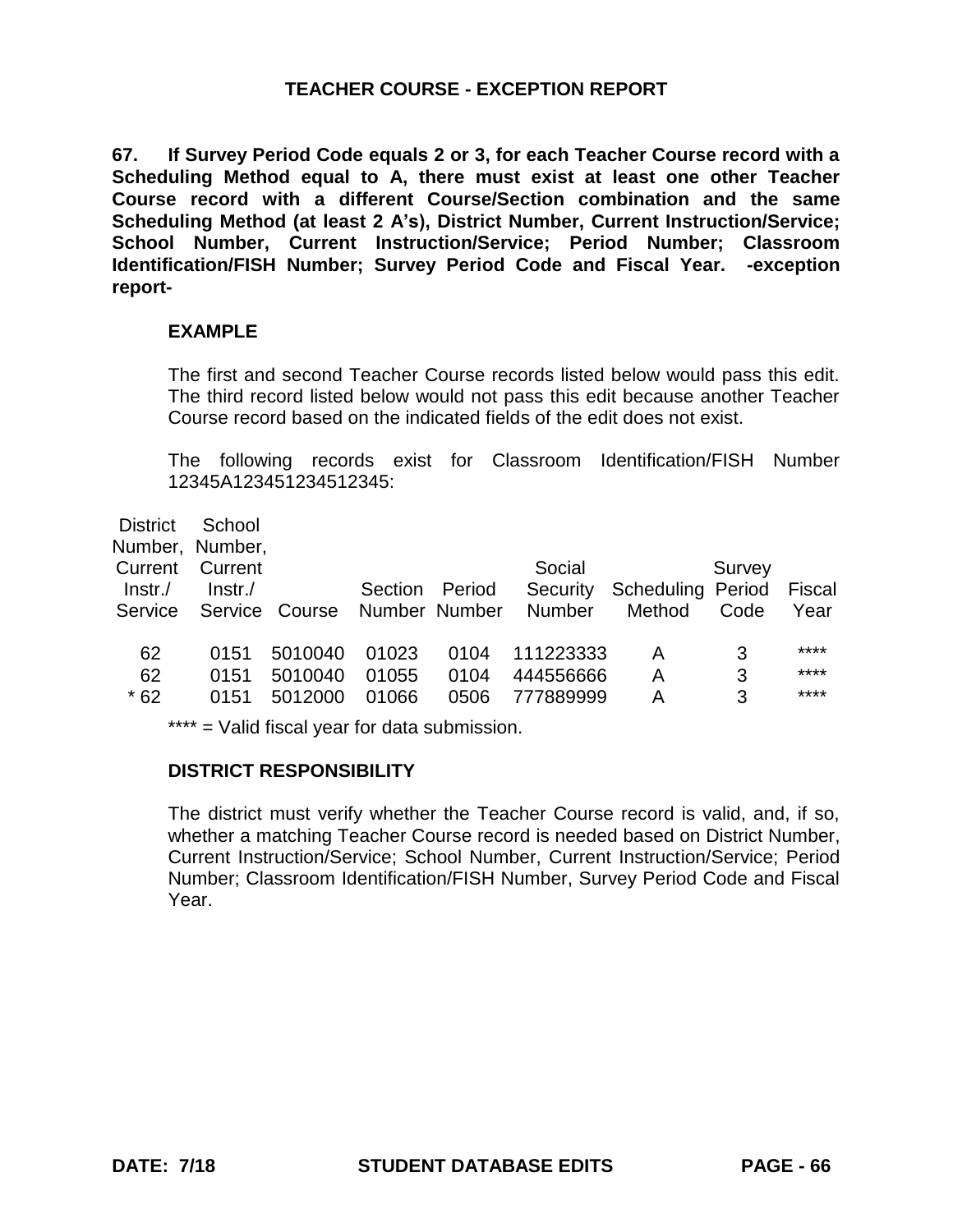**67. If Survey Period Code equals 2 or 3, for each Teacher Course record with a Scheduling Method equal to A, there must exist at least one other Teacher Course record with a different Course/Section combination and the same Scheduling Method (at least 2 A's), District Number, Current Instruction/Service; School Number, Current Instruction/Service; Period Number; Classroom Identification/FISH Number; Survey Period Code and Fiscal Year. -exception report-**

### **EXAMPLE**

The first and second Teacher Course records listed below would pass this edit. The third record listed below would not pass this edit because another Teacher Course record based on the indicated fields of the edit does not exist.

The following records exist for Classroom Identification/FISH Number 12345A123451234512345:

| <b>District</b><br>Current<br>Instr.<br>Service | School<br>Number, Number,<br>Current<br>$Instr$ ./ | Service Course | Section | Period<br>Number Number | Social<br>Security<br><b>Number</b> | Scheduling Period<br>Method | Survey<br>Code | Fiscal<br>Year |
|-------------------------------------------------|----------------------------------------------------|----------------|---------|-------------------------|-------------------------------------|-----------------------------|----------------|----------------|
| 62                                              | 0151                                               | 5010040        | 01023   | 0104                    | 111223333                           | Α                           | 3              | ****           |
| 62                                              | 0151                                               | 5010040        | 01055   | 0104                    | 444556666                           | Α                           | 3              | ****           |
| $*62$                                           | 0151                                               | 5012000        | 01066   | 0506                    | 777889999                           | А                           | 3              | ****           |
|                                                 |                                                    |                |         |                         |                                     |                             |                |                |

\*\*\*\* = Valid fiscal year for data submission.

#### **DISTRICT RESPONSIBILITY**

The district must verify whether the Teacher Course record is valid, and, if so, whether a matching Teacher Course record is needed based on District Number, Current Instruction/Service; School Number, Current Instruction/Service; Period Number; Classroom Identification/FISH Number, Survey Period Code and Fiscal Year.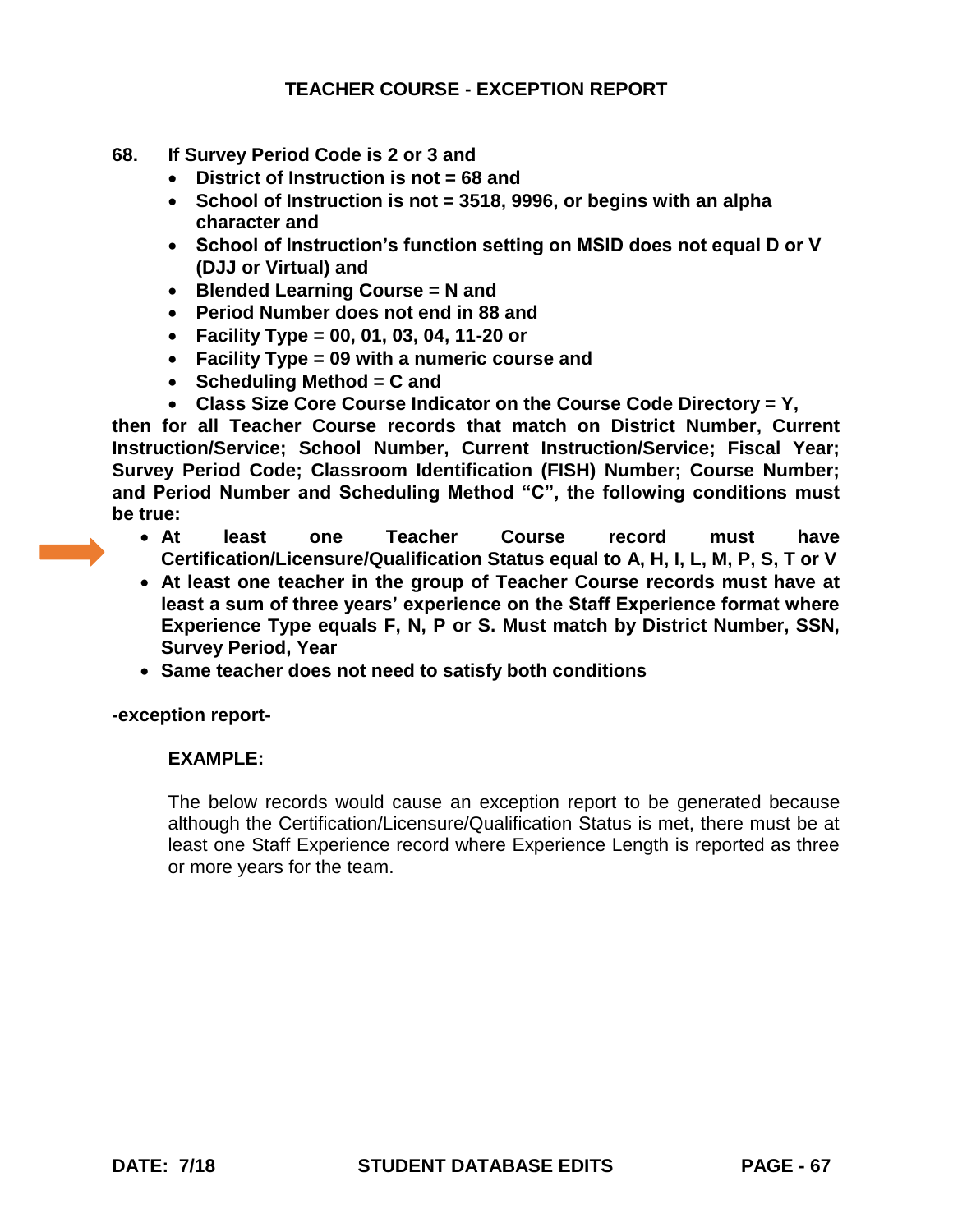- **68. If Survey Period Code is 2 or 3 and**
	- **District of Instruction is not = 68 and**
	- **School of Instruction is not = 3518, 9996, or begins with an alpha character and**
	- **School of Instruction's function setting on MSID does not equal D or V (DJJ or Virtual) and**
	- **Blended Learning Course = N and**
	- **Period Number does not end in 88 and**
	- **Facility Type = 00, 01, 03, 04, 11-20 or**
	- **Facility Type = 09 with a numeric course and**
	- **Scheduling Method = C and**
	- **Class Size Core Course Indicator on the Course Code Directory = Y,**

**then for all Teacher Course records that match on District Number, Current Instruction/Service; School Number, Current Instruction/Service; Fiscal Year; Survey Period Code; Classroom Identification (FISH) Number; Course Number; and Period Number and Scheduling Method "C", the following conditions must be true:**

- **At least one Teacher Course record must have Certification/Licensure/Qualification Status equal to A, H, I, L, M, P, S, T or V**
- **At least one teacher in the group of Teacher Course records must have at least a sum of three years' experience on the Staff Experience format where Experience Type equals F, N, P or S. Must match by District Number, SSN, Survey Period, Year**
- **Same teacher does not need to satisfy both conditions**

**-exception report-**

#### **EXAMPLE:**

The below records would cause an exception report to be generated because although the Certification/Licensure/Qualification Status is met, there must be at least one Staff Experience record where Experience Length is reported as three or more years for the team.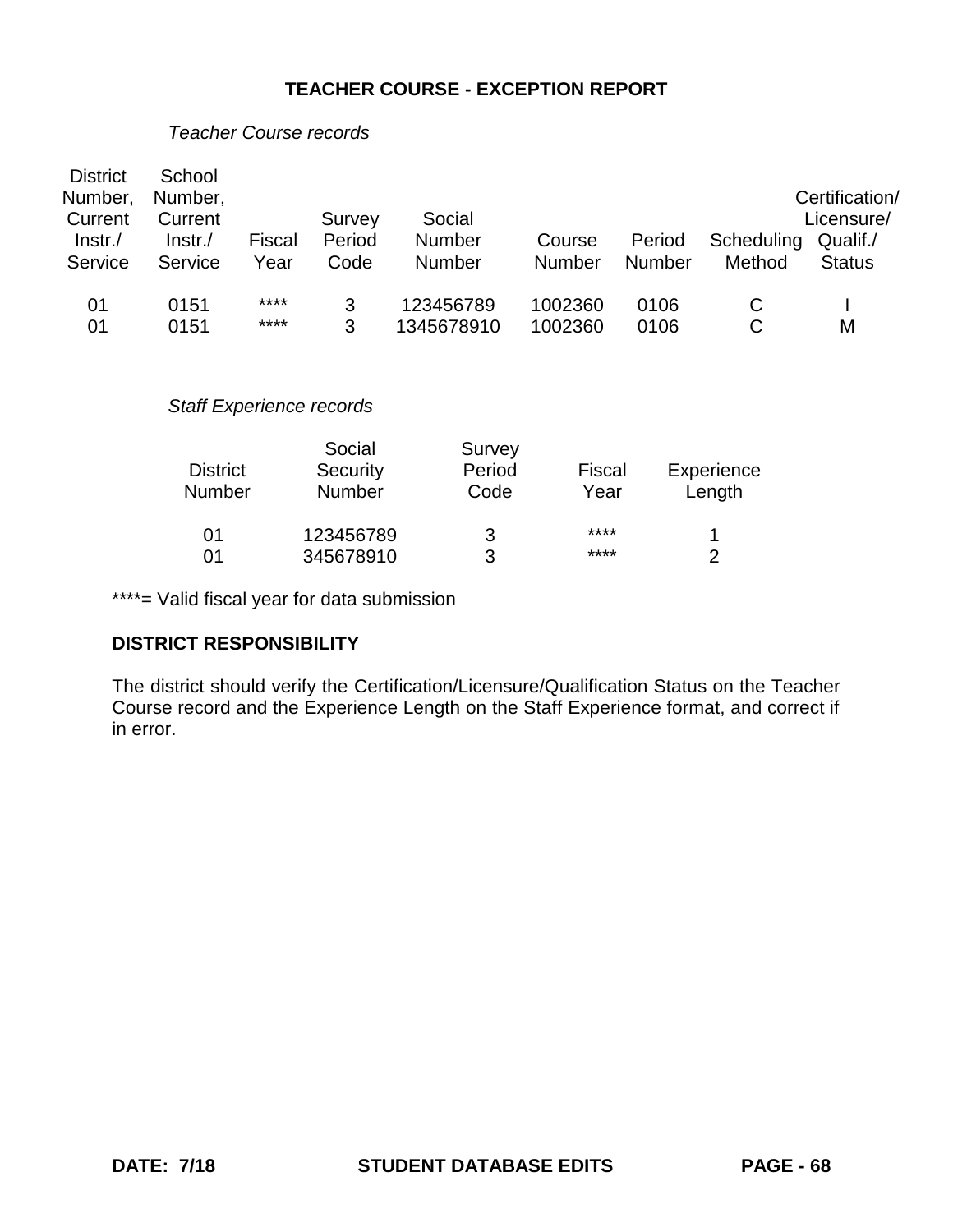| <b>District</b><br>Number,<br>Current<br>$ lnstr./$<br>Service | School<br>Number,<br>Current<br>Instr.<br>Service | Fiscal<br>Year | Survey<br>Period<br>Code        | Social<br>Number<br>Number | Course<br><b>Number</b> | Period<br><b>Number</b> | Scheduling<br>Method | Certification/<br>Licensure/<br>Qualif./<br><b>Status</b> |
|----------------------------------------------------------------|---------------------------------------------------|----------------|---------------------------------|----------------------------|-------------------------|-------------------------|----------------------|-----------------------------------------------------------|
| 01                                                             | 0151                                              | ****           | 3                               | 123456789                  | 1002360                 | 0106                    | C                    |                                                           |
| 01                                                             | 0151                                              | ****           | 3                               | 1345678910                 | 1002360                 | 0106                    | C                    | M                                                         |
|                                                                |                                                   |                | <b>Staff Experience records</b> |                            |                         |                         |                      |                                                           |
|                                                                |                                                   |                | Social                          | Survey                     |                         |                         |                      |                                                           |
|                                                                | <b>District</b>                                   |                | Security                        | Period                     | Fiscal                  |                         | Experience           |                                                           |
|                                                                | <b>Number</b>                                     |                | Number                          | Code                       | Year                    |                         | Length               |                                                           |
|                                                                | 01                                                |                | 123456789                       | 3                          | ****                    |                         | 1                    |                                                           |
|                                                                | 01                                                |                | 345678910                       | 3                          | ****                    |                         | 2                    |                                                           |

#### *Teacher Course records*

\*\*\*\*= Valid fiscal year for data submission

#### **DISTRICT RESPONSIBILITY**

The district should verify the Certification/Licensure/Qualification Status on the Teacher Course record and the Experience Length on the Staff Experience format, and correct if in error.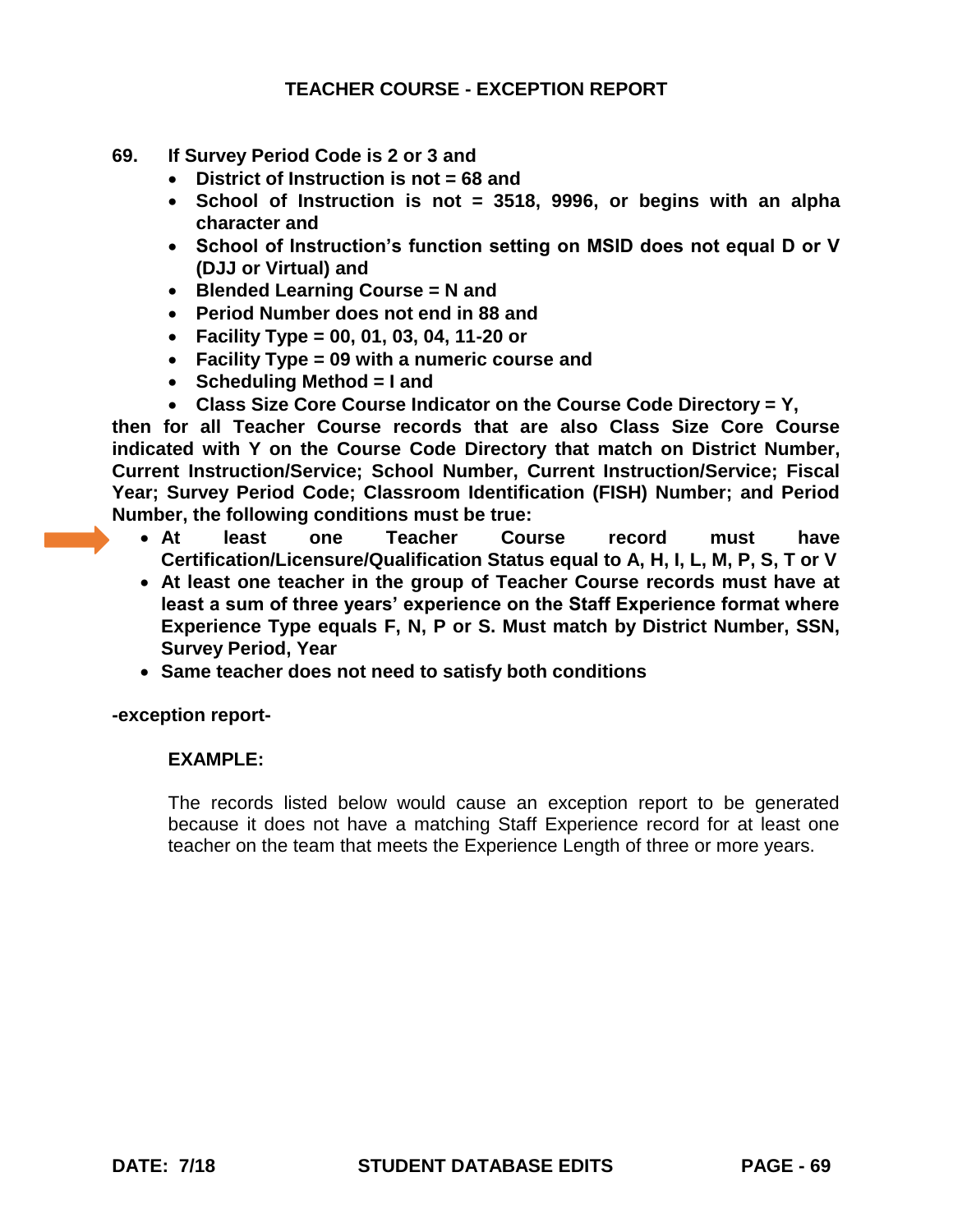- **69. If Survey Period Code is 2 or 3 and** 
	- **District of Instruction is not = 68 and**
	- **School of Instruction is not = 3518, 9996, or begins with an alpha character and**
	- **School of Instruction's function setting on MSID does not equal D or V (DJJ or Virtual) and**
	- **Blended Learning Course = N and**
	- **Period Number does not end in 88 and**
	- **Facility Type = 00, 01, 03, 04, 11-20 or**
	- **Facility Type = 09 with a numeric course and**
	- **Scheduling Method = I and**
	- **Class Size Core Course Indicator on the Course Code Directory = Y,**

**then for all Teacher Course records that are also Class Size Core Course indicated with Y on the Course Code Directory that match on District Number, Current Instruction/Service; School Number, Current Instruction/Service; Fiscal Year; Survey Period Code; Classroom Identification (FISH) Number; and Period Number, the following conditions must be true:** 

- **At least one Teacher Course record must have Certification/Licensure/Qualification Status equal to A, H, I, L, M, P, S, T or V**
- **At least one teacher in the group of Teacher Course records must have at least a sum of three years' experience on the Staff Experience format where Experience Type equals F, N, P or S. Must match by District Number, SSN, Survey Period, Year**
- **Same teacher does not need to satisfy both conditions**

**-exception report-**

#### **EXAMPLE:**

The records listed below would cause an exception report to be generated because it does not have a matching Staff Experience record for at least one teacher on the team that meets the Experience Length of three or more years.